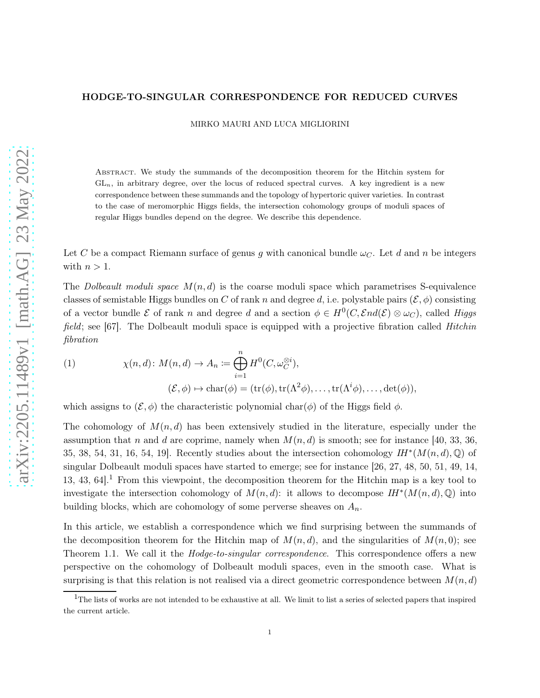# HODGE-TO-SINGULAR CORRESPONDENCE FOR REDUCED CURVES

MIRKO MAURI AND LUCA MIGLIORINI

Abstract. We study the summands of the decomposition theorem for the Hitchin system for  $GL_n$ , in arbitrary degree, over the locus of reduced spectral curves. A key ingredient is a new correspondence between these summands and the topology of hypertoric quiver varieties. In contrast to the case of meromorphic Higgs fields, the intersection cohomology groups of moduli spaces of regular Higgs bundles depend on the degree. We describe this dependence.

Let C be a compact Riemann surface of genus g with canonical bundle  $\omega_C$ . Let d and n be integers with  $n > 1$ .

The Dolbeault moduli space  $M(n, d)$  is the coarse moduli space which parametrises S-equivalence classes of semistable Higgs bundles on C of rank n and degree d, i.e. polystable pairs  $(\mathcal{E}, \phi)$  consisting of a vector bundle  $\mathcal E$  of rank n and degree d and a section  $\phi \in H^0(C, \mathcal End(\mathcal E) \otimes \omega_C)$ , called Higgs field; see [\[67\]](#page-39-0). The Dolbeault moduli space is equipped with a projective fibration called *Hitchin* fibration

(1) 
$$
\chi(n,d) \colon M(n,d) \to A_n := \bigoplus_{i=1}^n H^0(C, \omega_C^{\otimes i}),
$$

$$
(\mathcal{E}, \phi) \mapsto \text{char}(\phi) = (\text{tr}(\phi), \text{tr}(\Lambda^2 \phi), \dots, \text{tr}(\Lambda^i \phi), \dots, \text{det}(\phi)),
$$

which assigns to  $(\mathcal{E}, \phi)$  the characteristic polynomial char( $\phi$ ) of the Higgs field  $\phi$ .

The cohomology of  $M(n, d)$  has been extensively studied in the literature, especially under the assumption that n and d are coprime, namely when  $M(n, d)$  is smooth; see for instance [\[40,](#page-38-0) [33,](#page-38-1) [36,](#page-38-2) [35,](#page-38-3) [38,](#page-38-4) [54,](#page-39-1) [31,](#page-38-5) [16,](#page-38-6) 54, [19\]](#page-38-7). Recently studies about the intersection cohomology  $IH^*(M(n,d),\mathbb{Q})$  of singular Dolbeault moduli spaces have started to emerge; see for instance [\[26,](#page-38-8) [27,](#page-38-9) [48,](#page-39-2) [50,](#page-39-3) [51,](#page-39-4) [49,](#page-39-5) [14,](#page-37-0) [13,](#page-37-1) [43,](#page-39-6) 64 $l<sup>1</sup>$  $l<sup>1</sup>$  $l<sup>1</sup>$ . From this viewpoint, the decomposition theorem for the Hitchin map is a key tool to investigate the intersection cohomology of  $M(n, d)$ : it allows to decompose  $IH^*(M(n, d), \mathbb{Q})$  into building blocks, which are cohomology of some perverse sheaves on  $A_n$ .

In this article, we establish a correspondence which we find surprising between the summands of the decomposition theorem for the Hitchin map of  $M(n, d)$ , and the singularities of  $M(n, 0)$ ; see Theorem [1.1.](#page-2-0) We call it the *Hodge-to-singular correspondence*. This correspondence offers a new perspective on the cohomology of Dolbeault moduli spaces, even in the smooth case. What is surprising is that this relation is not realised via a direct geometric correspondence between  $M(n, d)$ 

<span id="page-0-0"></span> $1$ The lists of works are not intended to be exhaustive at all. We limit to list a series of selected papers that inspired the current article.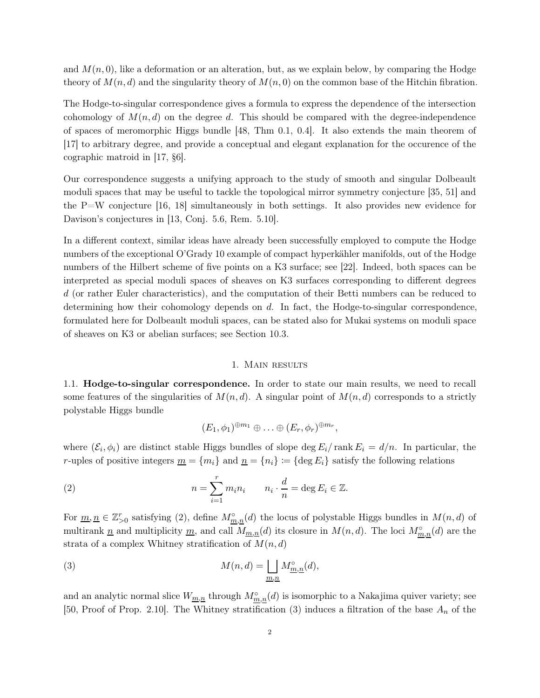and  $M(n, 0)$ , like a deformation or an alteration, but, as we explain below, by comparing the Hodge theory of  $M(n, d)$  and the singularity theory of  $M(n, 0)$  on the common base of the Hitchin fibration.

The Hodge-to-singular correspondence gives a formula to express the dependence of the intersection cohomology of  $M(n, d)$  on the degree d. This should be compared with the degree-independence of spaces of meromorphic Higgs bundle [\[48,](#page-39-2) Thm 0.1, 0.4]. It also extends the main theorem of [\[17\]](#page-38-10) to arbitrary degree, and provide a conceptual and elegant explanation for the occurence of the cographic matroid in [\[17,](#page-38-10) §6].

Our correspondence suggests a unifying approach to the study of smooth and singular Dolbeault moduli spaces that may be useful to tackle the topological mirror symmetry conjecture [\[35,](#page-38-3) [51\]](#page-39-4) and the P=W conjecture [\[16,](#page-38-6) [18\]](#page-38-11) simultaneously in both settings. It also provides new evidence for Davison's conjectures in [\[13,](#page-37-1) Conj. 5.6, Rem. 5.10].

In a different context, similar ideas have already been successfully employed to compute the Hodge numbers of the exceptional O'Grady 10 example of compact hyperkähler manifolds, out of the Hodge numbers of the Hilbert scheme of five points on a K3 surface; see [\[22\]](#page-38-12). Indeed, both spaces can be interpreted as special moduli spaces of sheaves on K3 surfaces corresponding to different degrees d (or rather Euler characteristics), and the computation of their Betti numbers can be reduced to determining how their cohomology depends on d. In fact, the Hodge-to-singular correspondence, formulated here for Dolbeault moduli spaces, can be stated also for Mukai systems on moduli space of sheaves on K3 or abelian surfaces; see Section [10.3.](#page-37-2)

# 1. Main results

<span id="page-1-2"></span>1.1. Hodge-to-singular correspondence. In order to state our main results, we need to recall some features of the singularities of  $M(n, d)$ . A singular point of  $M(n, d)$  corresponds to a strictly polystable Higgs bundle

<span id="page-1-1"></span><span id="page-1-0"></span>
$$
(E_1, \phi_1)^{\oplus m_1} \oplus \ldots \oplus (E_r, \phi_r)^{\oplus m_r},
$$

where  $(\mathcal{E}_i, \phi_i)$  are distinct stable Higgs bundles of slope deg  $E_i/ \text{rank } E_i = d/n$ . In particular, the r-uples of positive integers  $m = \{m_i\}$  and  $n = \{n_i\} := \{\text{deg } E_i\}$  satisfy the following relations

(2) 
$$
n = \sum_{i=1}^{r} m_i n_i \qquad n_i \cdot \frac{d}{n} = \deg E_i \in \mathbb{Z}.
$$

For  $\underline{m}, \underline{n} \in \mathbb{Z}_{\geq 0}^r$  satisfying [\(2\)](#page-1-0), define  $M^{\circ}_{\underline{m}, \underline{n}}(d)$  the locus of polystable Higgs bundles in  $M(n, d)$  of multirank  $\underline{n}$  and multiplicity  $\underline{m}$ , and call  $M_{\underline{m},\underline{n}}(d)$  its closure in  $M(n,d)$ . The loci  $M^{\circ}_{\underline{m},\underline{n}}(d)$  are the strata of a complex Whitney stratification of  $M(n,d)$ 

(3) 
$$
M(n,d) = \bigsqcup_{\underline{m},\underline{n}} M_{\underline{m},\underline{n}}^{\circ}(d),
$$

and an analytic normal slice  $W_{\underline{m},\underline{n}}$  through  $M^{\circ}_{\underline{m},\underline{n}}(d)$  is isomorphic to a Nakajima quiver variety; see [\[50,](#page-39-3) Proof of Prop. 2.10]. The Whitney stratification [\(3\)](#page-1-1) induces a filtration of the base  $A_n$  of the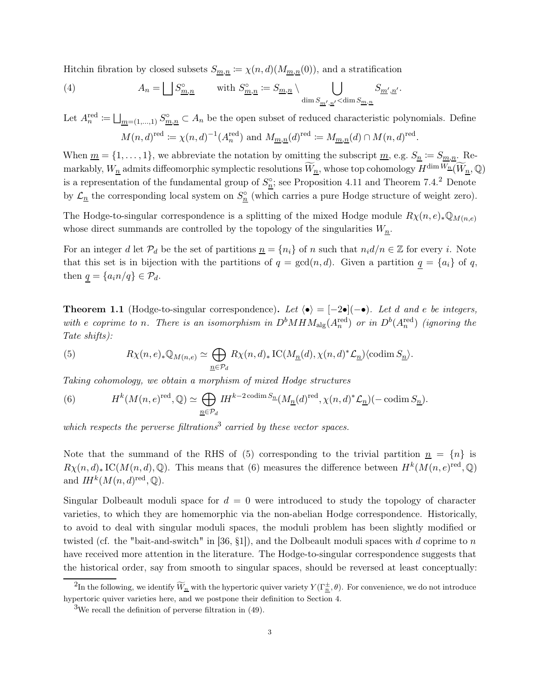Hitchin fibration by closed subsets  $S_{m,n} := \chi(n,d)(M_{m,n}(0))$ , and a stratification

<span id="page-2-5"></span>(4) 
$$
A_n = \bigsqcup S_{\underline{m}, \underline{n}}^{\circ} \qquad \text{with } S_{\underline{m}, \underline{n}}^{\circ} := S_{\underline{m}, \underline{n}} \setminus \bigsqcup_{\dim S_{\underline{m}', \underline{n}'} < \dim S_{\underline{m}, \underline{n}}} S_{\underline{m}', \underline{n}'}.
$$

Let  $A_n^{\text{red}} := \bigsqcup_{m=(1,\ldots,1)} S_{m,n}^{\circ} \subset A_n$  be the open subset of reduced characteristic polynomials. Define  $M(n, d)^{\text{red}} \coloneqq \chi(n, d)^{-1}(A_n^{\text{red}})$  and  $M_{\underline{m}, \underline{n}}(d)^{\text{red}} \coloneqq M_{\underline{m}, \underline{n}}(d) \cap M(n, d)^{\text{red}}$ .

When  $\underline{m} = \{1, \ldots, 1\}$ , we abbreviate the notation by omitting the subscript  $\underline{m}$ , e.g.  $S_n := S_{\underline{m}, \underline{n}}$ . Remarkably,  $W_n$  admits diffeomorphic symplectic resolutions  $\widetilde{W}_n$ , whose top cohomology  $H^{\dim W_n}(\widetilde{W}_n, \mathbb{Q})$ is a representation of the fundamental group of  $S_n^{\circ}$ ; see Proposition [4.11](#page-16-0) and Theorem [7.4.](#page-24-0)<sup>[2](#page-2-1)</sup> Denote by  $\mathcal{L}_n$  the corresponding local system on  $S_n^{\circ}$  (which carries a pure Hodge structure of weight zero).

The Hodge-to-singular correspondence is a splitting of the mixed Hodge module  $R\chi(n, e)_{*}\mathbb{Q}_{M(n, e)}$ whose direct summands are controlled by the topology of the singularities  $W_n$ .

<span id="page-2-0"></span>For an integer d let  $\mathcal{P}_d$  be the set of partitions  $\underline{n} = \{n_i\}$  of n such that  $n_i d/n \in \mathbb{Z}$  for every i. Note that this set is in bijection with the partitions of  $q = \gcd(n, d)$ . Given a partition  $q = \{a_i\}$  of q, then  $q = \{a_i n/q\} \in \mathcal{P}_d$ .

**Theorem 1.1** (Hodge-to-singular correspondence). Let  $\langle \bullet \rangle = [-2\bullet](-\bullet)$ . Let d and e be integers, with e coprime to n. There is an isomorphism in  $D^bMHM_{\text{alg}}(A_n^{\text{red}})$  or in  $D^b(A_n^{\text{red}})$  (ignoring the Tate shifts):

<span id="page-2-3"></span>(5) 
$$
R\chi(n,e)_{*}\mathbb{Q}_{M(n,e)} \simeq \bigoplus_{\underline{n}\in\mathcal{P}_d} R\chi(n,d)_{*} \operatorname{IC}(M_{\underline{n}}(d),\chi(n,d)^{*}\mathcal{L}_{\underline{n}})\langle \operatorname{codim} S_{\underline{n}} \rangle.
$$

Taking cohomology, we obtain a morphism of mixed Hodge structures

<span id="page-2-4"></span>(6) 
$$
H^k(M(n, e)^{\text{red}}, \mathbb{Q}) \simeq \bigoplus_{\underline{n} \in \mathcal{P}_d} I H^{k-2 \cdot \text{codim } S_{\underline{n}}}(M_{\underline{n}}(d)^{\text{red}}, \chi(n, d)^* \mathcal{L}_{\underline{n}}) (- \text{codim } S_{\underline{n}}).
$$

which respects the perverse filtrations<sup>[3](#page-2-2)</sup> carried by these vector spaces.

Note that the summand of the RHS of [\(5\)](#page-2-3) corresponding to the trivial partition  $n = \{n\}$  is  $R\chi(n, d)_* IC(M(n, d), \mathbb{Q})$ . This means that [\(6\)](#page-2-4) measures the difference between  $H^k(M(n, e)^{\text{red}}, \mathbb{Q})$ and  $HH^k(M(n, d)^\text{red}, \mathbb{Q})$ .

Singular Dolbeault moduli space for  $d = 0$  were introduced to study the topology of character varieties, to which they are homemorphic via the non-abelian Hodge correspondence. Historically, to avoid to deal with singular moduli spaces, the moduli problem has been slightly modified or twisted (cf. the "bait-and-switch" in [\[36,](#page-38-2) §1]), and the Dolbeault moduli spaces with d coprime to n have received more attention in the literature. The Hodge-to-singular correspondence suggests that the historical order, say from smooth to singular spaces, should be reversed at least conceptually:

<sup>&</sup>lt;sup>2</sup>In the following, we identify  $\widetilde{W}_{\underline{n}}$  with the hypertoric quiver variety  $Y(\Gamma_{\underline{n}}^{\pm}, \theta)$ . For convenience, we do not introduce hypertoric quiver varieties here, and we postpone their definition to Section [4.](#page-12-0)

<span id="page-2-2"></span><span id="page-2-1"></span><sup>&</sup>lt;sup>3</sup>We recall the definition of perverse filtration in  $(49)$ .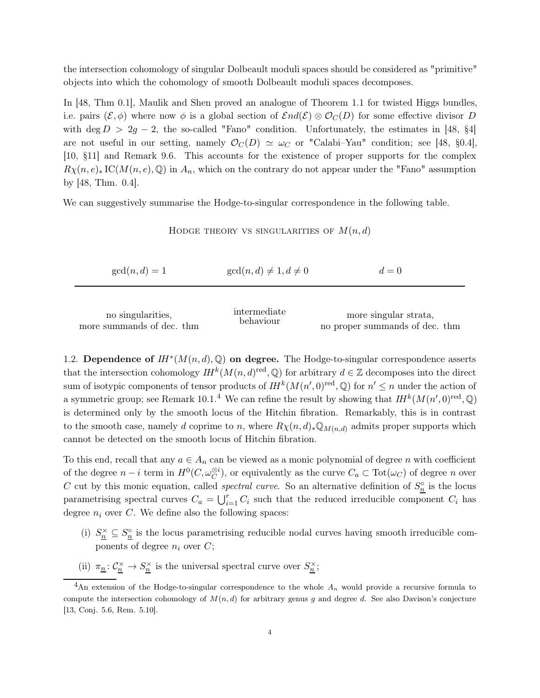the intersection cohomology of singular Dolbeault moduli spaces should be considered as "primitive" objects into which the cohomology of smooth Dolbeault moduli spaces decomposes.

In [\[48,](#page-39-2) Thm 0.1], Maulik and Shen proved an analogue of Theorem [1.1](#page-2-0) for twisted Higgs bundles, i.e. pairs  $(\mathcal{E}, \phi)$  where now  $\phi$  is a global section of  $\mathcal{E}nd(\mathcal{E})\otimes\mathcal{O}_C(D)$  for some effective divisor D with deg  $D > 2g - 2$ , the so-called "Fano" condition. Unfortunately, the estimates in [\[48,](#page-39-2) §4] are not useful in our setting, namely  $\mathcal{O}_C(D) \simeq \omega_C$  or "Calabi–Yau" condition; see [\[48,](#page-39-2) §0.4], [\[10,](#page-37-3) §11] and Remark [9.6.](#page-32-0) This accounts for the existence of proper supports for the complex  $R\chi(n, e)_*$  IC( $M(n, e), \mathbb{Q}$ ) in  $A_n$ , which on the contrary do not appear under the "Fano" assumption by [\[48,](#page-39-2) Thm. 0.4].

We can suggestively summarise the Hodge-to-singular correspondence in the following table.

## HODGE THEORY VS SINGULARITIES OF  $M(n,d)$

| $gcd(n, d) = 1$           | $gcd(n, d) \neq 1, d \neq 0$ | $d=0$                          |  |  |
|---------------------------|------------------------------|--------------------------------|--|--|
| no singularities,         | intermediate                 | more singular strata,          |  |  |
| more summands of dec. thm | behaviour                    | no proper summands of dec. thm |  |  |

1.2. Dependence of  $IH^*(M(n,d),\mathbb{Q})$  on degree. The Hodge-to-singular correspondence asserts that the intersection cohomology  $IH^k(M(n, d)^{\text{red}}, \mathbb{Q})$  for arbitrary  $d \in \mathbb{Z}$  decomposes into the direct sum of isotypic components of tensor products of  $IH^k(M(n', 0)^{\text{red}}, \mathbb{Q})$  for  $n' \leq n$  under the action of a symmetric group; see Remark [10.1.](#page-33-0)<sup>[4](#page-3-0)</sup> We can refine the result by showing that  $IH^k(M(n',0)^{\text{red}},\mathbb{Q})$ is determined only by the smooth locus of the Hitchin fibration. Remarkably, this is in contrast to the smooth case, namely d coprime to n, where  $R\chi(n,d) * \mathbb{Q}_{M(n,d)}$  admits proper supports which cannot be detected on the smooth locus of Hitchin fibration.

To this end, recall that any  $a \in A_n$  can be viewed as a monic polynomial of degree n with coefficient of the degree  $n-i$  term in  $H^0(C, \omega_C^{\otimes i})$ , or equivalently as the curve  $C_a \subset \text{Tot}(\omega_C)$  of degree n over C cut by this monic equation, called *spectral curve*. So an alternative definition of  $S_n^{\circ}$  is the locus parametrising spectral curves  $C_a = \bigcup_{i=1}^r C_i$  such that the reduced irreducible component  $C_i$  has degree  $n_i$  over C. We define also the following spaces:

- (i)  $S_n^{\times} \subseteq S_n^{\circ}$  is the locus parametrising reducible nodal curves having smooth irreducible components of degree  $n_i$  over  $C$ ;
- (ii)  $\pi_{\underline{n}}: C_{\underline{n}}^{\times} \to S_{\underline{n}}^{\times}$  is the universal spectral curve over  $S_{\underline{n}}^{\times}$ ;

<span id="page-3-0"></span><sup>&</sup>lt;sup>4</sup>An extension of the Hodge-to-singular correspondence to the whole  $A_n$  would provide a recursive formula to compute the intersection cohomology of  $M(n, d)$  for arbitrary genus g and degree d. See also Davison's conjecture [\[13,](#page-37-1) Conj. 5.6, Rem. 5.10].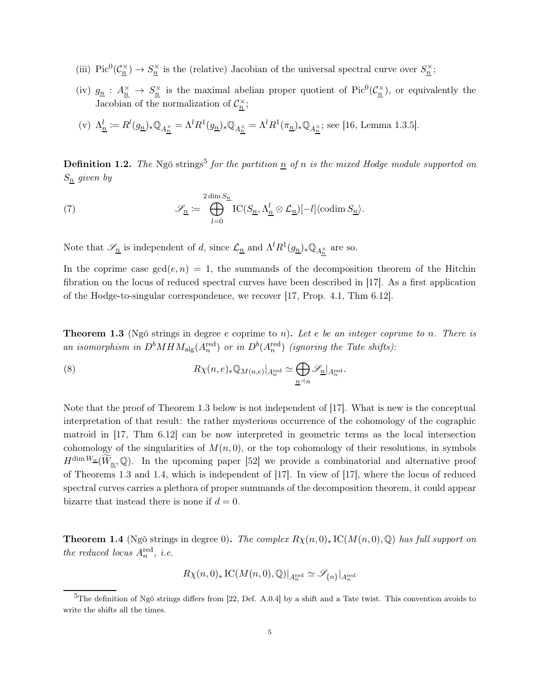- (iii)  $Pic^0(\mathcal{C}_{\underline{n}}^{\times}) \to S_{\underline{n}}^{\times}$  is the (relative) Jacobian of the universal spectral curve over  $S_{\underline{n}}^{\times}$ ;
- (iv)  $g_{\underline{n}}: A_{\underline{n}}^{\times} \to S_{\underline{n}}^{\times}$  is the maximal abelian proper quotient of Pic<sup>0</sup>( $\mathcal{C}_{\underline{n}}^{\times}$ ), or equivalently the Jacobian of the normalization of  $\mathcal{C}_n^{\times}$ ;

(v) 
$$
\Lambda_{\underline{n}}^l := R^l(g_{\underline{n}})_* \mathbb{Q}_{A_{\underline{n}}^{\times}} = \Lambda^l R^1(g_{\underline{n}})_* \mathbb{Q}_{A_{\underline{n}}^{\times}} = \Lambda^l R^1(\pi_{\underline{n}})_* \mathbb{Q}_{A_{\underline{n}}^{\times}}
$$
; see [16, Lemma 1.3.5].

**Definition 1.2.** The Ngô strings<sup>[5](#page-4-0)</sup> for the partition  $\underline{n}$  of n is the mixed Hodge module supported on  $S_n$  given by

(7) 
$$
\mathscr{S}_{\underline{n}} := \bigoplus_{l=0}^{2 \dim S_{\underline{n}}} \mathrm{IC}(S_{\underline{n}}, \Lambda^l_{\underline{n}} \otimes \mathcal{L}_{\underline{n}})[-l] \langle \mathrm{codim} \, S_{\underline{n}} \rangle.
$$

Note that  $\mathscr{S}_{\underline{n}}$  is independent of d, since  $\mathcal{L}_{\underline{n}}$  and  $\Lambda^l R^1(g_{\underline{n}})_* \mathbb{Q}_{A_{\underline{n}}^{\times}}$  are so.

<span id="page-4-1"></span>In the coprime case  $gcd(e, n) = 1$ , the summands of the decomposition theorem of the Hitchin fibration on the locus of reduced spectral curves have been described in [\[17\]](#page-38-10). As a first application of the Hodge-to-singular correspondence, we recover [\[17,](#page-38-10) Prop. 4.1, Thm 6.12].

**Theorem 1.3** (Ngô strings in degree e coprime to n). Let e be an integer coprime to n. There is an isomorphism in  $D^b M H M_{\text{alg}}(A_n^{\text{red}})$  or in  $D^b(A_n^{\text{red}})$  (ignoring the Tate shifts):

(8) 
$$
R\chi(n,e)_*\mathbb{Q}_{M(n,e)}|_{A_n^{\text{red}}} \simeq \bigoplus_{\underline{n} \dashv n} \mathscr{S}_{\underline{n}}|_{A_n^{\text{red}}}.
$$

Note that the proof of Theorem [1.3](#page-4-1) below is not independent of [\[17\]](#page-38-10). What is new is the conceptual interpretation of that result: the rather mysterious occurrence of the cohomology of the cographic matroid in [\[17,](#page-38-10) Thm 6.12] can be now interpreted in geometric terms as the local intersection cohomology of the singularities of  $M(n, 0)$ , or the top cohomology of their resolutions, in symbols  $H^{\dim W_{\underline{n}}}(\widetilde{W}_{\underline{n}},\mathbb{Q})$ . In the upcoming paper [\[52\]](#page-39-8) we provide a combinatorial and alternative proof of Theorems [1.3](#page-4-1) and [1.4,](#page-4-2) which is independent of [\[17\]](#page-38-10). In view of [\[17\]](#page-38-10), where the locus of reduced spectral curves carries a plethora of proper summands of the decomposition theorem, it could appear bizarre that instead there is none if  $d = 0$ .

<span id="page-4-2"></span>**Theorem 1.4** (Ngô strings in degree 0). The complex  $R_\chi(n,0)_*$  IC( $M(n,0), \mathbb{Q}$ ) has full support on the reduced locus  $A_n^{\text{red}}$ , *i.e.* 

$$
R\chi(n,0)_{\ast} \operatorname{IC}(M(n,0),\mathbb{Q})|_{A^{\operatorname{red}}_{n}} \simeq \mathscr{S}_{\{n\}}|_{A^{\operatorname{red}}_{n}}
$$

<span id="page-4-3"></span><span id="page-4-0"></span><sup>&</sup>lt;sup>5</sup>The definition of Ngô strings differs from [\[22,](#page-38-12) Def. A.0.4] by a shift and a Tate twist. This convention avoids to write the shifts all the times.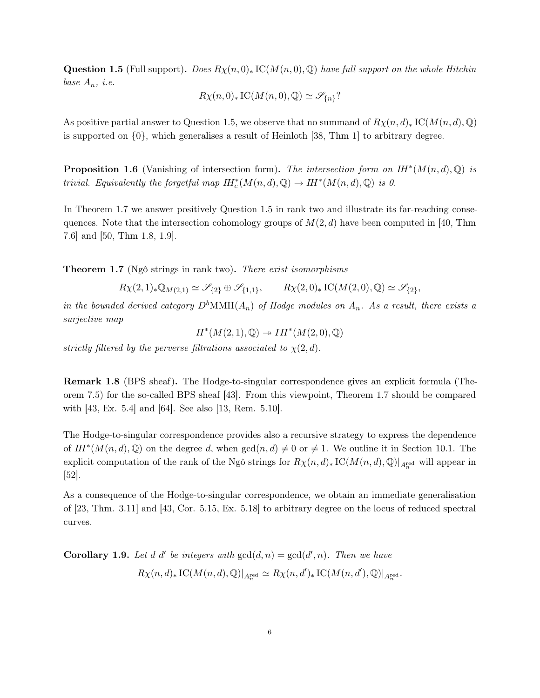Question 1.5 (Full support). Does  $R_{\chi}(n,0)_*$  IC( $M(n,0),\mathbb{Q}$ ) have full support on the whole Hitchin base  $A_n$ , *i.e.* 

$$
R\chi(n,0) \star \mathrm{IC}(M(n,0),\mathbb{Q}) \simeq \mathscr{S}_{\{n\}}?
$$

<span id="page-5-1"></span>As positive partial answer to Question [1.5,](#page-4-3) we observe that no summand of  $R_X(n, d)_*$  IC( $M(n, d)$ ,  $\mathbb{Q}$ ) is supported on  $\{0\}$ , which generalises a result of Heinloth [\[38,](#page-38-4) Thm 1] to arbitrary degree.

**Proposition 1.6** (Vanishing of intersection form). The intersection form on  $IH^*(M(n,d),\mathbb{Q})$  is trivial. Equivalently the forgetful map  $H_c^*(M(n,d), \mathbb{Q}) \to H^*(M(n,d), \mathbb{Q})$  is 0.

<span id="page-5-0"></span>In Theorem [1.7](#page-5-0) we answer positively Question [1.5](#page-4-3) in rank two and illustrate its far-reaching consequences. Note that the intersection cohomology groups of  $M(2, d)$  have been computed in [\[40,](#page-38-0) Thm 7.6] and [\[50,](#page-39-3) Thm 1.8, 1.9].

**Theorem 1.7** (Ngô strings in rank two). *There exist isomorphisms* 

 $R\chi(2,1)_{*}\mathbb{Q}_{M(2,1)} \simeq \mathscr{S}_{\{2\}} \oplus \mathscr{S}_{\{1,1\}}, \qquad R\chi(2,0)_{*} \operatorname{IC}(M(2,0),\mathbb{Q}) \simeq \mathscr{S}_{\{2\}},$ 

in the bounded derived category  $D^b$ MMH $(A_n)$  of Hodge modules on  $A_n$ . As a result, there exists a surjective map

 $H^*(M(2,1),\mathbb{Q}) \rightarrow IH^*(M(2,0),\mathbb{Q})$ 

strictly filtered by the perverse filtrations associated to  $\chi(2,d)$ .

Remark 1.8 (BPS sheaf). The Hodge-to-singular correspondence gives an explicit formula (Theorem [7.5\)](#page-25-0) for the so-called BPS sheaf [\[43\]](#page-39-6). From this viewpoint, Theorem [1.7](#page-5-0) should be compared with [\[43,](#page-39-6) Ex. 5.4] and [\[64\]](#page-39-7). See also [\[13,](#page-37-1) Rem. 5.10].

The Hodge-to-singular correspondence provides also a recursive strategy to express the dependence of  $IH^*(M(n,d),\mathbb{Q})$  on the degree d, when  $gcd(n,d) \neq 0$  or  $\neq 1$ . We outline it in Section [10.1.](#page-34-0) The explicit computation of the rank of the Ngô strings for  $R\chi(n,d)$ <sub>\*</sub>IC( $M(n,d)$ , Q)|<sub>Ared</sub> will appear in [\[52\]](#page-39-8).

<span id="page-5-2"></span>As a consequence of the Hodge-to-singular correspondence, we obtain an immediate generalisation of [\[23,](#page-38-13) Thm. 3.11] and [\[43,](#page-39-6) Cor. 5.15, Ex. 5.18] to arbitrary degree on the locus of reduced spectral curves.

**Corollary 1.9.** Let d d' be integers with  $gcd(d, n) = gcd(d', n)$ . Then we have  $R\chi(n, d)_*\operatorname{IC}(M(n, d), \mathbb{Q})|_{A_n^{\operatorname{red}}} \simeq R\chi(n, d')_*\operatorname{IC}(M(n, d'), \mathbb{Q})|_{A_n^{\operatorname{red}}}.$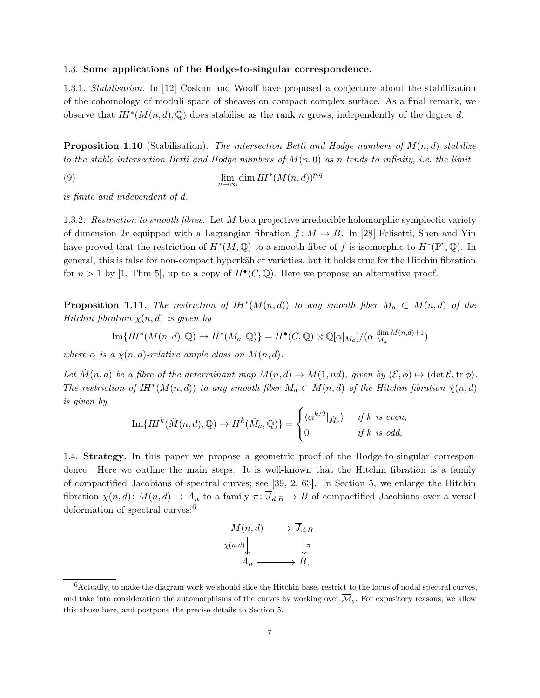## 1.3. Some applications of the Hodge-to-singular correspondence.

<span id="page-6-1"></span>1.3.1. Stabilisation. In [\[12\]](#page-37-4) Coskun and Woolf have proposed a conjecture about the stabilization of the cohomology of moduli space of sheaves on compact complex surface. As a final remark, we observe that  $IH^*(M(n,d),\mathbb{Q})$  does stabilise as the rank n grows, independently of the degree d.

**Proposition 1.10** (Stabilisation). The intersection Betti and Hodge numbers of  $M(n,d)$  stabilize to the stable intersection Betti and Hodge numbers of  $M(n, 0)$  as n tends to infinity, i.e. the limit

<span id="page-6-2"></span>(9)  $\lim_{n\to\infty} \dim H^*(M(n,d))^{p,q}$ 

is finite and independent of d.

1.3.2. Restriction to smooth fibres. Let  $M$  be a projective irreducible holomorphic symplectic variety of dimension 2r equipped with a Lagrangian fibration  $f : M \to B$ . In [\[28\]](#page-38-14) Felisetti, Shen and Yin have proved that the restriction of  $H^*(M, \mathbb{Q})$  to a smooth fiber of f is isomorphic to  $H^*(\mathbb{P}^r, \mathbb{Q})$ . In general, this is false for non-compact hyperkähler varieties, but it holds true for the Hitchin fibration for  $n > 1$  by [\[1,](#page-37-5) Thm 5], up to a copy of  $H^{\bullet}(C, \mathbb{Q})$ . Here we propose an alternative proof.

<span id="page-6-3"></span>**Proposition 1.11.** The restriction of  $IH^*(M(n,d))$  to any smooth fiber  $M_a \subset M(n,d)$  of the Hitchin fibration  $\chi(n, d)$  is given by

Im{
$$
H^*(M(n,d), \mathbb{Q}) \to H^*(M_a, \mathbb{Q})
$$
} =  $H^{\bullet}(C, \mathbb{Q}) \otimes \mathbb{Q}[\alpha|_{M_a}]/(\alpha|_{M_a}^{\dim M(n,d)+1})$ 

where  $\alpha$  is a  $\chi(n,d)$ -relative ample class on  $M(n,d)$ .

Let  $\check{M}(n, d)$  be a fibre of the determinant map  $M(n, d) \to M(1, nd)$ , given by  $(\mathcal{E}, \phi) \mapsto (\det \mathcal{E}, \text{tr } \phi)$ . The restriction of  $I\!H^*(\check{M}(n,d))$  to any smooth fiber  $\check{M}_a \subset \check{M}(n,d)$  of the Hitchin fibration  $\check{\chi}(n,d)$ is given by

$$
\operatorname{Im}\{H^k(\check{M}(n,d),\mathbb{Q})\to H^k(\check{M}_a,\mathbb{Q})\}=\begin{cases} \langle \alpha^{k/2}|_{\check{M}_a}\rangle &\text{ if $k$ is even,}\\ 0 &\text{ if $k$ is odd,}\end{cases}
$$

1.4. Strategy. In this paper we propose a geometric proof of the Hodge-to-singular correspondence. Here we outline the main steps. It is well-known that the Hitchin fibration is a family of compactified Jacobians of spectral curves; see [\[39,](#page-38-15) [2,](#page-37-6) [63\]](#page-39-9). In Section [5,](#page-19-0) we enlarge the Hitchin fibration  $\chi(n, d)$ :  $M(n, d) \to A_n$  to a family  $\pi \colon \overline{J}_{d, B} \to B$  of compactified Jacobians over a versal deformation of spectral curves:<sup>[6](#page-6-0)</sup>

$$
M(n,d) \longrightarrow \overline{J}_{d,B}
$$
  

$$
\chi(n,d) \downarrow \qquad \qquad \downarrow \pi
$$
  

$$
A_n \longrightarrow B,
$$

<span id="page-6-0"></span> $6$ Actually, to make the diagram work we should slice the Hitchin base, restrict to the locus of nodal spectral curves, and take into consideration the automorphisms of the curves by working over  $\overline{\mathcal{M}}_g$ . For expository reasons, we allow this abuse here, and postpone the precise details to Section [5.](#page-19-0)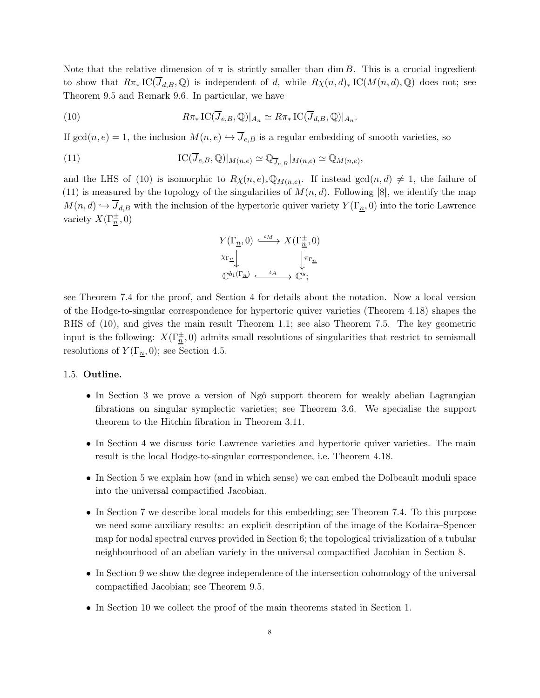Note that the relative dimension of  $\pi$  is strictly smaller than dim B. This is a crucial ingredient to show that  $R\pi_*\mathrm{IC}(\overline{J}_{d,B},\mathbb{Q})$  is independent of d, while  $R\chi(n,d)_*\mathrm{IC}(M(n,d),\mathbb{Q})$  does not; see Theorem [9.5](#page-31-0) and Remark [9.6.](#page-32-0) In particular, we have

<span id="page-7-0"></span>(10) 
$$
R\pi_*\operatorname{IC}(\overline{J}_{e,B},\mathbb{Q})|_{A_n}\simeq R\pi_*\operatorname{IC}(\overline{J}_{d,B},\mathbb{Q})|_{A_n}.
$$

If  $gcd(n, e) = 1$ , the inclusion  $M(n, e) \hookrightarrow \overline{J}_{e,B}$  is a regular embedding of smooth varieties, so

(11) 
$$
\mathrm{IC}(\overline{J}_{e,B},\mathbb{Q})|_{M(n,e)} \simeq \mathbb{Q}_{\overline{J}_{e,B}}|_{M(n,e)} \simeq \mathbb{Q}_{M(n,e)},
$$

and the LHS of [\(10\)](#page-7-0) is isomorphic to  $R\chi(n,e)_{*}\mathbb{Q}_{M(n,e)}$ . If instead  $gcd(n,d) \neq 1$ , the failure of [\(11\)](#page-7-1) is measured by the topology of the singularities of  $M(n, d)$ . Following [\[8\]](#page-37-7), we identify the map  $M(n,d) \hookrightarrow \overline{J}_{d,B}$  with the inclusion of the hypertoric quiver variety  $Y(\Gamma_n, 0)$  into the toric Lawrence variety  $X(\Gamma_{\underline{n}}^{\pm},0)$ 

<span id="page-7-1"></span>
$$
\begin{array}{ccc}\nY(\Gamma_{\underline{n}},0)&\xrightarrow{\iota_M}&X(\Gamma_{\underline{n}}^{\pm},0)\\
\downarrow&&\downarrow^{\pi_{\Gamma_{\underline{n}}}}\\
\mathbb{C}^{b_1(\Gamma_{\underline{n}})}&\xrightarrow{\iota_A}&\mathbb{C}^s;\n\end{array}
$$

see Theorem [7.4](#page-24-0) for the proof, and Section [4](#page-12-0) for details about the notation. Now a local version of the Hodge-to-singular correspondence for hypertoric quiver varieties (Theorem [4.18\)](#page-18-0) shapes the RHS of [\(10\)](#page-7-0), and gives the main result Theorem [1.1;](#page-2-0) see also Theorem [7.5.](#page-25-0) The key geometric input is the following:  $X(\Gamma_{\underline{n}}^{\pm},0)$  admits small resolutions of singularities that restrict to semismall resolutions of  $Y(\Gamma_n, 0)$ ; see Section [4.5.](#page-16-1)

## 1.5. Outline.

- In Section [3](#page-9-0) we prove a version of Ngô support theorem for weakly abelian Lagrangian fibrations on singular symplectic varieties; see Theorem [3.6.](#page-11-0) We specialise the support theorem to the Hitchin fibration in Theorem [3.11.](#page-12-1)
- In Section [4](#page-12-0) we discuss toric Lawrence varieties and hypertoric quiver varieties. The main result is the local Hodge-to-singular correspondence, i.e. Theorem [4.18.](#page-18-0)
- In Section [5](#page-19-0) we explain how (and in which sense) we can embed the Dolbeault moduli space into the universal compactified Jacobian.
- In Section [7](#page-23-0) we describe local models for this embedding; see Theorem [7.4.](#page-24-0) To this purpose we need some auxiliary results: an explicit description of the image of the Kodaira–Spencer map for nodal spectral curves provided in Section [6;](#page-21-0) the topological trivialization of a tubular neighbourhood of an abelian variety in the universal compactified Jacobian in Section [8.](#page-26-0)
- In Section [9](#page-30-0) we show the degree independence of the intersection cohomology of the universal compactified Jacobian; see Theorem [9.5.](#page-31-0)
- In Section [10](#page-32-1) we collect the proof of the main theorems stated in Section [1.](#page-1-2)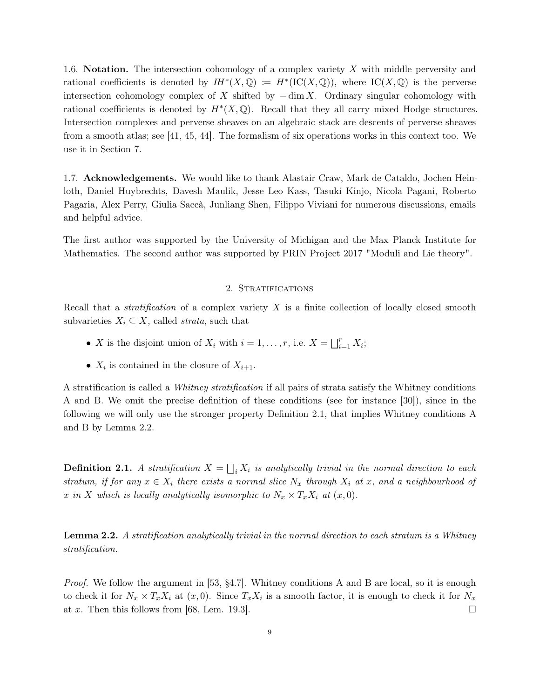1.6. **Notation.** The intersection cohomology of a complex variety X with middle perversity and rational coefficients is denoted by  $IH^*(X,\mathbb{Q}) := H^*(\mathrm{IC}(X,\mathbb{Q}))$ , where  $\mathrm{IC}(X,\mathbb{Q})$  is the perverse intersection cohomology complex of X shifted by  $-\dim X$ . Ordinary singular cohomology with rational coefficients is denoted by  $H^*(X,\mathbb{Q})$ . Recall that they all carry mixed Hodge structures. Intersection complexes and perverse sheaves on an algebraic stack are descents of perverse sheaves from a smooth atlas; see [\[41,](#page-39-10) [45,](#page-39-11) [44\]](#page-39-12). The formalism of six operations works in this context too. We use it in Section [7.](#page-23-0)

1.7. Acknowledgements. We would like to thank Alastair Craw, Mark de Cataldo, Jochen Heinloth, Daniel Huybrechts, Davesh Maulik, Jesse Leo Kass, Tasuki Kinjo, Nicola Pagani, Roberto Pagaria, Alex Perry, Giulia Saccà, Junliang Shen, Filippo Viviani for numerous discussions, emails and helpful advice.

The first author was supported by the University of Michigan and the Max Planck Institute for Mathematics. The second author was supported by PRIN Project 2017 "Moduli and Lie theory".

## 2. STRATIFICATIONS

Recall that a *stratification* of a complex variety  $X$  is a finite collection of locally closed smooth subvarieties  $X_i \subseteq X$ , called *strata*, such that

- X is the disjoint union of  $X_i$  with  $i = 1, ..., r$ , i.e.  $X = \bigsqcup_{i=1}^r X_i$ ;
- $X_i$  is contained in the closure of  $X_{i+1}$ .

<span id="page-8-0"></span>A stratification is called a Whitney stratification if all pairs of strata satisfy the Whitney conditions A and B. We omit the precise definition of these conditions (see for instance [\[30\]](#page-38-16)), since in the following we will only use the stronger property Definition [2.1,](#page-8-0) that implies Whitney conditions A and B by Lemma [2.2.](#page-8-1)

**Definition 2.1.** A stratification  $X = \bigsqcup_i X_i$  is analytically trivial in the normal direction to each stratum, if for any  $x \in X_i$  there exists a normal slice  $N_x$  through  $X_i$  at x, and a neighbourhood of x in X which is locally analytically isomorphic to  $N_x \times T_x X_i$  at  $(x, 0)$ .

<span id="page-8-1"></span>Lemma 2.2. A stratification analytically trivial in the normal direction to each stratum is a Whitney stratification.

Proof. We follow the argument in [\[53,](#page-39-13) §4.7]. Whitney conditions A and B are local, so it is enough to check it for  $N_x \times T_x X_i$  at  $(x,0)$ . Since  $T_x X_i$  is a smooth factor, it is enough to check it for  $N_x$ at x. Then this follows from [\[68,](#page-39-14) Lem. 19.3].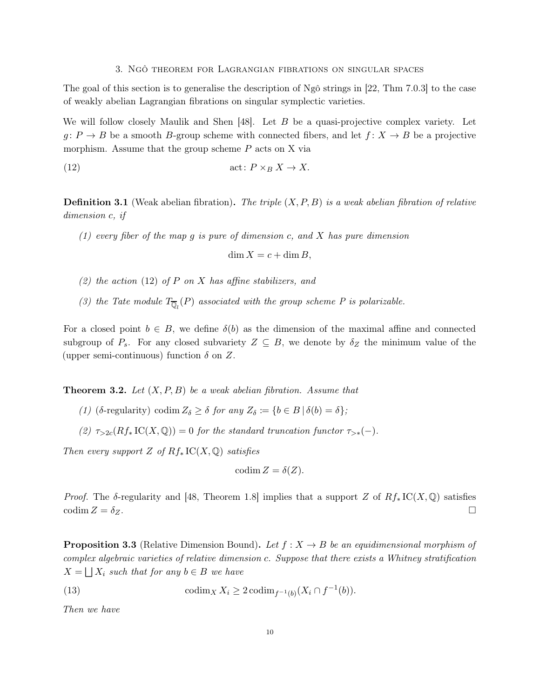#### 3. Ngô theorem for Lagrangian fibrations on singular spaces

<span id="page-9-0"></span>The goal of this section is to generalise the description of Ngô strings in [\[22,](#page-38-12) Thm 7.0.3] to the case of weakly abelian Lagrangian fibrations on singular symplectic varieties.

We will follow closely Maulik and Shen  $[48]$ . Let B be a quasi-projective complex variety. Let  $g: P \to B$  be a smooth B-group scheme with connected fibers, and let  $f: X \to B$  be a projective morphism. Assume that the group scheme  $P$  acts on X via

<span id="page-9-5"></span>
$$
(12) \t\t \t act: P \times_B X \to X.
$$

**Definition 3.1** (Weak abelian fibration). The triple  $(X, P, B)$  is a weak abelian fibration of relative dimension c, if

(1) every fiber of the map g is pure of dimension c, and X has pure dimension

<span id="page-9-1"></span> $\dim X = c + \dim B$ ,

(2) the action [\(12\)](#page-9-1) of P on X has affine stabilizers, and

(3) the Tate module  $T_{\overline{\mathbb{Q}}_l}(P)$  associated with the group scheme P is polarizable.

<span id="page-9-4"></span>For a closed point  $b \in B$ , we define  $\delta(b)$  as the dimension of the maximal affine and connected subgroup of  $P_s$ . For any closed subvariety  $Z \subseteq B$ , we denote by  $\delta_Z$  the minimum value of the (upper semi-continuous) function  $\delta$  on Z.

**Theorem 3.2.** Let  $(X, P, B)$  be a weak abelian fibration. Assume that

- (1) (δ-regularity) codim  $Z_{\delta} \geq \delta$  for any  $Z_{\delta} := \{b \in B \mid \delta(b) = \delta\};$
- (2)  $\tau_{>2c}(Rf_*\mathrm{IC}(X,\mathbb{Q}))=0$  for the standard truncation functor  $\tau_{>}(+)$ .

Then every support Z of  $Rf_*\mathrm{IC}(X,\mathbb{Q})$  satisfies

$$
codim Z = \delta(Z).
$$

<span id="page-9-3"></span>*Proof.* The δ-regularity and [\[48,](#page-39-2) Theorem 1.8] implies that a support Z of  $Rf_*\mathrm{IC}(X,\mathbb{Q})$  satisfies  $\operatorname{codim} Z = \delta_Z$ .

**Proposition 3.3** (Relative Dimension Bound). Let  $f: X \rightarrow B$  be an equidimensional morphism of complex algebraic varieties of relative dimension c. Suppose that there exists a Whitney stratification  $X = \bigsqcup X_i$  such that for any  $b \in B$  we have

<span id="page-9-2"></span>(13) 
$$
\operatorname{codim}_X X_i \ge 2 \operatorname{codim}_{f^{-1}(b)} (X_i \cap f^{-1}(b)).
$$

Then we have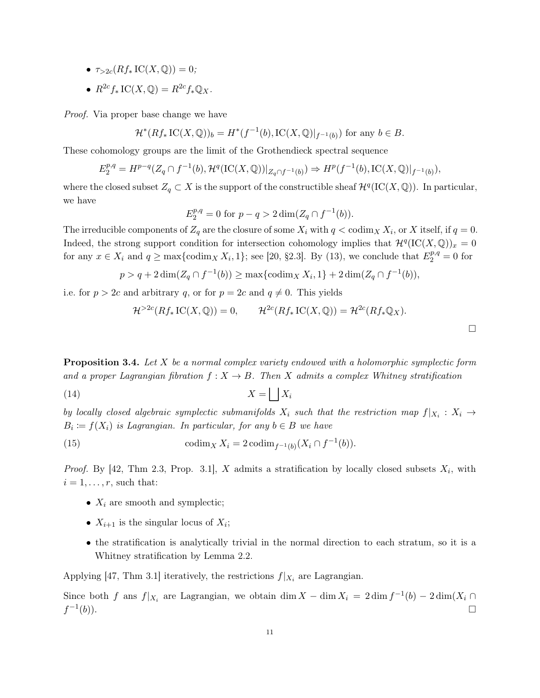- $\tau_{>2c}(Rf_*\mathrm{IC}(X,\mathbb{Q}))=0;$
- $R^{2c}f_*\text{IC}(X,\mathbb{Q}) = R^{2c}f_*\mathbb{Q}_X.$

Proof. Via proper base change we have

$$
\mathcal{H}^*(Rf_*\mathrm{IC}(X,\mathbb{Q}))_b = H^*(f^{-1}(b),\mathrm{IC}(X,\mathbb{Q})|_{f^{-1}(b)}) \text{ for any } b \in B.
$$

These cohomology groups are the limit of the Grothendieck spectral sequence

$$
E_2^{p,q} = H^{p-q}(Z_q \cap f^{-1}(b), \mathcal{H}^q(\mathrm{IC}(X, \mathbb{Q}))|_{Z_q \cap f^{-1}(b)}) \Rightarrow H^p(f^{-1}(b), \mathrm{IC}(X, \mathbb{Q})|_{f^{-1}(b)}),
$$

where the closed subset  $Z_q \subset X$  is the support of the constructible sheaf  $\mathcal{H}^q(\mathrm{IC}(X,\mathbb{Q}))$ . In particular, we have

$$
E_2^{p,q} = 0 \text{ for } p - q > 2 \dim(Z_q \cap f^{-1}(b)).
$$

The irreducible components of  $Z_q$  are the closure of some  $X_i$  with  $q < \text{codim}_X X_i$ , or X itself, if  $q = 0$ . Indeed, the strong support condition for intersection cohomology implies that  $\mathcal{H}^q(\mathrm{IC}(X,\mathbb{Q}))_x=0$ for any  $x \in X_i$  and  $q \ge \max{\{\text{codim}_X X_i, 1\}}$ ; see [\[20,](#page-38-17) §2.3]. By [\(13\)](#page-9-2), we conclude that  $E_2^{p,q} = 0$  for

 $p > q + 2 \dim(Z_q \cap f^{-1}(b)) \ge \max\{\text{codim}_X X_i, 1\} + 2 \dim(Z_q \cap f^{-1}(b)),$ 

i.e. for  $p > 2c$  and arbitrary q, or for  $p = 2c$  and  $q \neq 0$ . This yields

<span id="page-10-0"></span>
$$
\mathcal{H}^{>2c}(Rf_*\mathrm{IC}(X,\mathbb{Q}))=0,\qquad \mathcal{H}^{2c}(Rf_*\mathrm{IC}(X,\mathbb{Q}))=\mathcal{H}^{2c}(Rf_*\mathbb{Q}_X).
$$

<span id="page-10-1"></span>**Proposition 3.4.** Let  $X$  be a normal complex variety endowed with a holomorphic symplectic form and a proper Lagrangian fibration  $f: X \to B$ . Then X admits a complex Whitney stratification

$$
(14)\t\t\t X = \bigsqcup X_i
$$

by locally closed algebraic symplectic submanifolds  $X_i$  such that the restriction map  $f|_{X_i}: X_i \to$  $B_i \coloneqq f(X_i)$  is Lagrangian. In particular, for any  $b \in B$  we have

(15) 
$$
\operatorname{codim}_X X_i = 2 \operatorname{codim}_{f^{-1}(b)} (X_i \cap f^{-1}(b)).
$$

*Proof.* By [\[42,](#page-39-15) Thm 2.3, Prop. 3.1], X admits a stratification by locally closed subsets  $X_i$ , with  $i = 1, \ldots, r$ , such that:

- $X_i$  are smooth and symplectic;
- $X_{i+1}$  is the singular locus of  $X_i$ ;
- the stratification is analytically trivial in the normal direction to each stratum, so it is a Whitney stratification by Lemma [2.2.](#page-8-1)

Applying [\[47,](#page-39-16) Thm 3.1] iteratively, the restrictions  $f|_{X_i}$  are Lagrangian.

Since both f ans  $f|_{X_i}$  are Lagrangian, we obtain dim  $X - \dim X_i = 2 \dim f^{-1}(b) - 2 \dim(X_i \cap$  $f^{-1}$  $(b)$ ).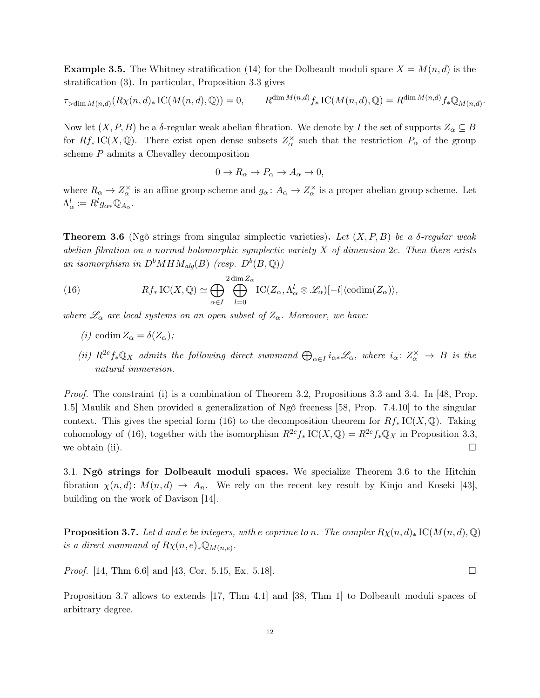**Example 3.5.** The Whitney stratification [\(14\)](#page-10-0) for the Dolbeault moduli space  $X = M(n, d)$  is the stratification [\(3\)](#page-1-1). In particular, Proposition [3.3](#page-9-3) gives

$$
\tau_{\text{Sdim }M(n,d)}(R\chi(n,d)_{*}\text{IC}(M(n,d),\mathbb{Q}))=0, \qquad R^{\dim M(n,d)}f_{*}\text{IC}(M(n,d),\mathbb{Q})=R^{\dim M(n,d)}f_{*}\mathbb{Q}_{M(n,d)}.
$$

Now let  $(X, P, B)$  be a  $\delta$ -regular weak abelian fibration. We denote by I the set of supports  $Z_{\alpha} \subseteq B$ for  $Rf_*\mathrm{IC}(X,\mathbb{Q})$ . There exist open dense subsets  $Z_\alpha^{\times}$  such that the restriction  $P_\alpha$  of the group scheme P admits a Chevalley decomposition

$$
0 \to R_{\alpha} \to P_{\alpha} \to A_{\alpha} \to 0,
$$

<span id="page-11-0"></span>where  $R_{\alpha} \to Z_{\alpha}^{\times}$  is an affine group scheme and  $g_{\alpha} \colon A_{\alpha} \to Z_{\alpha}^{\times}$  is a proper abelian group scheme. Let  $\Lambda^l_\alpha \coloneqq R^lg_{\alpha*}\mathbb{Q}_{A_\alpha}.$ 

**Theorem 3.6** (Ngô strings from singular simplectic varieties). Let  $(X, P, B)$  be a  $\delta$ -regular weak abelian fibration on a normal holomorphic symplectic variety  $X$  of dimension 2c. Then there exists an isomorphism in  $D^bMHM_{alg}(B)$  (resp.  $D^b(B, \mathbb{Q})$ )

<span id="page-11-2"></span>(16) 
$$
Rf_*\operatorname{IC}(X,\mathbb{Q})\simeq \bigoplus_{\alpha\in I}\bigoplus_{l=0}^{2\dim Z_{\alpha}}\operatorname{IC}(Z_{\alpha},\Lambda_{\alpha}^l\otimes\mathscr{L}_{\alpha})[-l]\langle \operatorname{codim}(Z_{\alpha})\rangle,
$$

<span id="page-11-1"></span>where  $\mathcal{L}_{\alpha}$  are local systems on an open subset of  $Z_{\alpha}$ . Moreover, we have:

- <span id="page-11-3"></span>(i) codim  $Z_{\alpha} = \delta(Z_{\alpha});$
- (ii)  $R^{2c} f_* \mathbb{Q}_X$  admits the following direct summand  $\bigoplus_{\alpha \in I} i_{\alpha *} \mathscr{L}_{\alpha}$ , where  $i_{\alpha} : Z_{\alpha}^{\times} \to B$  is the natural immersion.

Proof. The constraint [\(i\)](#page-11-1) is a combination of Theorem [3.2,](#page-9-4) Propositions [3.3](#page-9-3) and [3.4.](#page-10-1) In [\[48,](#page-39-2) Prop. 1.5] Maulik and Shen provided a generalization of Ngô freeness [\[58,](#page-39-17) Prop. 7.4.10] to the singular context. This gives the special form [\(16\)](#page-11-2) to the decomposition theorem for  $Rf_*\mathrm{IC}(X,\mathbb{Q})$ . Taking cohomology of [\(16\)](#page-11-2), together with the isomorphism  $R^{2c}f_* IC(X,\mathbb{Q}) = R^{2c}f_*\mathbb{Q}_X$  in Proposition [3.3,](#page-9-3) we obtain [\(ii\).](#page-11-3)  $\Box$ 

<span id="page-11-4"></span>3.1. Ngô strings for Dolbeault moduli spaces. We specialize Theorem [3.6](#page-11-0) to the Hitchin fibration  $\chi(n, d)$ :  $M(n, d) \to A_n$ . We rely on the recent key result by Kinjo and Koseki [\[43\]](#page-39-6), building on the work of Davison [\[14\]](#page-37-0).

**Proposition 3.7.** Let d and e be integers, with e coprime to n. The complex  $R_\lambda(n, d)_\ast\text{IC}(M(n, d), \mathbb{Q})$ is a direct summand of  $R\chi(n,e)_{*}\mathbb{Q}_{M(n,e)}$ .

*Proof.* [\[14,](#page-37-0) Thm 6.6] and [\[43,](#page-39-6) Cor. 5.15, Ex. 5.18].

<span id="page-11-5"></span>Proposition [3.7](#page-11-4) allows to extends [\[17,](#page-38-10) Thm 4.1] and [\[38,](#page-38-4) Thm 1] to Dolbeault moduli spaces of arbitrary degree.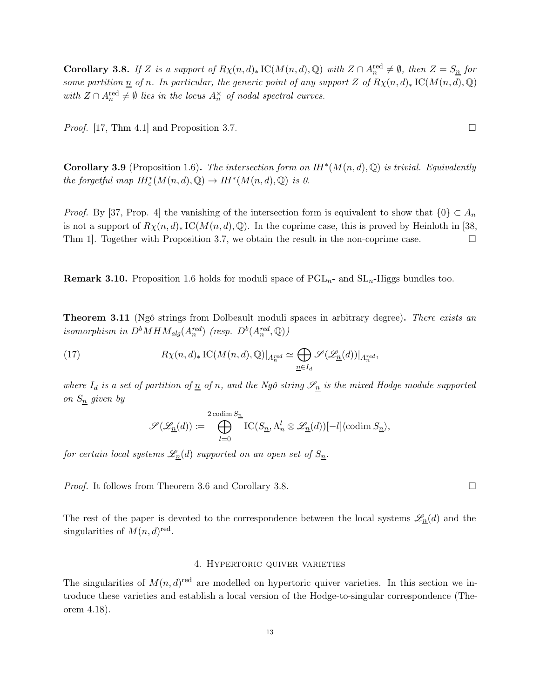**Corollary 3.8.** If Z is a support of  $R\chi(n,d)$ <sub>\*</sub> IC( $M(n,d)$ ,  $\mathbb{Q}$ ) with  $Z \cap A_n^{\text{red}} \neq \emptyset$ , then  $Z = S_{\underline{n}}$  for some partition  $\underline{n}$  of n. In particular, the generic point of any support Z of  $R\chi(n,d)_{*}$  IC( $M(n,d), \mathbb{Q}$ ) with  $Z \cap A_n^{\text{red}} \neq \emptyset$  lies in the locus  $A_n^{\times}$  of nodal spectral curves.

<span id="page-12-3"></span>*Proof.* [\[17,](#page-38-10) Thm 4.1] and Proposition [3.7.](#page-11-4)

Corollary 3.9 (Proposition [1.6\)](#page-5-1). The intersection form on  $IH^*(M(n,d),\mathbb{Q})$  is trivial. Equivalently the forgetful map  $I\!H_c^*(M(n,d),\mathbb{Q}) \to I\!H^*(M(n,d),\mathbb{Q})$  is 0.

*Proof.* By [\[37,](#page-38-18) Prop. 4] the vanishing of the intersection form is equivalent to show that  $\{0\} \subset A_n$ is not a support of  $R\chi(n, d)_*$  IC( $M(n, d)$ ,  $\mathbb{Q}$ ). In the coprime case, this is proved by Heinloth in [\[38,](#page-38-4) Thm 1. Together with Proposition [3.7,](#page-11-4) we obtain the result in the non-coprime case.  $\square$ 

<span id="page-12-1"></span>**Remark 3.10.** Proposition [1.6](#page-5-1) holds for moduli space of  $PGL_n$ - and  $SL_n$ -Higgs bundles too.

**Theorem 3.11** (Ngô strings from Dolbeault moduli spaces in arbitrary degree). There exists an isomorphism in  $D^b M H M_{alg}(A_n^{red})$  (resp.  $D^b(A_n^{red}, \mathbb{Q})$ )

(17) 
$$
R\chi(n,d)_* \operatorname{IC}(M(n,d),\mathbb{Q})|_{A_n^{red}} \simeq \bigoplus_{\underline{n}\in I_d} \mathscr{S}(\mathscr{L}_{\underline{n}}(d))|_{A_n^{red}},
$$

where  $I_d$  is a set of partition of  $\underline{n}$  of n, and the Ngô string  $\mathscr{S}_{\underline{n}}$  is the mixed Hodge module supported on  $S_n$  given by

<span id="page-12-2"></span>
$$
\mathscr{S}(\mathscr{L}_{\underline{n}}(d))\coloneqq\bigoplus_{l=0}^{2\operatorname{codim} S_{\underline{n}}}\operatorname{IC}(S_{\underline{n}},\Lambda_{\underline{n}}^{l}\otimes\mathscr{L}_{\underline{n}}(d))[-l]\langle \operatorname{codim} S_{\underline{n}}\rangle,
$$

for certain local systems  $\mathscr{L}_n(d)$  supported on an open set of  $S_n$ .

*Proof.* It follows from Theorem [3.6](#page-11-0) and Corollary [3.8.](#page-11-5) □

<span id="page-12-0"></span>The rest of the paper is devoted to the correspondence between the local systems  $\mathscr{L}_n(d)$  and the singularities of  $M(n,d)$ <sup>red</sup>.

## 4. Hypertoric quiver varieties

The singularities of  $M(n,d)$ <sup>red</sup> are modelled on hypertoric quiver varieties. In this section we introduce these varieties and establish a local version of the Hodge-to-singular correspondence (Theorem [4.18\)](#page-18-0).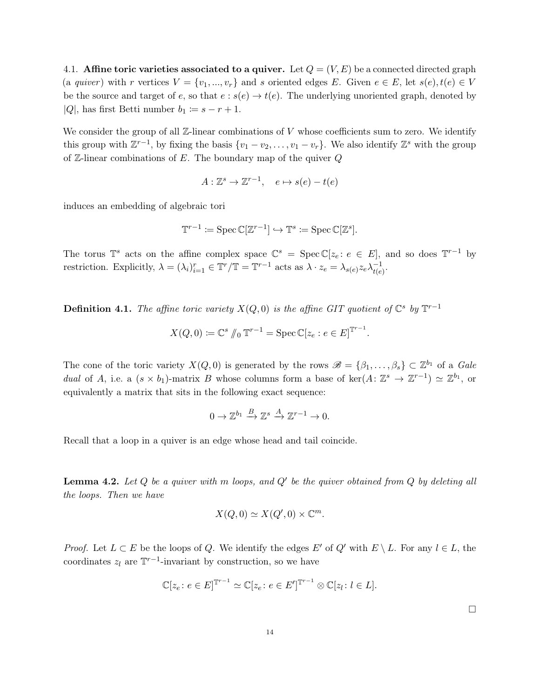<span id="page-13-0"></span>4.1. Affine toric varieties associated to a quiver. Let  $Q = (V, E)$  be a connected directed graph (a quiver) with r vertices  $V = \{v_1, ..., v_r\}$  and s oriented edges E. Given  $e \in E$ , let  $s(e), t(e) \in V$ be the source and target of e, so that  $e : s(e) \to t(e)$ . The underlying unoriented graph, denoted by |Q|, has first Betti number  $b_1 := s - r + 1$ .

We consider the group of all  $\mathbb Z$ -linear combinations of V whose coefficients sum to zero. We identify this group with  $\mathbb{Z}^{r-1}$ , by fixing the basis  $\{v_1 - v_2, \ldots, v_1 - v_r\}$ . We also identify  $\mathbb{Z}^s$  with the group of  $\mathbb{Z}$ -linear combinations of E. The boundary map of the quiver  $Q$ 

$$
A: \mathbb{Z}^s \to \mathbb{Z}^{r-1}, \quad e \mapsto s(e) - t(e)
$$

induces an embedding of algebraic tori

$$
\mathbb{T}^{r-1}:=\operatorname{Spec} \mathbb{C}[\mathbb{Z}^{r-1}]\hookrightarrow \mathbb{T}^s\coloneqq\operatorname{Spec} \mathbb{C}[\mathbb{Z}^s].
$$

The torus  $\mathbb{T}^s$  acts on the affine complex space  $\mathbb{C}^s = \text{Spec } \mathbb{C}[z_e : e \in E]$ , and so does  $\mathbb{T}^{r-1}$  by restriction. Explicitly,  $\lambda = (\lambda_i)_{i=1}^r \in \mathbb{T}^r / \mathbb{T} = \mathbb{T}^{r-1}$  acts as  $\lambda \cdot z_e = \lambda_{s(e)} z_e \lambda_{t(e)}^{-1}$  $\frac{-1}{t(e)}$ .

**Definition 4.1.** The affine toric variety  $X(Q, 0)$  is the affine GIT quotient of  $\mathbb{C}^s$  by  $\mathbb{T}^{r-1}$ 

$$
X(Q,0) \coloneqq \mathbb{C}^s \, / \! \! /_0 \, \mathbb{T}^{r-1} = \operatorname{Spec} \mathbb{C}[z_e : e \in E]^{\mathbb{T}^{r-1}}.
$$

The cone of the toric variety  $X(Q, 0)$  is generated by the rows  $\mathscr{B} = {\beta_1, \ldots, \beta_s} \subset \mathbb{Z}^{b_1}$  of a Gale dual of A, i.e. a  $(s \times b_1)$ -matrix B whose columns form a base of ker $(A: \mathbb{Z}^s \to \mathbb{Z}^{r-1}) \simeq \mathbb{Z}^{b_1}$ , or equivalently a matrix that sits in the following exact sequence:

$$
0 \to \mathbb{Z}^{b_1} \xrightarrow{B} \mathbb{Z}^s \xrightarrow{A} \mathbb{Z}^{r-1} \to 0.
$$

<span id="page-13-1"></span>Recall that a loop in a quiver is an edge whose head and tail coincide.

**Lemma 4.2.** Let  $Q$  be a quiver with m loops, and  $Q'$  be the quiver obtained from  $Q$  by deleting all the loops. Then we have

$$
X(Q,0) \simeq X(Q',0) \times \mathbb{C}^m.
$$

*Proof.* Let  $L \subset E$  be the loops of Q. We identify the edges E' of Q' with  $E \setminus L$ . For any  $l \in L$ , the coordinates  $z_l$  are  $\mathbb{T}^{r-1}$ -invariant by construction, so we have

$$
\mathbb{C}[z_e: e \in E]^{\mathbb{T}^{r-1}} \simeq \mathbb{C}[z_e: e \in E']^{\mathbb{T}^{r-1}} \otimes \mathbb{C}[z_l: l \in L].
$$

 $\Box$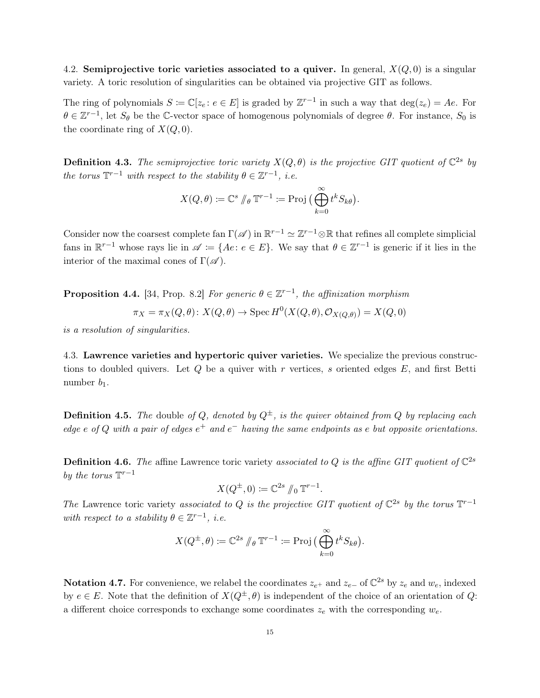4.2. Semiprojective toric varieties associated to a quiver. In general,  $X(Q, 0)$  is a singular variety. A toric resolution of singularities can be obtained via projective GIT as follows.

The ring of polynomials  $S \coloneqq \mathbb{C}[z_e : e \in E]$  is graded by  $\mathbb{Z}^{r-1}$  in such a way that  $\deg(z_e) = Ae$ . For  $\theta \in \mathbb{Z}^{r-1}$ , let  $S_{\theta}$  be the C-vector space of homogenous polynomials of degree  $\theta$ . For instance,  $S_0$  is the coordinate ring of  $X(Q, 0)$ .

**Definition 4.3.** The semiprojective toric variety  $X(Q, \theta)$  is the projective GIT quotient of  $\mathbb{C}^{2s}$  by the torus  $\mathbb{T}^{r-1}$  with respect to the stability  $\theta \in \mathbb{Z}^{r-1}$ , i.e.

$$
X(Q,\theta) \coloneqq \mathbb{C}^s \, \#_{\theta} \, \mathbb{T}^{r-1} \coloneqq \operatorname{Proj} \big( \bigoplus_{k=0}^{\infty} t^k S_{k\theta} \big).
$$

Consider now the coarsest complete fan  $\Gamma(\mathscr{A})$  in  $\mathbb{R}^{r-1} \simeq \mathbb{Z}^{r-1} \otimes \mathbb{R}$  that refines all complete simplicial fans in  $\mathbb{R}^{r-1}$  whose rays lie in  $\mathscr{A} \coloneqq \{Ae \colon e \in E\}$ . We say that  $\theta \in \mathbb{Z}^{r-1}$  is generic if it lies in the interior of the maximal cones of  $\Gamma(\mathscr{A})$ .

**Proposition 4.4.** [\[34,](#page-38-19) Prop. 8.2] For generic  $\theta \in \mathbb{Z}^{r-1}$ , the affinization morphism

$$
\pi_X = \pi_X(Q, \theta) \colon X(Q, \theta) \to \operatorname{Spec} H^0(X(Q, \theta), \mathcal{O}_{X(Q, \theta)}) = X(Q, 0)
$$

is a resolution of singularities.

4.3. Lawrence varieties and hypertoric quiver varieties. We specialize the previous constructions to doubled quivers. Let  $Q$  be a quiver with r vertices, s oriented edges  $E$ , and first Betti number  $b_1$ .

**Definition 4.5.** The double of Q, denoted by  $Q^{\pm}$ , is the quiver obtained from Q by replacing each edge e of Q with a pair of edges  $e^+$  and  $e^-$  having the same endpoints as e but opposite orientations.

**Definition 4.6.** The affine Lawrence toric variety associated to Q is the affine GIT quotient of  $\mathbb{C}^{2s}$ by the torus  $\mathbb{T}^{r-1}$ 

$$
X(Q^{\pm},0) \coloneqq \mathbb{C}^{2s} \mathbb{I}_0 \mathbb{T}^{r-1}.
$$

The Lawrence toric variety associated to Q is the projective GIT quotient of  $\mathbb{C}^{2s}$  by the torus  $\mathbb{T}^{r-1}$ with respect to a stability  $\theta \in \mathbb{Z}^{r-1}$ , i.e.

$$
X(Q^{\pm}, \theta) \coloneqq \mathbb{C}^{2s} / \theta \, \mathbb{T}^{r-1} \coloneqq \text{Proj} \, \big( \bigoplus_{k=0}^{\infty} t^k S_{k\theta} \big).
$$

**Notation 4.7.** For convenience, we relabel the coordinates  $z_{e^+}$  and  $z_{e^-}$  of  $\mathbb{C}^{2s}$  by  $z_e$  and  $w_e$ , indexed by  $e \in E$ . Note that the definition of  $X(Q^{\pm}, \theta)$  is independent of the choice of an orientation of Q: a different choice corresponds to exchange some coordinates  $z_e$  with the corresponding  $w_e$ .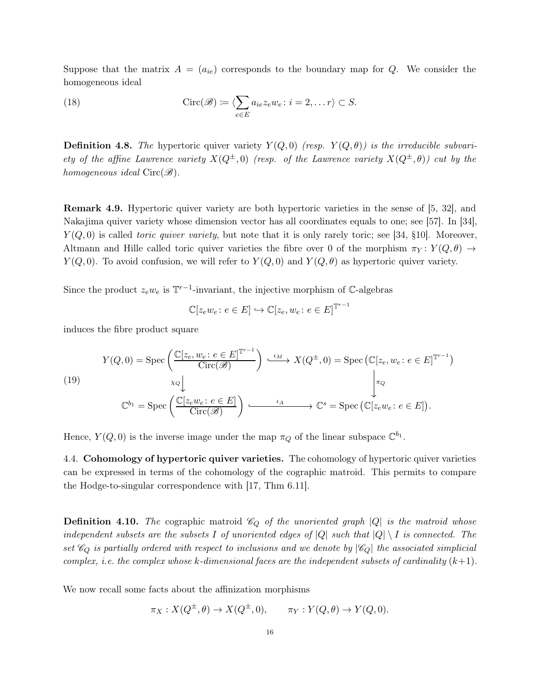Suppose that the matrix  $A = (a_{ie})$  corresponds to the boundary map for Q. We consider the homogeneous ideal

<span id="page-15-2"></span><span id="page-15-0"></span>(18) 
$$
\operatorname{Circ}(\mathscr{B}) \coloneqq \langle \sum_{e \in E} a_{ie} z_e w_e : i = 2, \dots r \rangle \subset S.
$$

**Definition 4.8.** The hypertoric quiver variety  $Y(Q, 0)$  (resp.  $Y(Q, \theta)$ ) is the irreducible subvariety of the affine Lawrence variety  $X(Q^{\pm},0)$  (resp. of the Lawrence variety  $X(Q^{\pm},\theta)$ ) cut by the homogeneous ideal  $Circ(\mathscr{B})$ .

Remark 4.9. Hypertoric quiver variety are both hypertoric varieties in the sense of [\[5,](#page-37-8) [32\]](#page-38-20), and Nakajima quiver variety whose dimension vector has all coordinates equals to one; see [\[57\]](#page-39-18). In [\[34\]](#page-38-19),  $Y(Q, 0)$  is called *toric quiver variety*, but note that it is only rarely toric; see [\[34,](#page-38-19) §10]. Moreover, Altmann and Hille called toric quiver varieties the fibre over 0 of the morphism  $\pi_Y : Y(Q, \theta) \to Y(Q, \theta)$  $Y(Q, 0)$ . To avoid confusion, we will refer to  $Y(Q, 0)$  and  $Y(Q, \theta)$  as hypertoric quiver variety.

Since the product  $z_e w_e$  is  $\mathbb{T}^{r-1}$ -invariant, the injective morphism of  $\mathbb{C}$ -algebras

$$
\mathbb{C}[z_e w_e : e \in E] \hookrightarrow \mathbb{C}[z_e, w_e : e \in E]^{T^{r-1}}
$$

induces the fibre product square

<span id="page-15-1"></span>(19)  
\n
$$
Y(Q,0) = \operatorname{Spec} \left( \frac{\mathbb{C}[z_e, w_e : e \in E]^{\mathbb{T}^{r-1}}}{\operatorname{Circ}(\mathcal{B})} \right) \xrightarrow{\iota_M} X(Q^{\pm},0) = \operatorname{Spec} \left( \mathbb{C}[z_e, w_e : e \in E]^{\mathbb{T}^{r-1}} \right)
$$
\n
$$
x_Q \downarrow \qquad \qquad \downarrow \pi_Q
$$
\n
$$
\mathbb{C}^{b_1} = \operatorname{Spec} \left( \frac{\mathbb{C}[z_e w_e : e \in E]}{\operatorname{Circ}(\mathcal{B})} \right) \xrightarrow{\iota_A} \mathbb{C}^s = \operatorname{Spec} \left( \mathbb{C}[z_e w_e : e \in E] \right).
$$

Hence,  $Y(Q, 0)$  is the inverse image under the map  $\pi_Q$  of the linear subspace  $\mathbb{C}^{b_1}$ .

4.4. Cohomology of hypertoric quiver varieties. The cohomology of hypertoric quiver varieties can be expressed in terms of the cohomology of the cographic matroid. This permits to compare the Hodge-to-singular correspondence with [\[17,](#page-38-10) Thm 6.11].

**Definition 4.10.** The cographic matroid  $\mathcal{C}_Q$  of the unoriented graph  $|Q|$  is the matroid whose independent subsets are the subsets I of unoriented edges of  $|Q|$  such that  $|Q| \setminus I$  is connected. The set  $\mathscr{C}_Q$  is partially ordered with respect to inclusions and we denote by  $|\mathscr{C}_Q|$  the associated simplicial complex, i.e. the complex whose k-dimensional faces are the independent subsets of cardinality  $(k+1)$ .

We now recall some facts about the affinization morphisms

$$
\pi_X: X(Q^{\pm}, \theta) \to X(Q^{\pm}, 0), \qquad \pi_Y: Y(Q, \theta) \to Y(Q, 0).
$$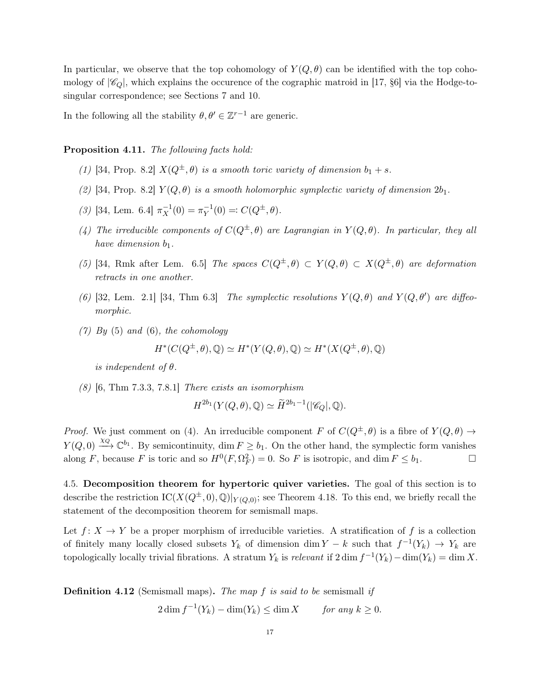In particular, we observe that the top cohomology of  $Y(Q, \theta)$  can be identified with the top cohomology of  $|\mathscr{C}_Q|$ , which explains the occurence of the cographic matroid in [\[17,](#page-38-10) §6] via the Hodge-tosingular correspondence; see Sections [7](#page-23-0) and [10.](#page-32-1)

<span id="page-16-0"></span>In the following all the stability  $\theta, \theta' \in \mathbb{Z}^{r-1}$  are generic.

Proposition 4.11. The following facts hold:

- (1) [\[34,](#page-38-19) Prop. 8.2]  $X(Q^{\pm}, \theta)$  is a smooth toric variety of dimension  $b_1 + s$ .
- (2) [\[34,](#page-38-19) Prop. 8.2]  $Y(Q, \theta)$  is a smooth holomorphic symplectic variety of dimension  $2b_1$ .
- <span id="page-16-4"></span>(3) [\[34,](#page-38-19) Lem. 6.4]  $\pi_X^{-1}$  $X^{-1}(0) = \pi_Y^{-1}$  $Y^{-1}(0) =: C(Q^{\pm}, \theta).$
- <span id="page-16-2"></span>(4) The irreducible components of  $C(Q^{\pm}, \theta)$  are Lagrangian in  $Y(Q, \theta)$ . In particular, they all have dimension  $b_1$ .
- <span id="page-16-3"></span>(5) [\[34,](#page-38-19) Rmk after Lem. 6.5] The spaces  $C(Q^{\pm}, \theta) \subset Y(Q, \theta) \subset X(Q^{\pm}, \theta)$  are deformation retracts in one another.
- (6) [\[32,](#page-38-20) Lem. 2.1] [\[34,](#page-38-19) Thm 6.3] The symplectic resolutions  $Y(Q, \theta)$  and  $Y(Q, \theta')$  are diffeomorphic.
- $(7)$  By  $(5)$  and  $(6)$ , the cohomology

$$
H^*(C(Q^{\pm}, \theta), \mathbb{Q}) \simeq H^*(Y(Q, \theta), \mathbb{Q}) \simeq H^*(X(Q^{\pm}, \theta), \mathbb{Q})
$$

is independent of  $\theta$ .

<span id="page-16-5"></span> $(8)$  [\[6,](#page-37-9) Thm 7.3.3, 7.8.1] There exists an isomorphism

$$
H^{2b_1}(Y(Q,\theta),\mathbb{Q}) \simeq \widetilde{H}^{2b_1-1}(|\mathscr{C}_Q|,\mathbb{Q}).
$$

*Proof.* We just comment on [\(4\)](#page-16-4). An irreducible component F of  $C(Q^{\pm}, \theta)$  is a fibre of  $Y(Q, \theta) \rightarrow$  $Y(Q,0) \stackrel{\chi_Q}{\longrightarrow} \mathbb{C}^{b_1}$ . By semicontinuity, dim  $F \geq b_1$ . On the other hand, the symplectic form vanishes along F, because F is toric and so  $H^0(F, \Omega_F^2) = 0$ . So F is isotropic, and dim  $F \le b_1$ .

<span id="page-16-1"></span>4.5. Decomposition theorem for hypertoric quiver varieties. The goal of this section is to describe the restriction  $IC(X(Q^{\pm}, 0), \mathbb{Q})|_{Y(Q,0)}$ ; see Theorem [4.18.](#page-18-0) To this end, we briefly recall the statement of the decomposition theorem for semismall maps.

Let  $f: X \to Y$  be a proper morphism of irreducible varieties. A stratification of f is a collection of finitely many locally closed subsets  $Y_k$  of dimension dim  $Y - k$  such that  $f^{-1}(Y_k) \to Y_k$  are topologically locally trivial fibrations. A stratum  $Y_k$  is relevant if  $2 \dim f^{-1}(Y_k) - \dim(Y_k) = \dim X$ .

**Definition 4.12** (Semismall maps). The map  $f$  is said to be semismall if

$$
2\dim f^{-1}(Y_k) - \dim(Y_k) \le \dim X \quad \text{for any } k \ge 0.
$$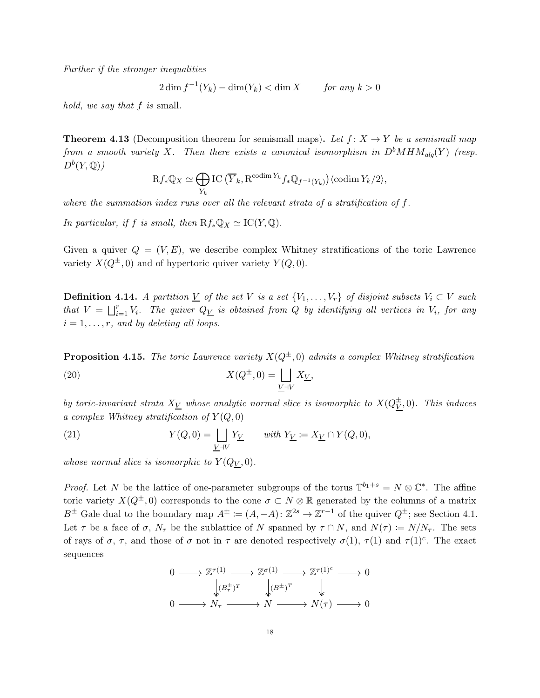Further if the stronger inequalities

$$
2\dim f^{-1}(Y_k) - \dim(Y_k) < \dim X \quad \text{for any } k > 0
$$

<span id="page-17-2"></span>hold, we say that f is small.

**Theorem 4.13** (Decomposition theorem for semismall maps). Let  $f: X \rightarrow Y$  be a semismall map from a smooth variety X. Then there exists a canonical isomorphism in  $D^bMHM_{alg}(Y)$  (resp.  $D^b(Y, \mathbb{Q})$ 

$$
\mathrm{R} f_* \mathbb{Q}_X \simeq \bigoplus_{Y_k} \mathrm{IC} \left( \overline{Y}_k, \mathrm{R}^{\mathrm{codim}\, Y_k} f_* \mathbb{Q}_{f^{-1}(Y_k)} \right) \langle \mathrm{codim}\, Y_k/2 \rangle,
$$

where the summation index runs over all the relevant strata of a stratification of  $f$ .

In particular, if f is small, then  $Rf_*\mathbb{Q}_X \simeq \text{IC}(Y,\mathbb{Q})$ .

Given a quiver  $Q = (V, E)$ , we describe complex Whitney stratifications of the toric Lawrence variety  $X(Q^{\pm}, 0)$  and of hypertoric quiver variety  $Y(Q, 0)$ .

**Definition 4.14.** A partition  $\underline{V}$  of the set V is a set  $\{V_1, \ldots, V_r\}$  of disjoint subsets  $V_i \subset V$  such that  $V = \bigsqcup_{i=1}^r V_i$ . The quiver  $Q_V$  is obtained from Q by identifying all vertices in  $V_i$ , for any  $i = 1, \ldots, r$ , and by deleting all loops.

**Proposition 4.15.** The toric Lawrence variety  $X(Q^{\pm}, 0)$  admits a complex Whitney stratification

<span id="page-17-0"></span>(20) 
$$
X(Q^{\pm},0) = \bigsqcup_{\underline{V} \dashv V} X_{\underline{V}},
$$

by toric-invariant strata  $X_{\underline{V}}$  whose analytic normal slice is isomorphic to  $X(Q_V^{\pm})$  $(\frac{v}{V},0)$ . This induces a complex Whitney stratification of  $Y(Q, 0)$ 

<span id="page-17-1"></span>(21) 
$$
Y(Q,0) = \bigsqcup_{\underline{V} \dashv V} Y_{\underline{V}} \quad \text{with } Y_{\underline{V}} := X_{\underline{V}} \cap Y(Q,0),
$$

whose normal slice is isomorphic to  $Y(Q_V, 0)$ .

*Proof.* Let N be the lattice of one-parameter subgroups of the torus  $\mathbb{T}^{b_1+s} = N \otimes \mathbb{C}^*$ . The affine toric variety  $X(Q^{\pm},0)$  corresponds to the cone  $\sigma \subset N \otimes \mathbb{R}$  generated by the columns of a matrix  $B^{\pm}$  Gale dual to the boundary map  $A^{\pm} := (A, -A) : \mathbb{Z}^{2s} \to \mathbb{Z}^{r-1}$  of the quiver  $Q^{\pm}$ ; see Section [4.1.](#page-13-0) Let  $\tau$  be a face of  $\sigma$ ,  $N_{\tau}$  be the sublattice of N spanned by  $\tau \cap N$ , and  $N(\tau) \coloneqq N/N_{\tau}$ . The sets of rays of  $\sigma$ ,  $\tau$ , and those of  $\sigma$  not in  $\tau$  are denoted respectively  $\sigma(1)$ ,  $\tau(1)$  and  $\tau(1)^c$ . The exact sequences

$$
\begin{array}{ccc}\n0 & \longrightarrow & \mathbb{Z}^{\tau(1)} & \longrightarrow & \mathbb{Z}^{\sigma(1)} & \longrightarrow & \mathbb{Z}^{\tau(1)^c} & \longrightarrow & 0 \\
& & \downarrow & & \downarrow & & \\
0 & \longrightarrow & N_{\tau} & \longrightarrow & N & \longrightarrow & N(\tau) & \longrightarrow & 0\n\end{array}
$$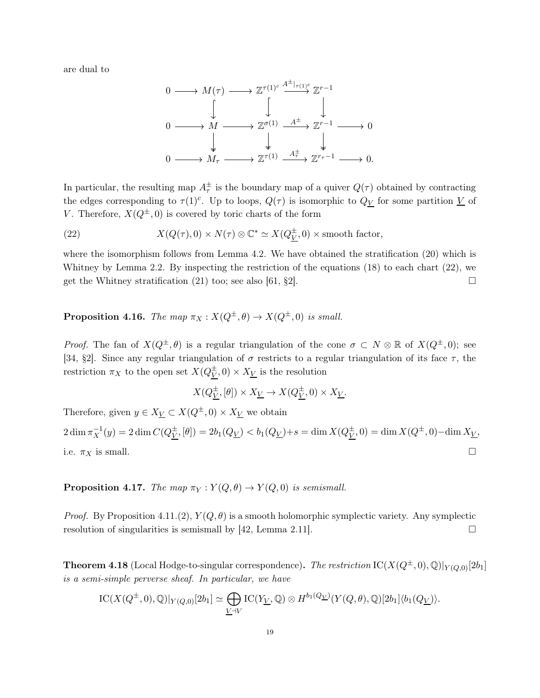are dual to

$$
\begin{array}{ccc}\n0 & \longrightarrow M(\tau) \longrightarrow \mathbb{Z}^{\tau(1)^{c}} \xrightarrow{A^{\pm} \mid_{\tau(1)^{c}}} \mathbb{Z}^{r-1} \\
0 & \longrightarrow M \longrightarrow \mathbb{Z}^{\sigma(1)} \xrightarrow{A^{\pm}} \mathbb{Z}^{r-1} \longrightarrow 0 \\
0 & \downarrow \downarrow \downarrow \\
0 & \longrightarrow M_{\tau} \longrightarrow \mathbb{Z}^{\tau(1)} \xrightarrow{A^{\pm}_{\tau}} \mathbb{Z}^{r_{\tau}-1} \longrightarrow 0.\n\end{array}
$$

In particular, the resulting map  $A_{\tau}^{\pm}$  is the boundary map of a quiver  $Q(\tau)$  obtained by contracting the edges corresponding to  $\tau(1)^c$ . Up to loops,  $Q(\tau)$  is isomorphic to  $Q_{\underline{V}}$  for some partition  $\underline{V}$  of V. Therefore,  $X(Q^{\pm}, 0)$  is covered by toric charts of the form

<span id="page-18-1"></span>(22) 
$$
X(Q(\tau),0) \times N(\tau) \otimes \mathbb{C}^* \simeq X(Q_{\underline{V}}^{\pm},0) \times \text{smooth factor},
$$

where the isomorphism follows from Lemma [4.2.](#page-13-1) We have obtained the stratification [\(20\)](#page-17-0) which is Whitney by Lemma [2.2.](#page-8-1) By inspecting the restriction of the equations [\(18\)](#page-15-0) to each chart [\(22\)](#page-18-1), we get the Whitney stratification [\(21\)](#page-17-1) too; see also [\[61,](#page-39-19) §2].

**Proposition 4.16.** The map  $\pi_X : X(Q^{\pm}, \theta) \to X(Q^{\pm}, 0)$  is small.

*Proof.* The fan of  $X(Q^{\pm}, \theta)$  is a regular triangulation of the cone  $\sigma \subset N \otimes \mathbb{R}$  of  $X(Q^{\pm}, 0)$ ; see [\[34,](#page-38-19) §2]. Since any regular triangulation of  $\sigma$  restricts to a regular triangulation of its face  $\tau$ , the restriction  $\pi_X$  to the open set  $X(Q_V^{\pm})$  $(\frac{v}{V},0) \times X_{V}$  is the resolution

$$
X(Q_{\underline{V}}^{\pm},[\theta]) \times X_{\underline{V}} \to X(Q_{\underline{V}}^{\pm},0) \times X_{\underline{V}}.
$$

Therefore, given  $y \in X_V \subset X(Q^{\pm}, 0) \times X_V$  we obtain  $2\dim \pi_X^{-1}(y) = 2\dim C(Q^{\pm}_Y)$  $(\frac{1}{V}, [\theta]) = 2b_1(Q_{\underline{V}}) < b_1(Q_{\underline{V}}) + s = \dim X(Q_{\underline{V}}^{\pm})$  $(\frac{\pm}{V},0) = \dim X(Q^{\pm},0) - \dim X_{\underline{V}},$ i.e.  $\pi_X$  is small.

**Proposition 4.17.** The map  $\pi_Y : Y(Q, \theta) \to Y(Q, 0)$  is semismall.

<span id="page-18-0"></span>*Proof.* By Proposition [4.11.](#page-16-0)(2),  $Y(Q, \theta)$  is a smooth holomorphic symplectic variety. Any symplectic resolution of singularities is semismall by  $[42, \text{ Lemma } 2.11].$ 

**Theorem 4.18** (Local Hodge-to-singular correspondence). The restriction  $IC(X(Q^{\pm},0),\mathbb{Q})|_{Y(O,0)}[2b_1]$ is a semi-simple perverse sheaf. In particular, we have

$$
\mathrm{IC}(X(Q^\pm,0),\mathbb Q)|_{Y(Q,0)}[2b_1]\simeq \bigoplus_{\underline{V}\dashv V}\mathrm{IC}(Y_{\underline{V}},\mathbb Q)\otimes H^{b_1(Q_{\underline{V}})}(Y(Q,\theta),\mathbb Q)[2b_1]\langle b_1(Q_{\underline{V}})\rangle.
$$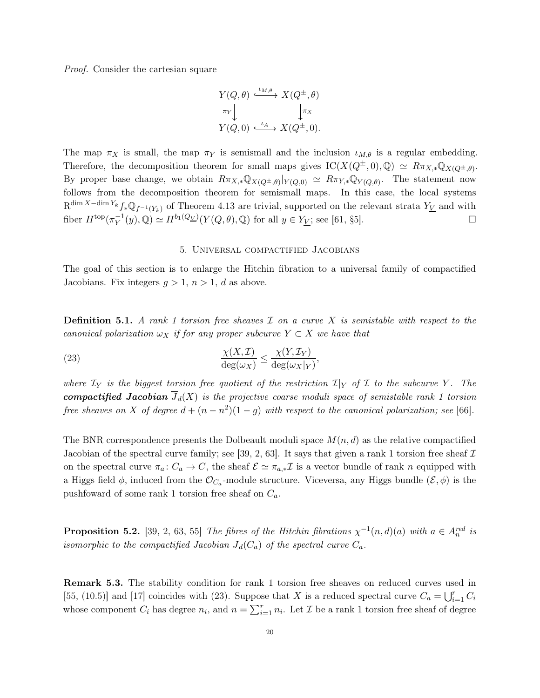Proof. Consider the cartesian square

$$
\begin{aligned}\nY(Q,\theta) &\xrightarrow{\iota_{M,\theta}} X(Q^{\pm},\theta) \\
\pi_Y &\downarrow \qquad \qquad \downarrow \pi_X \\
Y(Q,0) &\xrightarrow{\iota_A} X(Q^{\pm},0).\n\end{aligned}
$$

The map  $\pi_X$  is small, the map  $\pi_Y$  is semismall and the inclusion  $\iota_{M,\theta}$  is a regular embedding. Therefore, the decomposition theorem for small maps gives  $\mathop{\rm IC}(X(Q^{\pm},0),\mathbb Q) \simeq R\pi_{X,*}\mathbb Q_{X(Q^{\pm},\theta)}$ . By proper base change, we obtain  $R\pi_{X,*}\mathbb{Q}_{X(Q^{\pm},\theta)}|_{Y(Q,0)} \simeq R\pi_{Y,*}\mathbb{Q}_{Y(Q,\theta)}$ . The statement now follows from the decomposition theorem for semismall maps. In this case, the local systems  $R^{\dim X-\dim Y_k} f_* \mathbb{Q}_{f^{-1}(Y_k)}$  of Theorem [4.13](#page-17-2) are trivial, supported on the relevant strata  $Y_V$  and with fiber  $H^{\rm top}(\pi_Y^{-1})$  $Y_Y^{-1}(y), \mathbb{Q}) \simeq H^{b_1(Q_\mathcal{L})}(Y(Q, \theta), \mathbb{Q})$  for all  $y \in Y_{\mathcal{L}}$ ; see [\[61,](#page-39-19) §5].

#### <span id="page-19-1"></span>5. Universal compactified Jacobians

<span id="page-19-0"></span>The goal of this section is to enlarge the Hitchin fibration to a universal family of compactified Jacobians. Fix integers  $g > 1$ ,  $n > 1$ , d as above.

**Definition 5.1.** A rank 1 torsion free sheaves  $\mathcal I$  on a curve  $X$  is semistable with respect to the canonical polarization  $\omega_X$  if for any proper subcurve  $Y \subset X$  we have that

(23) 
$$
\frac{\chi(X,\mathcal{I})}{\deg(\omega_X)} \le \frac{\chi(Y,\mathcal{I}_Y)}{\deg(\omega_X|_Y)},
$$

where  $\mathcal{I}_Y$  is the biggest torsion free quotient of the restriction  $\mathcal{I}|_Y$  of  $\mathcal I$  to the subcurve Y. The **compactified Jacobian**  $\overline{J}_d(X)$  is the projective coarse moduli space of semistable rank 1 torsion free sheaves on X of degree  $d + (n - n^2)(1 - g)$  with respect to the canonical polarization; see [\[66\]](#page-39-20).

The BNR correspondence presents the Dolbeault moduli space  $M(n, d)$  as the relative compactified Jacobian of the spectral curve family; see [\[39,](#page-38-15) [2,](#page-37-6) [63\]](#page-39-9). It says that given a rank 1 torsion free sheaf  $\mathcal I$ on the spectral curve  $\pi_a: C_a \to C$ , the sheaf  $\mathcal{E} \simeq \pi_{a,*}\mathcal{I}$  is a vector bundle of rank n equipped with a Higgs field  $\phi$ , induced from the  $\mathcal{O}_{C_a}$ -module structure. Viceversa, any Higgs bundle  $(\mathcal{E}, \phi)$  is the pushfoward of some rank 1 torsion free sheaf on  $C_a$ .

**Proposition 5.2.** [\[39,](#page-38-15) [2,](#page-37-6) [63,](#page-39-9) [55\]](#page-39-21) The fibres of the Hitchin fibrations  $\chi^{-1}(n,d)(a)$  with  $a \in A_n^{red}$  is isomorphic to the compactified Jacobian  $\overline{J}_d(C_a)$  of the spectral curve  $C_a$ .

Remark 5.3. The stability condition for rank 1 torsion free sheaves on reduced curves used in [\[55,](#page-39-21) (10.5)] and [\[17\]](#page-38-10) coincides with [\(23\)](#page-19-1). Suppose that X is a reduced spectral curve  $C_a = \bigcup_{i=1}^{r} C_i$ whose component  $C_i$  has degree  $n_i$ , and  $n = \sum_{i=1}^r n_i$ . Let  $\mathcal I$  be a rank 1 torsion free sheaf of degree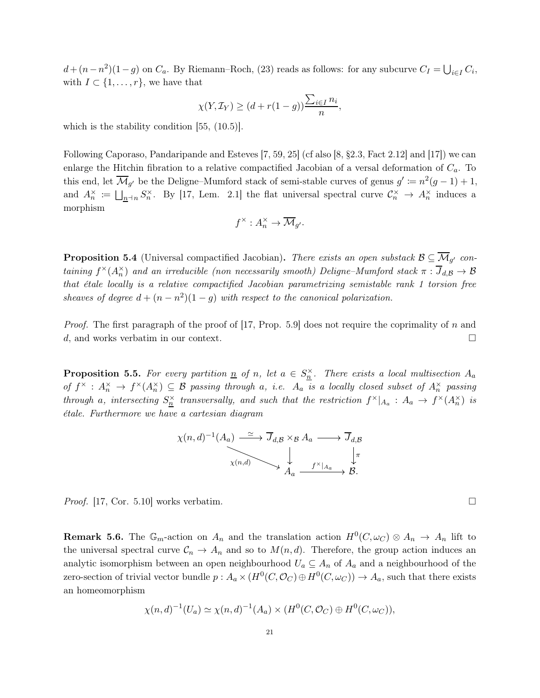$d + (n - n^2)(1 - g)$  on  $C_a$ . By Riemann–Roch, [\(23\)](#page-19-1) reads as follows: for any subcurve  $C_I = \bigcup_{i \in I} C_i$ , with  $I \subset \{1, \ldots, r\}$ , we have that

$$
\chi(Y, \mathcal{I}_Y) \ge (d + r(1 - g)) \frac{\sum_{i \in I} n_i}{n},
$$

which is the stability condition [\[55,](#page-39-21)  $(10.5)$ ].

Following Caporaso, Pandaripande and Esteves  $[7, 59, 25]$  $[7, 59, 25]$  $[7, 59, 25]$  (cf also  $[8, \S2.3, \text{Fact } 2.12]$  and  $[17]$ ) we can enlarge the Hitchin fibration to a relative compactified Jacobian of a versal deformation of  $C_a$ . To this end, let  $\overline{\mathcal{M}}_{g'}$  be the Deligne–Mumford stack of semi-stable curves of genus  $g' \coloneqq n^2(g-1)+1$ , and  $A_n^{\times} := \bigsqcup_{n=1} S_n^{\times}$ . By [\[17,](#page-38-10) Lem. 2.1] the flat universal spectral curve  $\mathcal{C}_n^{\times} \to A_n^{\times}$  induces a morphism

$$
f^{\times}: A_n^{\times} \to \overline{\mathcal{M}}_{g'}.
$$

**Proposition 5.4** (Universal compactified Jacobian). There exists an open substack  $\mathcal{B} \subseteq \mathcal{M}_{g'}$  containing  $f^{\times}(A_n^{\times})$  and an irreducible (non necessarily smooth) Deligne–Mumford stack  $\pi:\overline{J}_{d,\mathcal{B}}\to\mathcal{B}$ that étale locally is a relative compactified Jacobian parametrizing semistable rank 1 torsion free sheaves of degree  $d + (n - n^2)(1 - g)$  with respect to the canonical polarization.

<span id="page-20-0"></span>*Proof.* The first paragraph of the proof of [\[17,](#page-38-10) Prop. 5.9] does not require the coprimality of n and d, and works verbatim in our context.  $\Box$ 

**Proposition 5.5.** For every partition  $\underline{n}$  of n, let  $a \in S_n^{\times}$ . There exists a local multisection  $A_a$ of  $f^{\times}: A_n^{\times} \to f^{\times}(A_n^{\times}) \subseteq \mathcal{B}$  passing through a, i.e.  $A_a$  is a locally closed subset of  $A_n^{\times}$  passing through a, intersecting  $S_{\underline{n}}^{\times}$  transversally, and such that the restriction  $f^{\times}|_{A_a}: A_a \to f^{\times}(A_n^{\times})$  is étale. Furthermore we have a cartesian diagram

$$
\chi(n,d)^{-1}(A_a) \xrightarrow{\simeq} \overline{J}_{d,B} \times_B A_a \longrightarrow \overline{J}_{d,B}
$$
\n
$$
\downarrow \qquad \qquad \downarrow \qquad \qquad \downarrow
$$
\n
$$
\chi(n,d) \longrightarrow \downarrow \qquad \qquad \downarrow \pi
$$
\n
$$
A_a \xrightarrow{f^{\times}|_{A_a}} B.
$$

<span id="page-20-1"></span>*Proof.* [\[17,](#page-38-10) Cor. 5.10] works verbatim.  $\Box$ 

**Remark 5.6.** The  $\mathbb{G}_m$ -action on  $A_n$  and the translation action  $H^0(C, \omega_C) \otimes A_n \to A_n$  lift to the universal spectral curve  $C_n \to A_n$  and so to  $M(n,d)$ . Therefore, the group action induces an analytic isomorphism between an open neighbourhood  $U_a \subseteq A_n$  of  $A_a$  and a neighbourhood of the zero-section of trivial vector bundle  $p: A_a \times (H^0(C, \mathcal{O}_C) \oplus H^0(C, \omega_C)) \to A_a$ , such that there exists an homeomorphism

$$
\chi(n,d)^{-1}(U_a) \simeq \chi(n,d)^{-1}(A_a) \times (H^0(C, \mathcal{O}_C) \oplus H^0(C, \omega_C)),
$$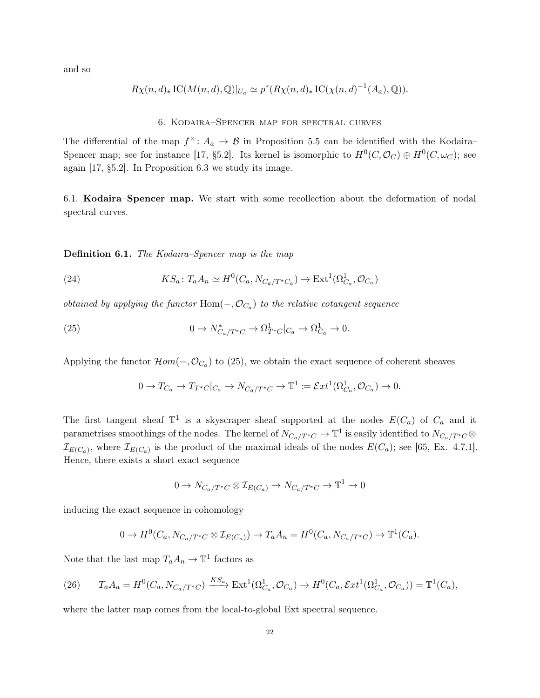<span id="page-21-0"></span>and so

$$
R\chi(n,d)_* IC(M(n,d),\mathbb{Q})|_{U_a} \simeq p^*(R\chi(n,d)_* IC(\chi(n,d)^{-1}(A_a),\mathbb{Q})).
$$

#### 6. Kodaira–Spencer map for spectral curves

The differential of the map  $f^{\times}$ :  $A_a \to \mathcal{B}$  in Proposition [5.5](#page-20-0) can be identified with the Kodaira– Spencer map; see for instance [\[17,](#page-38-10) §5.2]. Its kernel is isomorphic to  $H^0(C, \mathcal{O}_C) \oplus H^0(C, \omega_C)$ ; see again [\[17,](#page-38-10) §5.2]. In Proposition [6.3](#page-22-0) we study its image.

6.1. Kodaira–Spencer map. We start with some recollection about the deformation of nodal spectral curves.

Definition 6.1. The Kodaira–Spencer map is the map

(24) 
$$
KS_a \colon T_a A_n \simeq H^0(C_a, N_{C_a/T^*C_a}) \to \text{Ext}^1(\Omega^1_{C_a}, \mathcal{O}_{C_a})
$$

obtained by applying the functor  $Hom(-, O_{C_a})$  to the relative cotangent sequence

(25) 
$$
0 \to N^*_{C_a/T^*C} \to \Omega^1_{T^*C}|_{C_a} \to \Omega^1_{C_a} \to 0.
$$

Applying the functor  $\mathcal{H}om(-, \mathcal{O}_{C_a})$  to [\(25\)](#page-21-1), we obtain the exact sequence of coherent sheaves

<span id="page-21-1"></span>
$$
0 \to T_{C_a} \to T_{T^*C}|_{C_a} \to N_{C_a/T^*C} \to \mathbb{T}^1 := \mathcal{E}xt^1(\Omega_{C_a}^1, \mathcal{O}_{C_a}) \to 0.
$$

The first tangent sheaf  $\mathbb{T}^1$  is a skyscraper sheaf supported at the nodes  $E(C_a)$  of  $C_a$  and it parametrises smoothings of the nodes. The kernel of  $N_{C_a/T^*C} \to \mathbb{T}^1$  is easily identified to  $N_{C_a/T^*C} \otimes$  $\mathcal{I}_{E(C_a)}$ , where  $\mathcal{I}_{E(C_a)}$  is the product of the maximal ideals of the nodes  $E(C_a)$ ; see [\[65,](#page-39-23) Ex. 4.7.1]. Hence, there exists a short exact sequence

$$
0 \to N_{C_a/T^*C} \otimes \mathcal{I}_{E(C_a)} \to N_{C_a/T^*C} \to \mathbb{T}^1 \to 0
$$

inducing the exact sequence in cohomology

$$
0 \to H^0(C_a, N_{C_a/T^*C} \otimes \mathcal{I}_{E(C_a)}) \to T_aA_n = H^0(C_a, N_{C_a/T^*C}) \to \mathbb{T}^1(C_a).
$$

Note that the last map  $T_a A_n \to \mathbb{T}^1$  factors as

<span id="page-21-2"></span>(26) 
$$
T_a A_a = H^0(C_a, N_{C_a/T^*C}) \xrightarrow{KS_a} \operatorname{Ext}^1(\Omega^1_{C_a}, \mathcal{O}_{C_a}) \to H^0(C_a, \mathcal{E}xt^1(\Omega^1_{C_a}, \mathcal{O}_{C_a})) = \mathbb{T}^1(C_a),
$$

where the latter map comes from the local-to-global Ext spectral sequence.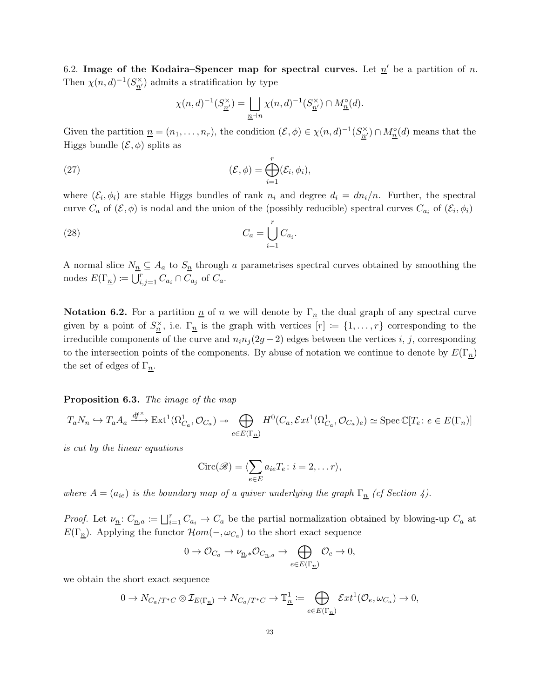6.2. Image of the Kodaira–Spencer map for spectral curves. Let  $n'$  be a partition of n. Then  $\chi(n, d)^{-1}(S_{\underline{n}'}^{\times})$  admits a stratification by type

<span id="page-22-1"></span>
$$
\chi(n,d)^{-1}(S^\times_{\underline{n}'})=\bigsqcup_{\underline{n}^{-1}n}\chi(n,d)^{-1}(S^\times_{\underline{n}'})\cap M^\circ_{\underline{n}}(d).
$$

Given the partition  $\underline{n} = (n_1, \ldots, n_r)$ , the condition  $(\mathcal{E}, \phi) \in \chi(n, d)^{-1}(S_{\underline{n'}}^{\times}) \cap M_{\underline{n}}^{\circ}(d)$  means that the Higgs bundle  $(\mathcal{E}, \phi)$  splits as

(27) 
$$
(\mathcal{E}, \phi) = \bigoplus_{i=1}^r (\mathcal{E}_i, \phi_i),
$$

where  $(\mathcal{E}_i, \phi_i)$  are stable Higgs bundles of rank  $n_i$  and degree  $d_i = dn_i/n$ . Further, the spectral curve  $C_a$  of  $(\mathcal{E}, \phi)$  is nodal and the union of the (possibly reducible) spectral curves  $C_{a_i}$  of  $(\mathcal{E}_i, \phi_i)$ 

(28) 
$$
C_a = \bigcup_{i=1}^r C_{a_i}.
$$

A normal slice  $N_n \subseteq A_a$  to  $S_n$  through a parametrises spectral curves obtained by smoothing the nodes  $E(\Gamma_{\underline{n}}) \coloneqq \bigcup_{i,j=1}^r C_{a_i} \cap C_{a_j}$  of  $C_a$ .

**Notation 6.2.** For a partition  $\underline{n}$  of n we will denote by  $\Gamma_n$  the dual graph of any spectral curve given by a point of  $S_n^{\times}$ , i.e.  $\Gamma_n$  is the graph with vertices  $[r] := \{1, \ldots, r\}$  corresponding to the irreducible components of the curve and  $n_i n_j (2g - 2)$  edges between the vertices i, j, corresponding to the intersection points of the components. By abuse of notation we continue to denote by  $E(\Gamma_n)$ the set of edges of  $\Gamma_n$ .

<span id="page-22-0"></span>Proposition 6.3. The image of the map

$$
T_a N_{\underline{n}} \hookrightarrow T_a A_a \xrightarrow{df^{\times}} \operatorname{Ext}^1(\Omega^1_{C_a}, \mathcal{O}_{C_a}) \twoheadrightarrow \bigoplus_{e \in E(\Gamma_{\underline{n}})} H^0(C_a, \mathcal{E}xt^1(\Omega^1_{C_a}, \mathcal{O}_{C_a})_e) \simeq \operatorname{Spec} \mathbb{C}[T_e : e \in E(\Gamma_{\underline{n}})]
$$

is cut by the linear equations

$$
Circ(\mathscr{B}) = \langle \sum_{e \in E} a_{ie} T_e : i = 2, \dots r \rangle,
$$

where  $A = (a_{ie})$  is the boundary map of a quiver underlying the graph  $\Gamma_n$  (cf Section [4\)](#page-12-0).

*Proof.* Let  $\nu_{\underline{n}}$ :  $C_{\underline{n},a} := \bigsqcup_{i=1}^r C_{a_i} \to C_a$  be the partial normalization obtained by blowing-up  $C_a$  at  $E(\Gamma_n)$ . Applying the functor  $\mathcal{H}om(-, \omega_{C_a})$  to the short exact sequence

$$
0\to \mathcal{O}_{C_a}\to \nu_{\underline{n},*}\mathcal{O}_{C_{\underline{n},a}}\to \bigoplus_{e\in E(\Gamma_{\underline{n}})}\mathcal{O}_e\to 0,
$$

we obtain the short exact sequence

$$
0 \to N_{C_a/T^*C} \otimes \mathcal{I}_{E(\Gamma_{\underline{n}})} \to N_{C_a/T^*C} \to \mathbb{T}_{\underline{n}}^1 := \bigoplus_{e \in E(\Gamma_{\underline{n}})} \mathcal{E}xt^1(\mathcal{O}_e, \omega_{C_a}) \to 0,
$$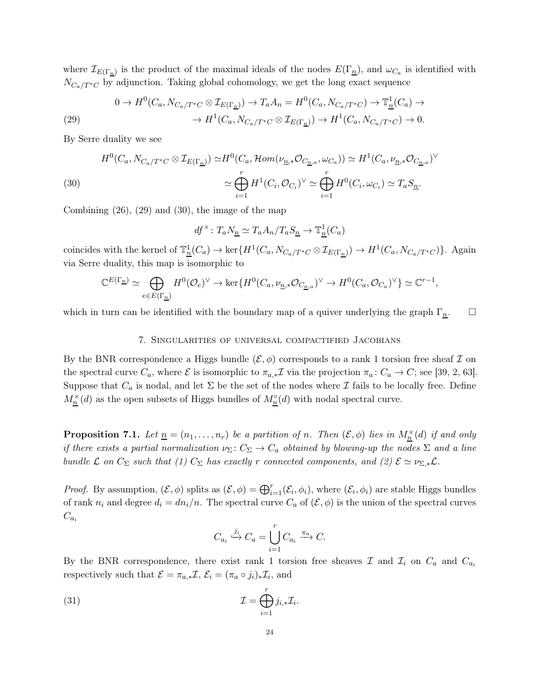where  $\mathcal{I}_{E(\Gamma_n)}$  is the product of the maximal ideals of the nodes  $E(\Gamma_n)$ , and  $\omega_{C_a}$  is identified with  $N_{C_a/T^*C}$  by adjunction. Taking global cohomology, we get the long exact sequence

<span id="page-23-1"></span>(29) 
$$
0 \to H^0(C_a, N_{C_a/T^*C} \otimes \mathcal{I}_{E(\Gamma_{\underline{n}})}) \to T_a A_n = H^0(C_a, N_{C_a/T^*C}) \to \mathbb{T}_{\underline{n}}^1(C_a) \to
$$

$$
\to H^1(C_a, N_{C_a/T^*C} \otimes \mathcal{I}_{E(\Gamma_{\underline{n}})}) \to H^1(C_a, N_{C_a/T^*C}) \to 0.
$$

By Serre duality we see

<span id="page-23-2"></span>(30)  

$$
H^0(C_a, N_{C_a/T^*C} \otimes \mathcal{I}_{E(\Gamma_{\underline{n}})}) \simeq H^0(C_a, \mathcal{H}om(\nu_{\underline{n},*}\mathcal{O}_{C_{\underline{n},a}}, \omega_{C_a})) \simeq H^1(C_a, \nu_{\underline{n},*}\mathcal{O}_{C_{\underline{n},a}})^{\vee}
$$

$$
\simeq \bigoplus_{i=1}^r H^1(C_i, \mathcal{O}_{C_i})^{\vee} \simeq \bigoplus_{i=1}^r H^0(C_i, \omega_{C_i}) \simeq T_a S_{\underline{n}}.
$$

Combining [\(26\)](#page-21-2), [\(29\)](#page-23-1) and [\(30\)](#page-23-2), the image of the map

$$
df^{\times} \colon T_a N_{\underline{n}} \simeq T_a A_n / T_a S_{\underline{n}} \to \mathbb{T}^1_{\underline{n}}(C_a)
$$

coincides with the kernel of  $\mathbb{T}_n^1(C_a) \to \ker\{H^1(C_a, N_{C_a/T^*C} \otimes \mathcal{I}_{E(\Gamma_n)}) \to H^1(C_a, N_{C_a/T^*C})\}$ . Again via Serre duality, this map is isomorphic to

$$
\mathbb{C}^{E(\Gamma_{\underline{n}})} \simeq \bigoplus_{e \in E(\Gamma_{\underline{n}})} H^0(\mathcal{O}_e)^{\vee} \to \ker\{H^0(C_a, \nu_{\underline{n},*}\mathcal{O}_{C_{\underline{n},a}})^{\vee} \to H^0(C_a, \mathcal{O}_{C_a})^{\vee}\} \simeq \mathbb{C}^{r-1},
$$

<span id="page-23-0"></span>which in turn can be identified with the boundary map of a quiver underlying the graph  $\Gamma_n$ .  $\Box$ 

# 7. Singularities of universal compactified Jacobians

By the BNR correspondence a Higgs bundle  $(\mathcal{E}, \phi)$  corresponds to a rank 1 torsion free sheaf  $\mathcal I$  on the spectral curve  $C_a$ , where  $\mathcal E$  is isomorphic to  $\pi_{a,*}\mathcal I$  via the projection  $\pi_a: C_a \to C$ ; see [\[39,](#page-38-15) [2,](#page-37-6) [63\]](#page-39-9). Suppose that  $C_a$  is nodal, and let  $\Sigma$  be the set of the nodes where  $\mathcal I$  fails to be locally free. Define  $M_{\underline{n}}^{\times}(d)$  as the open subsets of Higgs bundles of  $M_{\underline{n}}^{\circ}(d)$  with nodal spectral curve.

<span id="page-23-4"></span>**Proposition 7.1.** Let  $\underline{n} = (n_1, \ldots, n_r)$  be a partition of n. Then  $(\mathcal{E}, \phi)$  lies in  $M_{\underline{n}}^{\times}(d)$  if and only if there exists a partial normalization  $\nu_{\Sigma} : C_{\Sigma} \to C_a$  obtained by blowing-up the nodes  $\Sigma$  and a line bundle  $\mathcal L$  on  $C_{\Sigma}$  such that (1)  $C_{\Sigma}$  has exactly r connected components, and (2)  $\mathcal E \simeq \nu_{\Sigma,*}\mathcal L$ .

*Proof.* By assumption,  $(\mathcal{E}, \phi)$  splits as  $(\mathcal{E}, \phi) = \bigoplus_{i=1}^r (\mathcal{E}_i, \phi_i)$ , where  $(\mathcal{E}_i, \phi_i)$  are stable Higgs bundles of rank  $n_i$  and degree  $d_i = dn_i/n$ . The spectral curve  $C_a$  of  $(\mathcal{E}, \phi)$  is the union of the spectral curves  $C_{a_i}$ 

$$
C_{a_i} \stackrel{j_i}{\hookrightarrow} C_a = \bigcup_{i=1}^r C_{a_i} \stackrel{\pi_a}{\longrightarrow} C.
$$

By the BNR correspondence, there exist rank 1 torsion free sheaves  $\mathcal I$  and  $\mathcal I_i$  on  $C_a$  and  $C_{a_i}$ respectively such that  $\mathcal{E} = \pi_{a,*}\mathcal{I}, \, \mathcal{E}_i = (\pi_a \circ j_i)_*\mathcal{I}_i$ , and

(31) 
$$
\mathcal{I} = \bigoplus_{i=1}^{r} j_{i,*} \mathcal{I}_i
$$

<span id="page-23-3"></span>.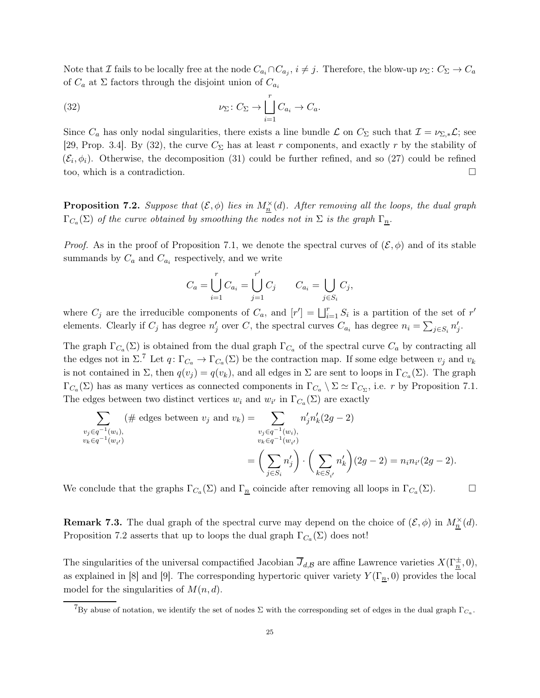Note that  $\mathcal I$  fails to be locally free at the node  $C_{a_i} \cap C_{a_j}$ ,  $i \neq j$ . Therefore, the blow-up  $\nu_{\Sigma} \colon C_{\Sigma} \to C_a$ of  $C_a$  at  $\Sigma$  factors through the disjoint union of  $C_{a_i}$ 

<span id="page-24-1"></span>(32) 
$$
\nu_{\Sigma} \colon C_{\Sigma} \to \bigsqcup_{i=1}^{r} C_{a_{i}} \to C_{a}.
$$

Since  $C_a$  has only nodal singularities, there exists a line bundle  $\mathcal L$  on  $C_\Sigma$  such that  $\mathcal I = \nu_{\Sigma,*}\mathcal L$ ; see [\[29,](#page-38-22) Prop. 3.4]. By [\(32\)](#page-24-1), the curve  $C_{\Sigma}$  has at least r components, and exactly r by the stability of  $(\mathcal{E}_i, \phi_i)$ . Otherwise, the decomposition [\(31\)](#page-23-3) could be further refined, and so [\(27\)](#page-22-1) could be refined too, which is a contradiction.

<span id="page-24-3"></span>**Proposition 7.2.** Suppose that  $(\mathcal{E}, \phi)$  lies in  $M_{\underline{n}}^{\times}(d)$ . After removing all the loops, the dual graph  $\Gamma_{C_a}(\Sigma)$  of the curve obtained by smoothing the nodes not in  $\Sigma$  is the graph  $\Gamma_{\underline{n}}$ .

*Proof.* As in the proof of Proposition [7.1,](#page-23-4) we denote the spectral curves of  $(\mathcal{E}, \phi)$  and of its stable summands by  $C_a$  and  $C_{a_i}$  respectively, and we write

$$
C_a = \bigcup_{i=1}^r C_{a_i} = \bigcup_{j=1}^{r'} C_j \qquad C_{a_i} = \bigcup_{j \in S_i} C_j,
$$

where  $C_j$  are the irreducible components of  $C_a$ , and  $[r'] = \bigsqcup_{i=1}^r S_i$  is a partition of the set of  $r'$ elements. Clearly if  $C_j$  has degree  $n'_j$  over C, the spectral curves  $C_{a_i}$  has degree  $n_i = \sum_{j \in S_i} n'_j$ .

The graph  $\Gamma_{C_a}(\Sigma)$  is obtained from the dual graph  $\Gamma_{C_a}$  of the spectral curve  $C_a$  by contracting all the edges not in  $\Sigma$ .<sup>[7](#page-24-2)</sup> Let  $q: \Gamma_{C_a} \to \Gamma_{C_a}(\Sigma)$  be the contraction map. If some edge between  $v_j$  and  $v_k$ is not contained in  $\Sigma$ , then  $q(v_j) = q(v_k)$ , and all edges in  $\Sigma$  are sent to loops in  $\Gamma_{C_a}(\Sigma)$ . The graph  $\Gamma_{C_a}(\Sigma)$  has as many vertices as connected components in  $\Gamma_{C_a} \setminus \Sigma \simeq \Gamma_{C_{\Sigma}}$ , i.e. r by Proposition [7.1.](#page-23-4) The edges between two distinct vertices  $w_i$  and  $w_{i'}$  in  $\Gamma_{C_a}(\Sigma)$  are exactly

$$
\sum_{\substack{v_j \in q^{-1}(w_i), \\ v_k \in q^{-1}(w_{i'})}} (\# \text{ edges between } v_j \text{ and } v_k) = \sum_{\substack{v_j \in q^{-1}(w_i), \\ v_k \in q^{-1}(w_{i'})}} n'_j n'_k (2g - 2)
$$
\n
$$
= \left(\sum_{j \in S_i} n'_j\right) \cdot \left(\sum_{k \in S_{i'}} n'_k\right) (2g - 2) = n_i n_{i'} (2g - 2).
$$

We conclude that the graphs  $\Gamma_{C_a}(\Sigma)$  and  $\Gamma_{\underline{n}}$  coincide after removing all loops in  $\Gamma_{C_a}(\Sigma)$ .

**Remark 7.3.** The dual graph of the spectral curve may depend on the choice of  $(\mathcal{E}, \phi)$  in  $M_{\underline{n}}^{\times}(d)$ . Proposition [7.2](#page-24-3) asserts that up to loops the dual graph  $\Gamma_{C_a}(\Sigma)$  does not!

The singularities of the universal compactified Jacobian  $\overline{J}_{d,\mathcal{B}}$  are affine Lawrence varieties  $X(\Gamma_{\overline{n}}^{\pm},0)$ , as explained in [\[8\]](#page-37-7) and [\[9\]](#page-37-11). The corresponding hypertoric quiver variety  $Y(\Gamma_n, 0)$  provides the local model for the singularities of  $M(n, d)$ .

<span id="page-24-2"></span><span id="page-24-0"></span><sup>&</sup>lt;sup>7</sup>By abuse of notation, we identify the set of nodes  $\Sigma$  with the corresponding set of edges in the dual graph  $\Gamma_{C_a}$ .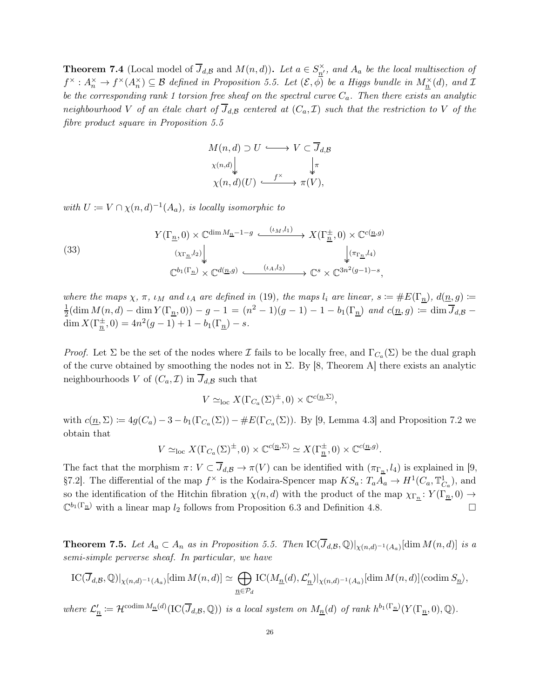**Theorem 7.4** (Local model of  $\overline{J}_{d,B}$  and  $M(n,d)$ ). Let  $a \in S_{n'}^{\times}$ , and  $A_a$  be the local multisection of  $f^\times: A^\times_n\to f^\times(A^\times_n)\subseteq \mathcal{B}$  defined in Proposition [5.5.](#page-20-0) Let  $(\mathcal{E},\bar{\phi})$  be a Higgs bundle in  $M^{\times}_n(d)$ , and  $\mathcal{I}$ be the corresponding rank 1 torsion free sheaf on the spectral curve  $C_a$ . Then there exists an analytic neighbourhood V of an étale chart of  $\overline{J}_{d,\mathcal{B}}$  centered at  $(C_a, \mathcal{I})$  such that the restriction to V of the fibre product square in Proposition [5.5](#page-20-0)

$$
M(n, d) \supset U \xrightarrow{\qquad} V \subset \overline{J}_{d, \mathcal{B}}
$$

$$
\chi(n, d) \downarrow \qquad \qquad \downarrow \pi
$$

$$
\chi(n, d)(U) \xrightarrow{f^{\times}} \pi(V),
$$

with  $U \coloneqq V \cap \chi(n,d)^{-1}(A_a)$ , is locally isomorphic to

(33)  

$$
Y(\Gamma_{\underline{n}},0) \times \mathbb{C}^{\dim M_{\underline{n}}-1-g} \xleftarrow{(\iota_M, l_1)} X(\Gamma_{\underline{n}}^{\pm},0) \times \mathbb{C}^{c(\underline{n},g)}
$$

$$
\downarrow^{(\pi_{\Gamma_{\underline{n}}},l_4)} \downarrow^{(\pi_{\Gamma_{\underline{n}}},l_4)}
$$

$$
\mathbb{C}^{b_1(\Gamma_{\underline{n}})} \times \mathbb{C}^{d(\underline{n},g)} \xleftarrow{(\iota_A,l_3)} \mathbb{C}^s \times \mathbb{C}^{3n^2(g-1)-s},
$$

where the maps  $\chi$ ,  $\pi$ ,  $\iota_M$  and  $\iota_A$  are defined in [\(19\)](#page-15-1), the maps  $l_i$  are linear,  $s \coloneqq \#E(\Gamma_n)$ ,  $d(\underline{n}, g) \coloneqq$ 1  $\frac{1}{2}(\dim M(n,d) - \dim Y(\Gamma_{\underline{n}},0)) - g - 1 = (n^2 - 1)(g - 1) - 1 - b_1(\Gamma_{\underline{n}})$  and  $c(\underline{n},g) := \dim \overline{J}_{d,\mathcal{B}} \dim X(\Gamma_{\underline{n}}^{\pm},0) = 4n^2(g-1) + 1 - b_1(\Gamma_{\underline{n}}) - s.$ 

*Proof.* Let  $\Sigma$  be the set of the nodes where  $\mathcal I$  fails to be locally free, and  $\Gamma_{C_a}(\Sigma)$  be the dual graph of the curve obtained by smoothing the nodes not in  $\Sigma$ . By [\[8,](#page-37-7) Theorem A] there exists an analytic neighbourhoods V of  $(C_a, \mathcal{I})$  in  $\overline{J}_{d,\mathcal{B}}$  such that

$$
V \simeq_{\text{loc}} X(\Gamma_{C_a}(\Sigma)^{\pm}, 0) \times \mathbb{C}^{c(\underline{n}, \Sigma)},
$$

with  $c(\underline{n}, \Sigma) \coloneqq 4g(C_a) - 3 - b_1(\Gamma_{C_a}(\Sigma)) - \#E(\Gamma_{C_a}(\Sigma))$ . By [\[9,](#page-37-11) Lemma 4.3] and Proposition [7.2](#page-24-3) we obtain that

$$
V \simeq_{\text{loc}} X(\Gamma_{C_a}(\Sigma)^{\pm}, 0) \times \mathbb{C}^{c(\underline{n}, \Sigma)} \simeq X(\Gamma_{\underline{n}}^{\pm}, 0) \times \mathbb{C}^{c(\underline{n}, g)}.
$$

The fact that the morphism  $\pi: V \subset J_{d,\mathcal{B}} \to \pi(V)$  can be identified with  $(\pi_{\Gamma_n}, l_4)$  is explained in [\[9,](#page-37-11) §7.2]. The differential of the map  $f^{\times}$  is the Kodaira-Spencer map  $KS_a: T_aA_a \to H^1(C_a, \mathbb{T}_{C_a}^1)$ , and so the identification of the Hitchin fibration  $\chi(n, d)$  with the product of the map  $\chi_{\Gamma_n}: Y(\Gamma_n, 0) \to Y(\Gamma_n, 0)$  $\mathbb{C}^{b_1(\Gamma_n)}$  with a linear map  $l_2$  follows from Proposition [6.3](#page-22-0) and Definition [4.8.](#page-15-2)

<span id="page-25-0"></span>**Theorem 7.5.** Let  $A_a \subset A_n$  as in Proposition [5.5.](#page-20-0) Then  $\text{IC}(\overline{J}_{d,B},\mathbb{Q})|_{\chi(n,d)^{-1}(A_a)}[\dim M(n,d)]$  is a semi-simple perverse sheaf. In particular, we have

$$
\text{IC}(\overline{J}_{d,\mathcal{B}},\mathbb{Q})|_{\chi(n,d)^{-1}(A_a)}[\dim M(n,d)]\simeq \bigoplus_{\underline{n}\in \mathcal{P}_d}\text{IC}(M_{\underline{n}}(d),\mathcal{L}'_{\underline{n}})|_{\chi(n,d)^{-1}(A_a)}[\dim M(n,d)]\langle \operatorname{codim} S_{\underline{n}}\rangle,
$$

where  $\mathcal{L}'_n := \mathcal{H}^{\text{codim }M_n(d)}(\text{IC}(\overline{J}_{d,\mathcal{B}},\mathbb{Q}))$  is a local system on  $M_n(d)$  of rank  $h^{b_1(\Gamma_n)}(Y(\Gamma_n,0),\mathbb{Q})$ .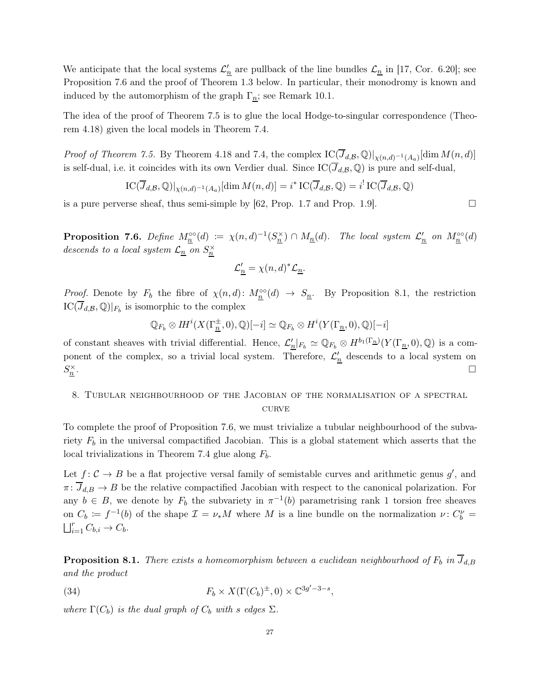We anticipate that the local systems  $\mathcal{L}'_n$  are pullback of the line bundles  $\mathcal{L}_n$  in [\[17,](#page-38-10) Cor. 6.20]; see Proposition [7.6](#page-26-1) and the proof of Theorem [1.3](#page-4-1) below. In particular, their monodromy is known and induced by the automorphism of the graph  $\Gamma_{\underline{n}}$ ; see Remark [10.1.](#page-33-0)

The idea of the proof of Theorem [7.5](#page-25-0) is to glue the local Hodge-to-singular correspondence (Theorem [4.18\)](#page-18-0) given the local models in Theorem [7.4.](#page-24-0)

*Proof of Theorem [7.5.](#page-25-0)* By Theorem [4.18](#page-18-0) and [7.4,](#page-24-0) the complex  $\mathrm{IC}(\overline{J}_{d,B},\mathbb{Q})|_{\chi(n,d)^{-1}(A_a)}[\dim M(n,d)]$ is self-dual, i.e. it coincides with its own Verdier dual. Since  $\mathrm{IC}(\overline{J}_{d,\mathcal{B}},\mathbb{Q})$  is pure and self-dual,

 $\mathrm{IC}(\overline{J}_{d,\mathcal{B}},\mathbb{Q})|_{\chi(n,d)^{-1}(A_a)}[\dim M(n,d)] = i^*\,\mathrm{IC}(\overline{J}_{d,\mathcal{B}},\mathbb{Q}) = i^!\,\mathrm{IC}(\overline{J}_{d,\mathcal{B}},\mathbb{Q})$ 

<span id="page-26-1"></span>is a pure perverse sheaf, thus semi-simple by [\[62,](#page-39-24) Prop. 1.7 and Prop. 1.9].

**Proposition 7.6.** Define  $M_{\underline{n}}^{\infty}(d) := \chi(n,d)^{-1}(S_{\underline{n}}^{\times}) \cap M_{\underline{n}}(d)$ . The local system  $\mathcal{L}'_n$  on  $M_{\underline{n}}^{\infty}(d)$ descends to a local system  $\mathcal{L}_{\underline{n}}$  on  $S_{\underline{n}}^{\times}$ 

$$
\mathcal{L}'_{\underline{n}} = \chi(n, d)^* \mathcal{L}_{\underline{n}}.
$$

*Proof.* Denote by  $F_b$  the fibre of  $\chi(n,d)$ :  $M_{n}^{\infty}(d) \to S_{n}$ . By Proposition [8.1,](#page-26-2) the restriction  $\mathrm{IC}(\overline{J}_{d,\mathcal{B}},\mathbb{Q})|_{F_b}$  is isomorphic to the complex

$$
\mathbb{Q}_{F_b} \otimes H^i(X(\Gamma_{\underline{n}}^{\pm},0),\mathbb{Q})[-i] \simeq \mathbb{Q}_{F_b} \otimes H^i(Y(\Gamma_{\underline{n}},0),\mathbb{Q})[-i]
$$

of constant sheaves with trivial differential. Hence,  $\mathcal{L}'_{n}|_{F_b} \simeq \mathbb{Q}_{F_b} \otimes H^{b_1(\Gamma_{\underline{n}})}(Y(\Gamma_{\underline{n}},0),\mathbb{Q})$  is a component of the complex, so a trivial local system. Therefore,  $\mathcal{L}'_n$  descends to a local system on  $S_n^\times$ .

# <span id="page-26-0"></span>8. Tubular neighbourhood of the Jacobian of the normalisation of a spectral **CURVE**

To complete the proof of Proposition [7.6,](#page-26-1) we must trivialize a tubular neighbourhood of the subvariety  $F_b$  in the universal compactified Jacobian. This is a global statement which asserts that the local trivializations in Theorem [7.4](#page-24-0) glue along  $F_b$ .

Let  $f: \mathcal{C} \to B$  be a flat projective versal family of semistable curves and arithmetic genus  $g'$ , and  $\pi: \overline{J}_{d,B} \to B$  be the relative compactified Jacobian with respect to the canonical polarization. For any  $b \in B$ , we denote by  $F_b$  the subvariety in  $\pi^{-1}(b)$  parametrising rank 1 torsion free sheaves on  $C_b \coloneqq f^{-1}(b)$  of the shape  $\mathcal{I} = \nu_* M$  where M is a line bundle on the normalization  $\nu: C_b^{\nu} =$  $\bigsqcup_{i=1}^r C_{b,i} \to C_b.$ 

<span id="page-26-2"></span>**Proposition 8.1.** There exists a homeomorphism between a euclidean neighbourhood of  $F_b$  in  $\overline{J}_{d,B}$ and the product

<span id="page-26-3"></span>,

(34) 
$$
F_b \times X(\Gamma(C_b)^{\pm},0) \times \mathbb{C}^{3g'-3-s}
$$

<span id="page-26-4"></span>where  $\Gamma(C_b)$  is the dual graph of  $C_b$  with s edges  $\Sigma$ .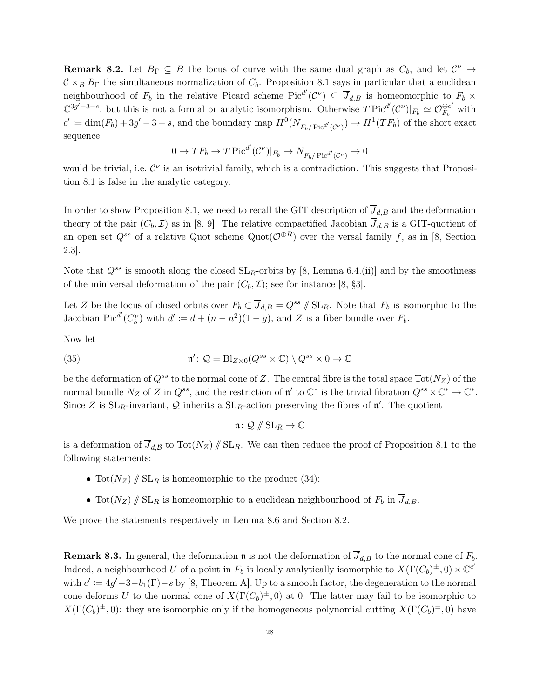**Remark 8.2.** Let  $B_{\Gamma} \subseteq B$  the locus of curve with the same dual graph as  $C_b$ , and let  $\mathcal{C}^{\nu} \to$  $\mathcal{C} \times_B B_\Gamma$  the simultaneous normalization of  $C_b$ . Proposition [8.1](#page-26-2) says in particular that a euclidean neighbourhood of  $F_b$  in the relative Picard scheme  $Pic^{d'}(\mathcal{C}^{\nu}) \subseteq \overline{J}_{d,B}$  is homeomorphic to  $F_b \times$  $\mathbb{C}^{3g'-3-s}$ , but this is not a formal or analytic isomorphism. Otherwise  $T Pic^{d'}(\mathcal{C}^{\nu})|_{F_b} \simeq \mathcal{O}_{F_b}^{\oplus c'}$  $E_b^c$  with  $c' \coloneqq \dim(F_b) + 3g' - 3 - s$ , and the boundary map  $H^0(N_{F_b/\text{Pic}^{d'}(\mathcal{C}^{\nu})}) \to H^1(TF_b)$  of the short exact sequence

$$
0 \to T F_b \to T \, {\rm Pic}^{d'}({\mathcal C}^\nu)|_{F_b} \to N_{F_b/\, {\rm Pic}^{d'}({\mathcal C}^\nu)} \to 0
$$

would be trivial, i.e.  $\mathcal{C}^{\nu}$  is an isotrivial family, which is a contradiction. This suggests that Proposition [8.1](#page-26-2) is false in the analytic category.

In order to show Proposition [8.1,](#page-26-2) we need to recall the GIT description of  $\overline{J}_{d,B}$  and the deformation theory of the pair  $(C_b, \mathcal{I})$  as in [\[8,](#page-37-7) [9\]](#page-37-11). The relative compactified Jacobian  $\overline{J}_{d,B}$  is a GIT-quotient of an open set  $Q^{ss}$  of a relative Quot scheme Quot $(\mathcal{O}^{\oplus R})$  over the versal family f, as in [\[8,](#page-37-7) Section 2.3].

Note that  $Q^{ss}$  is smooth along the closed  $SL_R$ -orbits by [\[8,](#page-37-7) Lemma 6.4.(ii)] and by the smoothness of the miniversal deformation of the pair  $(C_b, \mathcal{I})$ ; see for instance [\[8,](#page-37-7) §3].

Let Z be the locus of closed orbits over  $F_b \subset \overline{J}_{d,B} = Q^{ss} / \int \mathrm{SL}_R$ . Note that  $F_b$  is isomorphic to the Jacobian Pic<sup>d'</sup>( $C_b^{\nu}$ ) with  $d' \coloneqq d + (n - n^2)(1 - g)$ , and Z is a fiber bundle over  $F_b$ .

Now let

(35) 
$$
\mathfrak{n}' \colon \mathcal{Q} = \text{Bl}_{Z \times 0}(Q^{ss} \times \mathbb{C}) \setminus Q^{ss} \times 0 \to \mathbb{C}
$$

be the deformation of  $Q^{ss}$  to the normal cone of Z. The central fibre is the total space Tot( $N_Z$ ) of the normal bundle  $N_Z$  of Z in  $Q^{ss}$ , and the restriction of  $\mathfrak{n}'$  to  $\mathbb{C}^*$  is the trivial fibration  $Q^{ss} \times \mathbb{C}^* \to \mathbb{C}^*$ . Since Z is  $SL_R$ -invariant, Q inherits a  $SL_R$ -action preserving the fibres of  $\mathfrak{n}'$ . The quotient

$$
\mathfrak{n}\colon \mathcal{Q}\mathbin{/\!\!/} \operatorname{SL}_R\to \mathbb{C}
$$

is a deformation of  $\overline{J}_{d,\mathcal{B}}$  to  $\text{Tot}(N_Z)$  //  $\text{SL}_R$ . We can then reduce the proof of Proposition [8.1](#page-26-2) to the following statements:

- Tot( $N_Z$ ) //  $SL_R$  is homeomorphic to the product [\(34\)](#page-26-3);
- Tot( $N_Z$ )  $/\!\!/$  SL<sub>R</sub> is homeomorphic to a euclidean neighbourhood of  $F_b$  in  $\overline{J}_{d,B}$ .

We prove the statements respectively in Lemma [8.6](#page-29-0) and Section [8.2.](#page-29-1)

**Remark 8.3.** In general, the deformation **n** is not the deformation of  $\overline{J}_{d,B}$  to the normal cone of  $F_b$ . Indeed, a neighbourhood U of a point in  $F_b$  is locally analytically isomorphic to  $X(\Gamma(C_b)^{\pm},0) \times \mathbb{C}^{c'}$ with  $c' := 4g' - 3 - b_1(\Gamma) - s$  by [\[8,](#page-37-7) Theorem A]. Up to a smooth factor, the degeneration to the normal cone deforms U to the normal cone of  $X(\Gamma(C_b)^{\pm},0)$  at 0. The latter may fail to be isomorphic to  $X(\Gamma(C_b)^{\pm},0)$ : they are isomorphic only if the homogeneous polynomial cutting  $X(\Gamma(C_b)^{\pm},0)$  have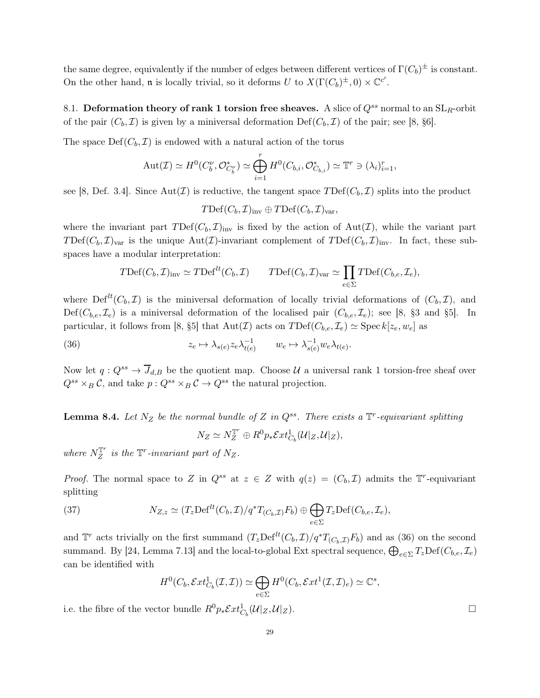the same degree, equivalently if the number of edges between different vertices of  $\Gamma(C_b)^{\pm}$  is constant. On the other hand, **n** is locally trivial, so it deforms U to  $X(\Gamma(C_b)^{\pm},0) \times \mathbb{C}^{c'}$ .

8.1. Deformation theory of rank 1 torsion free sheaves. A slice of  $Q^{ss}$  normal to an  $SL_R$ -orbit of the pair  $(C_b, \mathcal{I})$  is given by a miniversal deformation  $\text{Def}(C_b, \mathcal{I})$  of the pair; see [\[8,](#page-37-7) §6].

The space  $Def(C_b, \mathcal{I})$  is endowed with a natural action of the torus

$$
\mathrm{Aut}(\mathcal{I}) \simeq H^0(C_b^{\nu}, \mathcal{O}_{C_b^{\nu}}^*) \simeq \bigoplus_{i=1}^r H^0(C_{b,i}, \mathcal{O}_{C_{b,i}}^*) \simeq \mathbb{T}^r \ni (\lambda_i)_{i=1}^r,
$$

see [\[8,](#page-37-7) Def. 3.4]. Since Aut $(\mathcal{I})$  is reductive, the tangent space  $TDef(C_b, \mathcal{I})$  splits into the product

$$
T\mathrm{Def}(C_b,\mathcal{I})_{\mathrm{inv}}\oplus T\mathrm{Def}(C_b,\mathcal{I})_{\mathrm{var}},
$$

where the invariant part  $TDef(C_b, \mathcal{I})_{inv}$  is fixed by the action of  $Aut(\mathcal{I})$ , while the variant part  $T\mathrm{Def}(C_b,\mathcal{I})_{\text{var}}$  is the unique  $\mathrm{Aut}(\mathcal{I})$ -invariant complement of  $T\mathrm{Def}(C_b,\mathcal{I})_{\text{inv}}$ . In fact, these subspaces have a modular interpretation:

$$
T\mathrm{Def}(C_b, \mathcal{I})_{\mathrm{inv}} \simeq T\mathrm{Def}^{lt}(C_b, \mathcal{I})
$$
  $T\mathrm{Def}(C_b, \mathcal{I})_{\mathrm{var}} \simeq \prod_{e \in \Sigma} T\mathrm{Def}(C_{b,e}, \mathcal{I}_e),$ 

where  $\mathrm{Def}^{lt}(C_b, \mathcal{I})$  is the miniversal deformation of locally trivial deformations of  $(C_b, \mathcal{I})$ , and Def( $C_{b,e}, \mathcal{I}_e$ ) is a miniversal deformation of the localised pair  $(C_{b,e}, \mathcal{I}_e)$ ; see [\[8,](#page-37-7) §3 and §5]. In particular, it follows from [\[8,](#page-37-7) §5] that  $Aut(\mathcal{I})$  acts on  $TDef(C_{b,e}, \mathcal{I}_e) \simeq \operatorname{Spec} k[z_e, w_e]$  as

(36) 
$$
z_e \mapsto \lambda_{s(e)} z_e \lambda_{t(e)}^{-1} \qquad w_e \mapsto \lambda_{s(e)}^{-1} w_e \lambda_{t(e)}.
$$

<span id="page-28-1"></span>Now let  $q: Q^{ss} \to \overline{J}_{d,B}$  be the quotient map. Choose U a universal rank 1 torsion-free sheaf over  $Q^{ss} \times_B \mathcal{C}$ , and take  $p: Q^{ss} \times_B \mathcal{C} \to Q^{ss}$  the natural projection.

**Lemma 8.4.** Let  $N_Z$  be the normal bundle of Z in  $Q^{ss}$ . There exists a  $\mathbb{T}^r$ -equivariant splitting

<span id="page-28-0"></span> $N_Z \simeq N_Z^{\mathbb{T}^r} \oplus R^0 p_* \mathcal{E}xt^1_{C_b}(\mathcal{U}|_Z,\mathcal{U}|_Z),$ 

where  $N_Z^{\mathbb{T}^r}$  $\mathbb{T}^r$  is the  $\mathbb{T}^r$ -invariant part of  $N_Z$ .

*Proof.* The normal space to Z in  $Q^{ss}$  at  $z \in Z$  with  $q(z) = (C_b, \mathcal{I})$  admits the T<sup>r</sup>-equivariant splitting

(37) 
$$
N_{Z,z} \simeq (T_z \text{Def}^{lt}(C_b, \mathcal{I})/q^* T_{(C_b, \mathcal{I})} F_b) \oplus \bigoplus_{e \in \Sigma} T_z \text{Def}(C_{b,e}, \mathcal{I}_e),
$$

and  $\mathbb{T}^r$  acts trivially on the first summand  $(T_z\text{Def}^{lt}(C_b, \mathcal{I})/q^*T_{(C_b, \mathcal{I})}F_b)$  and as [\(36\)](#page-28-0) on the second summand. By [\[24,](#page-38-23) Lemma 7.13] and the local-to-global Ext spectral sequence,  $\bigoplus_{e \in \Sigma} T_z \mathrm{Def}(C_{b,e}, \mathcal{I}_e)$ can be identified with

<span id="page-28-3"></span>
$$
H^0(C_b, \mathcal{E}xt^1_{C_b}(\mathcal{I}, \mathcal{I})) \simeq \bigoplus_{e \in \Sigma} H^0(C_b, \mathcal{E}xt^1(\mathcal{I}, \mathcal{I})_e) \simeq \mathbb{C}^s,
$$

<span id="page-28-2"></span>i.e. the fibre of the vector bundle  $R^0 p_* \mathcal{E}xt^1_{C_b}(\mathcal{U}|_Z,\mathcal{U}|_Z).$ 

29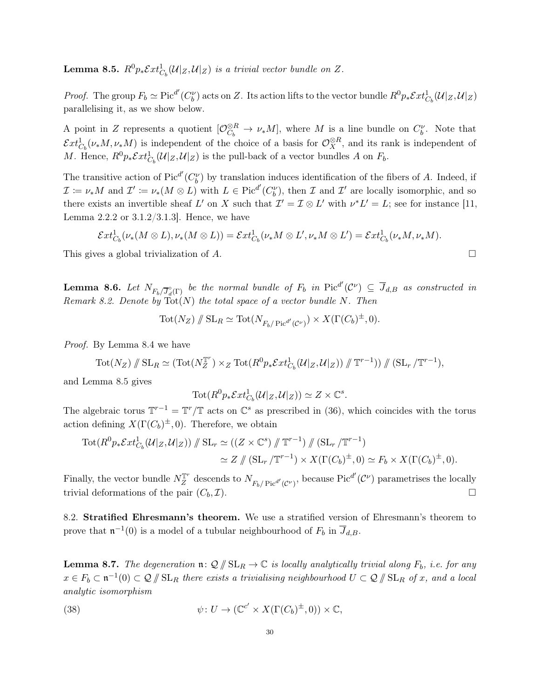**Lemma 8.5.**  $R^0p_*\mathcal{E}xt_{C_b}^1(\mathcal{U}|_Z,\mathcal{U}|_Z)$  is a trivial vector bundle on Z.

*Proof.* The group  $F_b \simeq Pic^{d'}(C_b^{\nu})$  acts on Z. Its action lifts to the vector bundle  $R^0p_*\mathcal{E}xt_{C_b}^1(\mathcal{U}|_Z,\mathcal{U}|_Z)$ parallelising it, as we show below.

A point in Z represents a quotient  $[O_{C_b}^{\otimes R} \to \nu_*M]$ , where M is a line bundle on  $C_b^{\nu}$ . Note that  $\mathcal{E}xt_{C_b}^1(\nu_*M,\nu_*M)$  is independent of the choice of a basis for  $\mathcal{O}_X^{\otimes R}$ , and its rank is independent of M. Hence,  $R^0 p_* \mathcal{E}xt^1_{C_b}(\mathcal{U}|_Z, \mathcal{U}|_Z)$  is the pull-back of a vector bundles A on  $F_b$ .

The transitive action of  $Pic^{d'}(C_b^{\nu})$  by translation induces identification of the fibers of A. Indeed, if  $\mathcal{I} := \nu_* M$  and  $\mathcal{I}' := \nu_*(M \otimes L)$  with  $L \in \text{Pic}^{d'}(C_b^{\nu})$ , then  $\mathcal{I}$  and  $\mathcal{I}'$  are locally isomorphic, and so there exists an invertible sheaf L' on X such that  $\mathcal{I}' = \mathcal{I} \otimes L'$  with  $\nu^* L' = L$ ; see for instance [\[11,](#page-37-12) Lemma  $2.2.2$  or  $3.1.2/3.1.3$ . Hence, we have

$$
\mathcal{E}xt^1_{C_b}(\nu_*(M\otimes L),\nu_*(M\otimes L))=\mathcal{E}xt^1_{C_b}(\nu_*M\otimes L',\nu_*M\otimes L')=\mathcal{E}xt^1_{C_b}(\nu_*M,\nu_*M).
$$

<span id="page-29-0"></span>This gives a global trivialization of A.

**Lemma 8.6.** Let  $N_{F_b/\overline{J}_d^o(\Gamma)}$  be the normal bundle of  $F_b$  in  $Pic^{d'}(\mathcal{C}^{\nu}) \subseteq \overline{J}_{d,B}$  as constructed in Remark [8.2.](#page-26-4) Denote by  $\mathrm{Tot}(N)$  the total space of a vector bundle N. Then

$$
\text{Tot}(N_Z) \# \text{SL}_R \simeq \text{Tot}(N_{F_b/\text{Pic}^{d'}(\mathcal{C}^{\nu})}) \times X(\Gamma(C_b)^{\pm}, 0).
$$

Proof. By Lemma [8.4](#page-28-1) we have

$$
\text{Tot}(N_Z) \# SL_R \simeq (\text{Tot}(N_Z^{\mathbb{T}^r}) \times_Z \text{Tot}(R^0 p_* \mathcal{E}xt^1_{C_b}(\mathcal{U}|_Z, \mathcal{U}|_Z)) \# \mathbb{T}^{r-1})) \# (SL_r / \mathbb{T}^{r-1}),
$$

and Lemma [8.5](#page-28-2) gives

$$
\text{Tot}(R^0p_*\mathcal{E}xt^1_{C_b}(\mathcal{U}|_Z,\mathcal{U}|_Z)) \simeq Z \times \mathbb{C}^s.
$$

The algebraic torus  $\mathbb{T}^{r-1} = \mathbb{T}^r / \mathbb{T}$  acts on  $\mathbb{C}^s$  as prescribed in [\(36\)](#page-28-0), which coincides with the torus action defining  $X(\Gamma(C_b)^{\pm},0)$ . Therefore, we obtain

$$
\operatorname{Tot}(R^0 p_* \mathcal{E}xt^1_{C_b}(\mathcal{U}|_Z,\mathcal{U}|_Z)) \# \operatorname{SL}_r \simeq ((Z \times \mathbb{C}^s) \# \mathbb{T}^{r-1}) \# (\operatorname{SL}_r / \mathbb{T}^{r-1})
$$
  

$$
\simeq Z \# (\operatorname{SL}_r / \mathbb{T}^{r-1}) \times X(\Gamma(C_b)^{\pm},0) \simeq F_b \times X(\Gamma(C_b)^{\pm},0).
$$

<span id="page-29-1"></span>Finally, the vector bundle  $N_Z^{\mathbb{T}^r}$  $Z^{\mathbb{T}^r}$  descends to  $N_{F_b/Pic^{d'}(\mathcal{C}^{\nu})}$ , because  $Pic^{d'}(\mathcal{C}^{\nu})$  parametrises the locally trivial deformations of the pair  $(C_b, \mathcal{I})$ .

<span id="page-29-2"></span>8.2. Stratified Ehresmann's theorem. We use a stratified version of Ehresmann's theorem to prove that  $\mathfrak{n}^{-1}(0)$  is a model of a tubular neighbourhood of  $F_b$  in  $\overline{J}_{d,B}$ .

**Lemma 8.7.** The degeneration  $\mathfrak{n}: \mathcal{Q} \not\parallel SL_R \to \mathbb{C}$  is locally analytically trivial along  $F_b$ , i.e. for any  $x \in F_b \subset \mathfrak{n}^{-1}(0) \subset \mathcal{Q} \# SL_R$  there exists a trivialising neighbourhood  $U \subset \mathcal{Q} \# SL_R$  of x, and a local analytic isomorphism

<span id="page-29-3"></span>(38) 
$$
\psi \colon U \to (\mathbb{C}^{c'} \times X(\Gamma(C_b)^{\pm}, 0)) \times \mathbb{C},
$$

$$
\Box
$$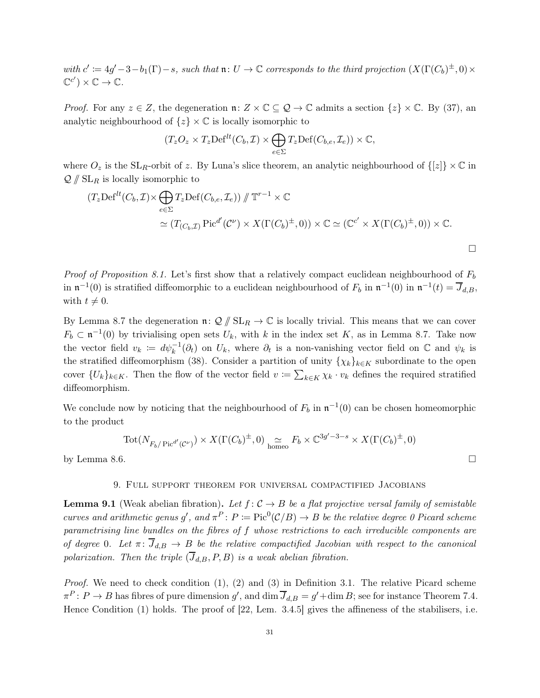with  $c' := 4g' - 3 - b_1(\Gamma) - s$ , such that  $\mathfrak{n}: U \to \mathbb{C}$  corresponds to the third projection  $(X(\Gamma(C_b)^{\pm}, 0) \times$  $\mathbb{C}^{c'}$ )  $\times \mathbb{C} \to \mathbb{C}$ .

*Proof.* For any  $z \in Z$ , the degeneration  $\mathfrak{n}: Z \times \mathbb{C} \subseteq Q \to \mathbb{C}$  admits a section  $\{z\} \times \mathbb{C}$ . By [\(37\)](#page-28-3), an analytic neighbourhood of  $\{z\} \times \mathbb{C}$  is locally isomorphic to

$$
(T_zO_z \times T_z\mathrm{Def}^{lt}(C_b, \mathcal{I}) \times \bigoplus_{e \in \Sigma} T_z\mathrm{Def}(C_{b,e}, \mathcal{I}_e)) \times \mathbb{C},
$$

where  $O_z$  is the SL<sub>R</sub>-orbit of z. By Luna's slice theorem, an analytic neighbourhood of  $\{[z]\}\times\mathbb{C}$  in  $\mathcal{Q}$  //  $SL_R$  is locally isomorphic to

$$
(T_z \text{Def}^{lt}(C_b, \mathcal{I}) \times \bigoplus_{e \in \Sigma} T_z \text{Def}(C_{b,e}, \mathcal{I}_e)) \# \mathbb{T}^{r-1} \times \mathbb{C}
$$
  

$$
\simeq (T_{(C_b, \mathcal{I})} \text{Pic}^{d'}(C^{\nu}) \times X(\Gamma(C_b)^{\pm}, 0)) \times \mathbb{C} \simeq (\mathbb{C}^{c'} \times X(\Gamma(C_b)^{\pm}, 0)) \times \mathbb{C}.
$$

*Proof of Proposition [8.1.](#page-26-2)* Let's first show that a relatively compact euclidean neighbourhood of  $F_b$ in  $\mathfrak{n}^{-1}(0)$  is stratified diffeomorphic to a euclidean neighbourhood of  $F_b$  in  $\mathfrak{n}^{-1}(0)$  in  $\mathfrak{n}^{-1}(t) = \overline{J}_{d,B}$ , with  $t \neq 0$ .

By Lemma [8.7](#page-29-2) the degeneration  $\mathfrak{n}: \mathcal{Q} \times \mathrm{SL}_R \to \mathbb{C}$  is locally trivial. This means that we can cover  $F_b \subset \mathfrak{n}^{-1}(0)$  by trivialising open sets  $U_k$ , with k in the index set K, as in Lemma [8.7.](#page-29-2) Take now the vector field  $v_k := d\psi_k^{-1}(\partial_t)$  on  $U_k$ , where  $\partial_t$  is a non-vanishing vector field on  $\mathbb C$  and  $\psi_k$  is the stratified diffeomorphism [\(38\)](#page-29-3). Consider a partition of unity  $\{\chi_k\}_{k\in K}$  subordinate to the open cover  $\{U_k\}_{k\in K}$ . Then the flow of the vector field  $v := \sum_{k\in K} \chi_k \cdot v_k$  defines the required stratified diffeomorphism.

We conclude now by noticing that the neighbourhood of  $F_b$  in  $\mathfrak{n}^{-1}(0)$  can be chosen homeomorphic to the product

$$
\text{Tot}(N_{F_b/\text{Pic}^{d'}(\mathcal{C}^{\nu})}) \times X(\Gamma(C_b)^{\pm},0) \underset{\text{homeo}}{\simeq} F_b \times \mathbb{C}^{3g'-3-s} \times X(\Gamma(C_b)^{\pm},0)
$$

<span id="page-30-1"></span><span id="page-30-0"></span>by Lemma [8.6.](#page-29-0)  $\Box$ 

# 9. Full support theorem for universal compactified Jacobians

**Lemma 9.1** (Weak abelian fibration). Let  $f: \mathcal{C} \to B$  be a flat projective versal family of semistable curves and arithmetic genus g', and  $\pi^P$ :  $P := Pic^0(\mathcal{C}/B) \to B$  be the relative degree 0 Picard scheme parametrising line bundles on the fibres of f whose restrictions to each irreducible components are of degree 0. Let  $\pi: \overline{J}_{d,B} \to B$  be the relative compactified Jacobian with respect to the canonical polarization. Then the triple  $(\overline{J}_{d,B}, P, B)$  is a weak abelian fibration.

*Proof.* We need to check condition  $(1)$ ,  $(2)$  and  $(3)$  in Definition [3.1.](#page-9-5) The relative Picard scheme  $\pi^P: P \to B$  has fibres of pure dimension g', and dim  $\overline{J}_{d,B} = g' + \dim B$ ; see for instance Theorem [7.4.](#page-24-0) Hence Condition (1) holds. The proof of [\[22,](#page-38-12) Lem. 3.4.5] gives the affineness of the stabilisers, i.e.

 $\Box$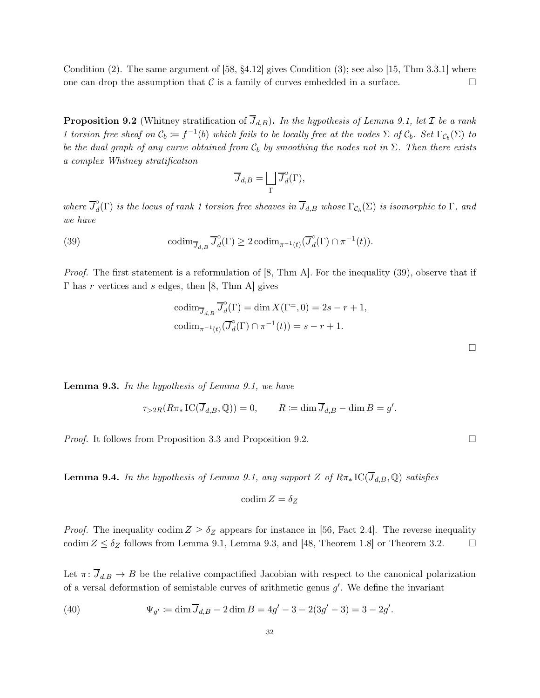<span id="page-31-2"></span>Condition  $(2)$ . The same argument of [\[58,](#page-39-17) §4.12] gives Condition  $(3)$ ; see also [\[15,](#page-38-24) Thm 3.3.1] where one can drop the assumption that  $\mathcal C$  is a family of curves embedded in a surface.

**Proposition 9.2** (Whitney stratification of  $\overline{J}_{d,B}$ ). In the hypothesis of Lemma [9.1,](#page-30-1) let  $\mathcal{I}$  be a rank 1 torsion free sheaf on  $C_b := f^{-1}(b)$  which fails to be locally free at the nodes  $\Sigma$  of  $C_b$ . Set  $\Gamma_{C_b}(\Sigma)$  to be the dual graph of any curve obtained from  $C_b$  by smoothing the nodes not in  $\Sigma$ . Then there exists a complex Whitney stratification

$$
\overline{J}_{d,B} = \bigsqcup_{\Gamma} \overline{J}_d^{\circ}(\Gamma),
$$

where  $\overline{J}_d^{\circ}$  $\Gamma_d(\Gamma)$  is the locus of rank 1 torsion free sheaves in  $J_{d,B}$  whose  $\Gamma_{\mathcal{C}_b}(\Sigma)$  is isomorphic to  $\Gamma$ , and we have

(39) 
$$
\operatorname{codim}_{\overline{J}_{d,B}} \overline{J}_d^{\circ}(\Gamma) \ge 2 \operatorname{codim}_{\pi^{-1}(t)} (\overline{J}_d^{\circ}(\Gamma) \cap \pi^{-1}(t)).
$$

Proof. The first statement is a reformulation of [\[8,](#page-37-7) Thm A]. For the inequality [\(39\)](#page-31-1), observe that if  $\Gamma$  has r vertices and s edges, then [\[8,](#page-37-7) Thm A] gives

<span id="page-31-1"></span>
$$
\operatorname{codim}_{\overline{J}_{d,B}} \overline{J}_d^{\circ}(\Gamma) = \dim X(\Gamma^{\pm}, 0) = 2s - r + 1,
$$
  

$$
\operatorname{codim}_{\pi^{-1}(t)} (\overline{J}_d^{\circ}(\Gamma) \cap \pi^{-1}(t)) = s - r + 1.
$$

<span id="page-31-3"></span>Lemma 9.3. In the hypothesis of Lemma [9.1,](#page-30-1) we have

$$
\tau_{>2R}(R\pi_*\operatorname{IC}(\overline{J}_{d,B},\mathbb{Q}))=0,\qquad R\coloneqq\dim\overline{J}_{d,B}-\dim B=g'.
$$

<span id="page-31-5"></span>*Proof.* It follows from Proposition [3.3](#page-9-3) and Proposition [9.2.](#page-31-2)

**Lemma 9.4.** In the hypothesis of Lemma [9.1,](#page-30-1) any support Z of  $R\pi_*\text{IC}(\overline{J}_{d,B},\mathbb{Q})$  satisfies

$$
\mathrm{codim}\, Z=\delta_Z
$$

*Proof.* The inequality codim  $Z \ge \delta_Z$  appears for instance in [\[56,](#page-39-25) Fact 2.4]. The reverse inequality codim  $Z \leq \delta_Z$  follows from Lemma [9.1,](#page-30-1) Lemma [9.3,](#page-31-3) and [\[48,](#page-39-2) Theorem 1.8] or Theorem [3.2.](#page-9-4)

Let  $\pi: \overline{J}_{d,B} \to B$  be the relative compactified Jacobian with respect to the canonical polarization of a versal deformation of semistable curves of arithmetic genus  $g'$ . We define the invariant

<span id="page-31-4"></span><span id="page-31-0"></span>(40) 
$$
\Psi_{g'} := \dim \overline{J}_{d,B} - 2 \dim B = 4g' - 3 - 2(3g' - 3) = 3 - 2g'.
$$

 $\Box$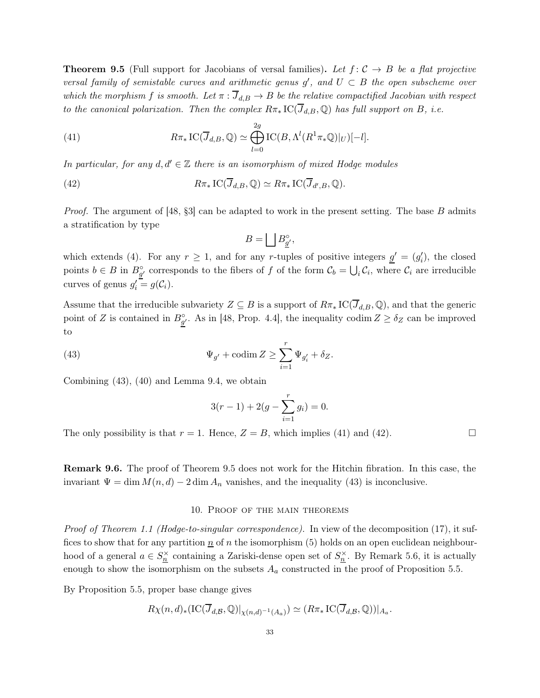**Theorem 9.5** (Full support for Jacobians of versal families). Let  $f: \mathcal{C} \to B$  be a flat projective versal family of semistable curves and arithmetic genus  $g'$ , and  $U \subset B$  the open subscheme over which the morphism f is smooth. Let  $\pi : \overline{J}_{d,B} \to B$  be the relative compactified Jacobian with respect to the canonical polarization. Then the complex  $R\pi_*\mathrm{IC}(\overline{J}_{d,B},\mathbb{Q})$  has full support on B, i.e.

<span id="page-32-3"></span>(41) 
$$
R\pi_*\operatorname{IC}(\overline{J}_{d,B},\mathbb{Q})\simeq \bigoplus_{l=0}^{2g}\operatorname{IC}(B,\Lambda^l(R^1\pi_*\mathbb{Q})|_U)[-l].
$$

In particular, for any  $d, d' \in \mathbb{Z}$  there is an isomorphism of mixed Hodge modules

(42) 
$$
R\pi_*\mathrm{IC}(\overline{J}_{d,B},\mathbb{Q})\simeq R\pi_*\mathrm{IC}(\overline{J}_{d',B},\mathbb{Q}).
$$

*Proof.* The argument of [\[48,](#page-39-2) §3] can be adapted to work in the present setting. The base B admits a stratification by type

<span id="page-32-4"></span>
$$
B=\bigsqcup B_{\underline{g}'}^{\circ},
$$

which extends [\(4\)](#page-2-5). For any  $r \geq 1$ , and for any r-tuples of positive integers  $\underline{g}' = (g'_i)$ , the closed points  $b \in B$  in  $B^{\circ}_{g'}$  corresponds to the fibers of f of the form  $\mathcal{C}_b = \bigcup_i \mathcal{C}_i$ , where  $\mathcal{C}_i$  are irreducible curves of genus  $g'_i = g(\mathcal{C}_i)$ .

Assume that the irreducible subvariety  $Z \subseteq B$  is a support of  $R\pi_*\mathrm{IC}(\overline{J}_{d,B},\mathbb{Q})$ , and that the generic point of Z is contained in  $B_{g'}^{\circ}$ . As in [\[48,](#page-39-2) Prop. 4.4], the inequality codim  $Z \ge \delta_Z$  can be improved to

(43) 
$$
\Psi_{g'} + \operatorname{codim} Z \ge \sum_{i=1}^r \Psi_{g'_i} + \delta_Z.
$$

Combining [\(43\)](#page-32-2), [\(40\)](#page-31-4) and Lemma [9.4,](#page-31-5) we obtain

<span id="page-32-2"></span>
$$
3(r-1) + 2(g - \sum_{i=1}^{r} g_i) = 0.
$$

<span id="page-32-0"></span>The only possibility is that  $r = 1$ . Hence,  $Z = B$ , which implies [\(41\)](#page-32-3) and [\(42\)](#page-32-4).

.

<span id="page-32-1"></span>Remark 9.6. The proof of Theorem [9.5](#page-31-0) does not work for the Hitchin fibration. In this case, the invariant  $\Psi = \dim M(n, d) - 2 \dim A_n$  vanishes, and the inequality [\(43\)](#page-32-2) is inconclusive.

## 10. Proof of the main theorems

Proof of Theorem [1.1](#page-2-0) (Hodge-to-singular correspondence). In view of the decomposition [\(17\)](#page-12-2), it suffices to show that for any partition  $\underline{n}$  of n the isomorphism [\(5\)](#page-2-3) holds on an open euclidean neighbourhood of a general  $a \in S_n^{\times}$  containing a Zariski-dense open set of  $S_n^{\times}$ . By Remark [5.6,](#page-20-1) it is actually enough to show the isomorphism on the subsets  $A_a$  constructed in the proof of Proposition [5.5.](#page-20-0)

By Proposition [5.5,](#page-20-0) proper base change gives

$$
R\chi(n,d)_*(\mathrm{IC}(\overline{J}_{d,\mathcal{B}},\mathbb{Q})|_{\chi(n,d)^{-1}(A_a)})\simeq (R\pi_*\mathrm{IC}(\overline{J}_{d,\mathcal{B}},\mathbb{Q}))|_{A_a}
$$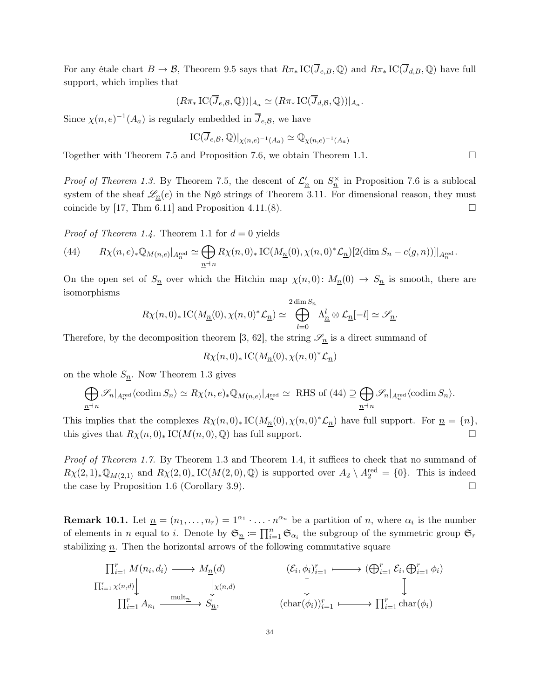For any étale chart  $B \to \mathcal{B}$ , Theorem [9.5](#page-31-0) says that  $R\pi_*\mathrm{IC}(\overline{J}_{e,B},\mathbb{Q})$  and  $R\pi_*\mathrm{IC}(\overline{J}_{d,B},\mathbb{Q})$  have full support, which implies that

$$
(R\pi_*\operatorname{IC}(\overline{J}_{e,\mathcal{B}},\mathbb{Q}))|_{A_a}\simeq (R\pi_*\operatorname{IC}(\overline{J}_{d,\mathcal{B}},\mathbb{Q}))|_{A_a}.
$$

Since  $\chi(n, e)^{-1}(A_a)$  is regularly embedded in  $\overline{J}_{e,\mathcal{B}}$ , we have

$$
IC(\overline{J}_{e,B},\mathbb{Q})|_{\chi(n,e)^{-1}(A_a)} \simeq \mathbb{Q}_{\chi(n,e)^{-1}(A_a)}
$$

Together with Theorem [7.5](#page-25-0) and Proposition [7.6,](#page-26-1) we obtain Theorem [1.1.](#page-2-0)

*Proof of Theorem [1.3.](#page-4-1)* By Theorem [7.5,](#page-25-0) the descent of  $\mathcal{L}'_n$  on  $S_n^{\times}$  in Proposition [7.6](#page-26-1) is a sublocal system of the sheaf  $\mathcal{L}_n(e)$  in the Ngô strings of Theorem [3.11.](#page-12-1) For dimensional reason, they must coincide by [\[17,](#page-38-10) Thm 6.11] and Proposition [4.11.](#page-16-0)[\(8\)](#page-16-5).  $\Box$ 

*Proof of Theorem [1.4.](#page-4-2)* Theorem [1.1](#page-2-0) for  $d = 0$  yields

<span id="page-33-1"></span>(44) 
$$
R\chi(n,e)_*\mathbb{Q}_{M(n,e)}|_{A_n^{\text{red}}} \simeq \bigoplus_{\underline{n}+n} R\chi(n,0)_*\operatorname{IC}(M_{\underline{n}}(0),\chi(n,0)^*\mathcal{L}_{\underline{n}})[2(\dim S_n-c(g,n))]|_{A_n^{\text{red}}}.
$$

On the open set of  $S_n$  over which the Hitchin map  $\chi(n,0)$ :  $M_n(0) \to S_n$  is smooth, there are isomorphisms 2 dim

$$
R\chi(n,0)_*\operatorname{IC}(M_{\underline{n}}(0),\chi(n,0)^*\mathcal{L}_{\underline{n}})\simeq \bigoplus_{l=0}^{2\dim S_{\underline{n}}}\Lambda^l_{\underline{n}}\otimes \mathcal{L}_{\underline{n}}[-l]\simeq \mathscr{S}_{\underline{n}}.
$$

Therefore, by the decomposition theorem [\[3,](#page-37-13) [62\]](#page-39-24), the string  $\mathscr{S}_n$  is a direct summand of

$$
R\chi(n,0)_*\operatorname{IC}(M_{\underline{n}}(0),\chi(n,0)^*\mathcal{L}_{\underline{n}})
$$

on the whole  $S_n$ . Now Theorem [1.3](#page-4-1) gives

$$
\bigoplus_{\underline{n} \vdash n} \mathscr{S}_{\underline{n}}|_{A_n^{\mathrm{red}}} \langle \mathrm{codim} \, S_{\underline{n}} \rangle \simeq R\chi(n,e)_* \mathbb{Q}_{M(n,e)}|_{A_n^{\mathrm{red}}} \simeq \text{ RHS of (44)} \supseteq \bigoplus_{\underline{n} \vdash n} \mathscr{S}_{\underline{n}}|_{A_n^{\mathrm{red}}} \langle \mathrm{codim} \, S_{\underline{n}} \rangle.
$$

This implies that the complexes  $R\chi(n,0)_* \text{IC}(M_{n}(0),\chi(n,0)^*\mathcal{L}_n)$  have full support. For  $n = \{n\},$ this gives that  $R\chi(n,0)_* IC(M(n,0), \mathbb{Q})$  has full support.  $\Box$ 

Proof of Theorem [1.7.](#page-5-0) By Theorem [1.3](#page-4-1) and Theorem [1.4,](#page-4-2) it suffices to check that no summand of  $R\chi(2,1)_{*}\mathbb{Q}_{M(2,1)}$  and  $R\chi(2,0)_{*}$  IC( $M(2,0),\mathbb{Q}$ ) is supported over  $A_2 \setminus A_2^{\text{red}} = \{0\}$ . This is indeed the case by Proposition [1.6](#page-5-1) (Corollary [3.9\)](#page-12-3).

<span id="page-33-0"></span>**Remark 10.1.** Let  $\underline{n} = (n_1, \ldots, n_r) = 1^{\alpha_1} \cdot \ldots \cdot n^{\alpha_n}$  be a partition of *n*, where  $\alpha_i$  is the number of elements in *n* equal to *i*. Denote by  $\mathfrak{S}_n \coloneqq \prod_{i=1}^n \mathfrak{S}_{\alpha_i}$  the subgroup of the symmetric group  $\mathfrak{S}_r$ stabilizing  $n$ . Then the horizontal arrows of the following commutative square

$$
\Pi_{i=1}^{r} M(n_i, d_i) \longrightarrow M_{\underline{n}}(d) \qquad (\mathcal{E}_i, \phi_i)_{i=1}^{r} \longmapsto (\bigoplus_{i=1}^{r} \mathcal{E}_i, \bigoplus_{i=1}^{r} \phi_i)
$$
\n
$$
\Pi_{i=1}^{r} \mathcal{X}(n, d) \qquad \qquad \downarrow \qquad \qquad \downarrow
$$
\n
$$
\Pi_{i=1}^{r} A_{n_i} \xrightarrow{\text{mult}_{\underline{n}}} S_{\underline{n}}, \qquad (\text{char}(\phi_i))_{i=1}^{r} \longmapsto \Pi_{i=1}^{r} \text{char}(\phi_i)
$$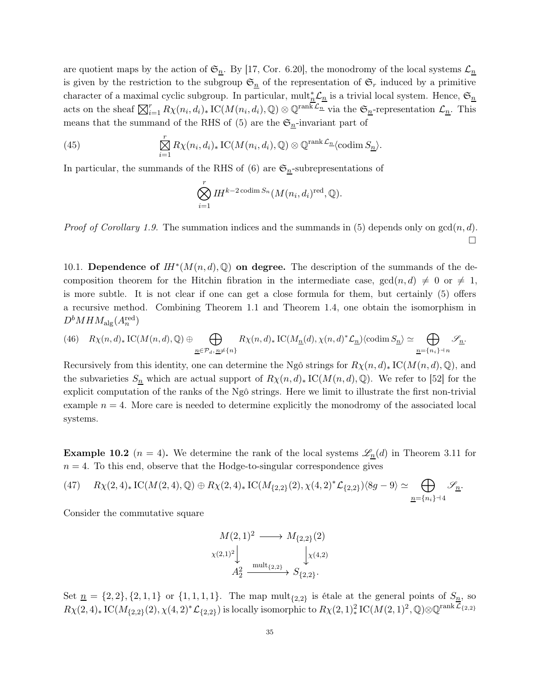are quotient maps by the action of  $\mathfrak{S}_n$ . By [\[17,](#page-38-10) Cor. 6.20], the monodromy of the local systems  $\mathcal{L}_n$ is given by the restriction to the subgroup  $\mathfrak{S}_n$  of the representation of  $\mathfrak{S}_r$  induced by a primitive character of a maximal cyclic subgroup. In particular, mult<sup>\*</sup><sub>n</sub> $\mathcal{L}_n$  is a trivial local system. Hence,  $\mathfrak{S}_n$ acts on the sheaf  $\overline{\bigotimes}_{i=1}^r R\chi(n_i,d_i)_* \operatorname{IC}(M(n_i,d_i),\mathbb{Q}) \otimes \mathbb{Q}^{\operatorname{rank}\mathcal{L}_{\overline{n}}}$  via the  $\mathfrak{S}_{\underline{n}}$ -representation  $\mathcal{L}_{\underline{n}}$ . This means that the summand of the RHS of  $(5)$  are the  $\mathfrak{S}_n$ -invariant part of

(45) 
$$
\sum_{i=1}^r R\chi(n_i, d_i)_* \operatorname{IC}(M(n_i, d_i), \mathbb{Q}) \otimes \mathbb{Q}^{\operatorname{rank} \mathcal{L}_{\underline{n}}} \langle \operatorname{codim} S_{\underline{n}} \rangle.
$$

In particular, the summands of the RHS of [\(6\)](#page-2-4) are  $\mathfrak{S}_n$ -subrepresentations of

$$
\bigotimes_{i=1}^r IH^{k-2\operatorname{codim} S_n}(M(n_i,d_i)^{\operatorname{red}},\mathbb{Q}).
$$

<span id="page-34-0"></span>*Proof of Corollary [1.9.](#page-5-2)* The summation indices and the summands in [\(5\)](#page-2-3) depends only on  $gcd(n, d)$ .  $\Box$ 

10.1. Dependence of  $IH^*(M(n,d),\mathbb{Q})$  on degree. The description of the summands of the decomposition theorem for the Hitchin fibration in the intermediate case,  $gcd(n, d) \neq 0$  or  $\neq 1$ , is more subtle. It is not clear if one can get a close formula for them, but certainly [\(5\)](#page-2-3) offers a recursive method. Combining Theorem [1.1](#page-2-0) and Theorem [1.4,](#page-4-2) one obtain the isomorphism in  $D^bMHM_{\mathop{\mathrm{alg}}\nolimits}(A_n^{\text{red}})$ 

<span id="page-34-2"></span>
$$
(46)\quad R\chi(n,d)_{\ast} \operatorname{IC}(M(n,d),\mathbb{Q})\oplus \bigoplus_{\underline{n}\in \mathcal{P}_d,\, \underline{n}\neq \{n\}}R\chi(n,d)_{\ast}\operatorname{IC}(M_{\underline{n}}(d),\chi(n,d)^{\ast}\mathcal{L}_{\underline{n}})\langle \operatorname{codim} S_{\underline{n}}\rangle\simeq \bigoplus_{\underline{n}=\{n_i\}\dashv n}\mathscr{S}_{\underline{n}}.
$$

Recursively from this identity, one can determine the Ngô strings for  $R_{\chi}(n, d)_*$  IC( $M(n, d), \mathbb{Q}$ ), and the subvarieties  $S_n$  which are actual support of  $R\chi(n, d)_*$  IC( $M(n, d)$ ,  $\mathbb{Q}$ ). We refer to [\[52\]](#page-39-8) for the explicit computation of the ranks of the Ngô strings. Here we limit to illustrate the first non-trivial example  $n = 4$ . More care is needed to determine explicitly the monodromy of the associated local systems.

**Example 10.2** ( $n = 4$ ). We determine the rank of the local systems  $\mathscr{L}_n(d)$  in Theorem [3.11](#page-12-1) for  $n = 4$ . To this end, observe that the Hodge-to-singular correspondence gives

<span id="page-34-1"></span>
$$
(47) \qquad R\chi(2,4)_{*}\operatorname{IC}(M(2,4),\mathbb{Q})\oplus R\chi(2,4)_{*}\operatorname{IC}(M_{\{2,2\}}(2),\chi(4,2)^{*}\mathcal{L}_{\{2,2\}})\langle 8g-9 \rangle \simeq \bigoplus_{\underline{n}=\{n_{i}\}\dashv 4}\mathscr{S}_{\underline{n}}.
$$

Consider the commutative square

$$
M(2,1)^2 \longrightarrow M_{\{2,2\}}(2)
$$
  

$$
\chi(2,1)^2 \downarrow \qquad \qquad \downarrow \chi(4,2)
$$
  

$$
A_2^2 \xrightarrow{\text{mult}_{\{2,2\}}} S_{\{2,2\}}.
$$

Set  $n = \{2, 2\}, \{2, 1, 1\}$  or  $\{1, 1, 1, 1\}$ . The map mult $_{\{2, 2\}}$  is étale at the general points of  $S_n$ , so  $R\chi(2,4)_{\ast}~\mathrm{IC}(M_{\{2,2\}}(2),\chi(4,2)^{\ast}\mathcal{L}_{\{2,2\}})$  is locally isomorphic to  $R\chi(2,1)_{\ast}^{2}~\mathrm{IC}(M(2,1)^{2},\mathbb{Q})\otimes\mathbb{Q}^{\mathrm{rank}\,\mathcal{L}_{\{2,2\}}}$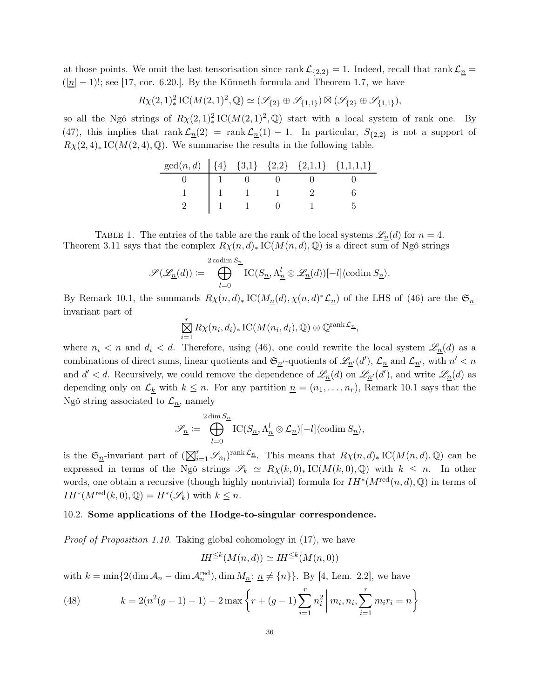at those points. We omit the last tensorisation since rank  $\mathcal{L}_{\{2,2\}} = 1$ . Indeed, recall that rank  $\mathcal{L}_n =$  $(|n-1)!$ ; see [\[17,](#page-38-10) cor. 6.20.]. By the Künneth formula and Theorem [1.7,](#page-5-0) we have

$$
R\chi(2,1)_*^2\operatorname{IC}(M(2,1)^2,\mathbb{Q})\simeq (\mathscr{S}_{\{2\}}\oplus \mathscr{S}_{\{1,1\}})\boxtimes (\mathscr{S}_{\{2\}}\oplus \mathscr{S}_{\{1,1\}}),
$$

so all the Ngô strings of  $R\chi(2,1)^2$ ,  $\mathbb{C}(M(2,1)^2,\mathbb{Q})$  start with a local system of rank one. By [\(47\)](#page-34-1), this implies that rank  $\mathcal{L}_n(2) = \text{rank } \mathcal{L}_n(1) - 1$ . In particular,  $S_{\{2,2\}}$  is not a support of  $R_{\chi}(2,4)_{*}$  IC( $M(2,4),$ Q). We summarise the results in the following table.

| $gcd(n, d) \mid \{4\} \{3,1\} \{2,2\} \{2,1,1\} \{1,1,1,1\}$ |  |  |  |
|--------------------------------------------------------------|--|--|--|
|                                                              |  |  |  |
|                                                              |  |  |  |
|                                                              |  |  |  |

TABLE 1. The entries of the table are the rank of the local systems  $\mathcal{L}_n(d)$  for  $n = 4$ . Theorem [3.11](#page-12-1) says that the complex  $R_{\chi}(n, d)$  IC( $M(n, d)$ , Q) is a direct sum of Ngô strings

$$
\mathscr{S}(\mathscr{L}_{\underline{n}}(d))\coloneqq\bigoplus_{l=0}^{2\operatorname{codim} S_{\underline{n}}}\operatorname{IC}(S_{\underline{n}},\Lambda^{l}_{\underline{n}}\otimes\mathscr{L}_{\underline{n}}(d))[-l]\langle \operatorname{codim} S_{\underline{n}}\rangle.
$$

By Remark [10.1,](#page-33-0) the summands  $R\chi(n, d)_* IC(M_n(d), \chi(n, d)^* \mathcal{L}_n)$  of the LHS of [\(46\)](#page-34-2) are the  $\mathfrak{S}_n$ invariant part of

$$
\bigotimes_{i=1}^r R\chi(n_i,d_i)_* \operatorname{IC}(M(n_i,d_i),\mathbb{Q}) \otimes \mathbb{Q}^{\operatorname{rank}\mathcal{L}_{\underline{n}}},
$$

where  $n_i < n$  and  $d_i < d$ . Therefore, using [\(46\)](#page-34-2), one could rewrite the local system  $\mathscr{L}_n(d)$  as a combinations of direct sums, linear quotients and  $\mathfrak{S}_{n'}$ -quotients of  $\mathscr{L}_{n'}(d')$ ,  $\mathcal{L}_n$  and  $\mathcal{L}_{n'}$ , with  $n' < n$ and  $d' < d$ . Recursively, we could remove the dependence of  $\mathscr{L}_{n}(d)$  on  $\mathscr{L}_{n'}(d')$ , and write  $\mathscr{L}_{n}(d)$  as depending only on  $\mathcal{L}_k$  with  $k \leq n$ . For any partition  $\underline{n} = (n_1, \ldots, n_r)$ , Remark [10.1](#page-33-0) says that the Ngô string associated to  $\mathcal{L}_n$ , namely

$$
\mathscr{S}_{\underline{n}} := \bigoplus_{l=0}^{2\dim S_{\underline{n}}}\operatorname{IC}(S_{\underline{n}},\Lambda^l_{\underline{n}}\otimes \mathcal{L}_{\underline{n}})[-l]\langle \operatorname{codim} S_{\underline{n}}\rangle,
$$

is the  $\mathfrak{S}_n$ -invariant part of  $(\mathbb{X}_{i=1}^r \mathscr{S}_{n_i})^{\text{rank }\mathcal{L}_n}$ . This means that  $R\chi(n,d)_*\text{IC}(M(n,d),\mathbb{Q})$  can be expressed in terms of the Ngô strings  $\mathscr{S}_k \simeq R\chi(k,0)_* \text{IC}(M(k,0),\mathbb{Q})$  with  $k \leq n$ . In other words, one obtain a recursive (though highly nontrivial) formula for  $IH^*(M^{\text{red}}(n,d),\mathbb{Q})$  in terms of  $IH^*(M^{\text{red}}(k,0),\mathbb{Q}) = H^*(\mathscr{S}_k)$  with  $k \leq n$ .

# 10.2. Some applications of the Hodge-to-singular correspondence.

Proof of Proposition [1.10.](#page-6-1) Taking global cohomology in [\(17\)](#page-12-2), we have

$$
I H^{\leq k}(M(n,d)) \simeq I H^{\leq k}(M(n,0))
$$

with  $k = \min\{2(\dim \mathcal{A}_n - \dim \mathcal{A}_n^{\text{red}}), \dim M_{\underline{n}} \colon \underline{n} \neq \{n\}\}\.$  By [\[4,](#page-37-14) Lem. 2.2], we have

<span id="page-35-0"></span>(48) 
$$
k = 2(n^2(g-1)+1) - 2 \max \left\{ r + (g-1) \sum_{i=1}^r n_i^2 \middle| m_i, n_i, \sum_{i=1}^r m_i r_i = n \right\}
$$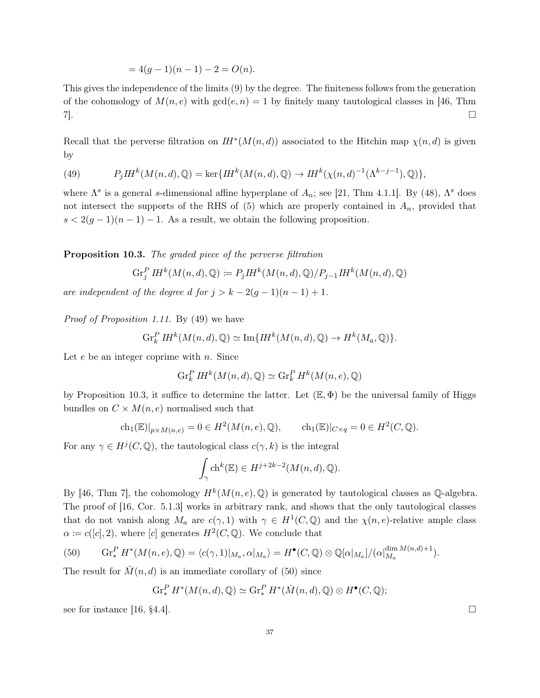$$
= 4(g-1)(n-1) - 2 = O(n).
$$

This gives the independence of the limits [\(9\)](#page-6-2) by the degree. The finiteness follows from the generation of the cohomology of  $M(n, e)$  with  $gcd(e, n) = 1$  by finitely many tautological classes in [\[46,](#page-39-26) Thm 7].

Recall that the perverse filtration on  $I\!H^*(M(n,d))$  associated to the Hitchin map  $\chi(n,d)$  is given by

<span id="page-36-0"></span>(49) 
$$
P_j H^k(M(n,d), \mathbb{Q}) = \ker\{H^k(M(n,d), \mathbb{Q}) \to H^k(\chi(n,d)^{-1}(\Lambda^{k-j-1}), \mathbb{Q})\},
$$

<span id="page-36-1"></span>where  $\Lambda^s$  is a general s-dimensional affine hyperplane of  $A_n$ ; see [\[21,](#page-38-25) Thm 4.1.1]. By [\(48\)](#page-35-0),  $\Lambda^s$  does not intersect the supports of the RHS of  $(5)$  which are properly contained in  $A_n$ , provided that  $s < 2(g-1)(n-1) - 1$ . As a result, we obtain the following proposition.

Proposition 10.3. The graded piece of the perverse filtration

$$
\operatorname{Gr}_j^P IH^k(M(n,d),\mathbb{Q})\coloneqq P_jIH^k(M(n,d),\mathbb{Q})/P_{j-1}IH^k(M(n,d),\mathbb{Q})
$$

are independent of the degree d for  $j > k - 2(g - 1)(n - 1) + 1$ .

Proof of Proposition [1.11.](#page-6-3) By [\(49\)](#page-36-0) we have

$$
\operatorname{Gr}_{k}^{P} \operatorname{IH}^{k}(M(n,d), \mathbb{Q}) \simeq \operatorname{Im} \{ \operatorname{IH}^{k}(M(n,d), \mathbb{Q}) \to \operatorname{H}^{k}(M_{a}, \mathbb{Q}) \}.
$$

Let  $e$  be an integer coprime with  $n$ . Since

$$
\operatorname{Gr}_{k}^{P} HH^{k}(M(n,d), \mathbb{Q}) \simeq \operatorname{Gr}_{k}^{P} H^{k}(M(n,e), \mathbb{Q})
$$

by Proposition [10.3,](#page-36-1) it suffice to determine the latter. Let  $(\mathbb{E}, \Phi)$  be the universal family of Higgs bundles on  $C \times M(n, e)$  normalised such that

$$
\operatorname{ch}_1(\mathbb{E})|_{p \times M(n,e)} = 0 \in H^2(M(n,e), \mathbb{Q}), \qquad \operatorname{ch}_1(\mathbb{E})|_{C \times q} = 0 \in H^2(C, \mathbb{Q}).
$$

For any  $\gamma \in H^{j}(C, \mathbb{Q})$ , the tautological class  $c(\gamma, k)$  is the integral

$$
\int_{\gamma} \mathrm{ch}^k(\mathbb{E}) \in H^{j+2k-2}(M(n,d),\mathbb{Q}).
$$

By [\[46,](#page-39-26) Thm 7], the cohomology  $H^k(M(n, e), \mathbb{Q})$  is generated by tautological classes as Q-algebra. The proof of [\[16,](#page-38-6) Cor. 5.1.3] works in arbitrary rank, and shows that the only tautological classes that do not vanish along  $M_a$  are  $c(\gamma, 1)$  with  $\gamma \in H^1(C, \mathbb{Q})$  and the  $\chi(n, e)$ -relative ample class  $\alpha \coloneqq c([c], 2)$ , where  $[c]$  generates  $H^2(C, \mathbb{Q})$ . We conclude that

<span id="page-36-2"></span>(50) 
$$
\operatorname{Gr}_*^P H^*(M(n,e), \mathbb{Q}) = \langle c(\gamma, 1)|_{M_a}, \alpha|_{M_a} \rangle = H^{\bullet}(C, \mathbb{Q}) \otimes \mathbb{Q}[\alpha|_{M_a}]/(\alpha|_{M_a}^{\dim M(n,d)+1}).
$$

The result for  $\dot{M}(n, d)$  is an immediate corollary of [\(50\)](#page-36-2) since

$$
\operatorname{Gr}_{*}^{P} H^{*}(M(n,d),\mathbb{Q}) \simeq \operatorname{Gr}_{*}^{P} H^{*}(\check{M}(n,d),\mathbb{Q}) \otimes H^{\bullet}(C,\mathbb{Q});
$$

see for instance [\[16,](#page-38-6) §4.4].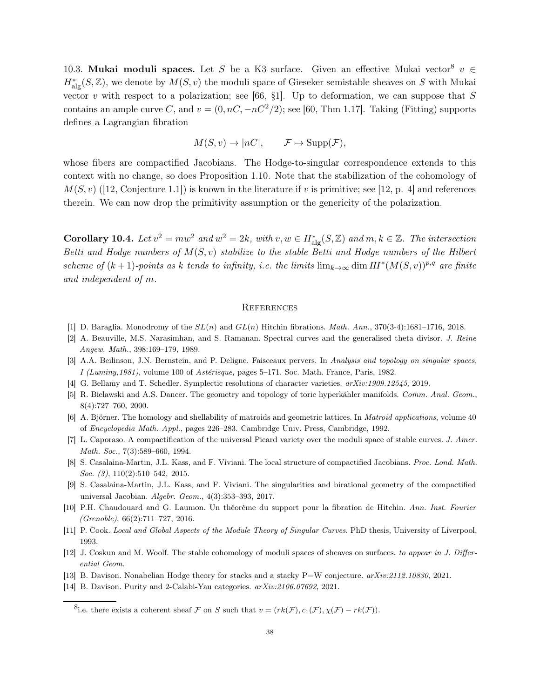<span id="page-37-2"></span>10.3. Mukai moduli spaces. Let S be a K3 surface. Given an effective Mukai vector<sup>[8](#page-37-15)</sup>  $v \in$  $H^*_{\text{alg}}(S, \mathbb{Z})$ , we denote by  $M(S, v)$  the moduli space of Gieseker semistable sheaves on S with Mukai vector v with respect to a polarization; see [\[66,](#page-39-20)  $\S1$ ]. Up to deformation, we can suppose that S contains an ample curve C, and  $v = (0, nC, -nC^2/2)$ ; see [\[60,](#page-39-27) Thm 1.17]. Taking (Fitting) supports defines a Lagrangian fibration

 $M(S, v) \to |nC|, \qquad \mathcal{F} \mapsto \text{Supp}(\mathcal{F}),$ 

whose fibers are compactified Jacobians. The Hodge-to-singular correspondence extends to this context with no change, so does Proposition [1.10.](#page-6-1) Note that the stabilization of the cohomology of  $M(S, v)$  ([\[12,](#page-37-4) Conjecture 1.1]) is known in the literature if v is primitive; see [\[12,](#page-37-4) p. 4] and references therein. We can now drop the primitivity assumption or the genericity of the polarization.

**Corollary 10.4.** Let  $v^2 = mw^2$  and  $w^2 = 2k$ , with  $v, w \in H^*_{\text{alg}}(S, \mathbb{Z})$  and  $m, k \in \mathbb{Z}$ . The intersection Betti and Hodge numbers of  $M(S, v)$  stabilize to the stable Betti and Hodge numbers of the Hilbert scheme of  $(k+1)$ -points as k tends to infinity, i.e. the limits  $\lim_{k\to\infty}$  dim  $IH^*(M(S,v))^{p,q}$  are finite and independent of m.

## **REFERENCES**

- <span id="page-37-6"></span><span id="page-37-5"></span>[1] D. Baraglia. Monodromy of the  $SL(n)$  and  $GL(n)$  Hitchin fibrations. Math. Ann., 370(3-4):1681–1716, 2018.
- <span id="page-37-13"></span>[2] A. Beauville, M.S. Narasimhan, and S. Ramanan. Spectral curves and the generalised theta divisor. J. Reine Angew. Math., 398:169–179, 1989.
- <span id="page-37-14"></span>[3] A.A. Beilinson, J.N. Bernstein, and P. Deligne. Faisceaux pervers. In Analysis and topology on singular spaces, I (Luminy,1981), volume 100 of Astérisque, pages 5–171. Soc. Math. France, Paris, 1982.
- <span id="page-37-8"></span>[4] G. Bellamy and T. Schedler. Symplectic resolutions of character varieties. arXiv:1909.12545, 2019.
- <span id="page-37-9"></span>[5] R. Bielawski and A.S. Dancer. The geometry and topology of toric hyperkähler manifolds. Comm. Anal. Geom., 8(4):727–760, 2000.
- <span id="page-37-10"></span>[6] A. Björner. The homology and shellability of matroids and geometric lattices. In Matroid applications, volume 40 of Encyclopedia Math. Appl., pages 226–283. Cambridge Univ. Press, Cambridge, 1992.
- <span id="page-37-7"></span>[7] L. Caporaso. A compactification of the universal Picard variety over the moduli space of stable curves. J. Amer. Math. Soc., 7(3):589–660, 1994.
- <span id="page-37-11"></span>[8] S. Casalaina-Martin, J.L. Kass, and F. Viviani. The local structure of compactified Jacobians. Proc. Lond. Math. Soc. (3), 110(2):510-542, 2015.
- <span id="page-37-3"></span>[9] S. Casalaina-Martin, J.L. Kass, and F. Viviani. The singularities and birational geometry of the compactified universal Jacobian. Algebr. Geom., 4(3):353–393, 2017.
- [10] P.H. Chaudouard and G. Laumon. Un théorème du support pour la fibration de Hitchin. Ann. Inst. Fourier (Grenoble), 66(2):711–727, 2016.
- <span id="page-37-12"></span><span id="page-37-4"></span>[11] P. Cook. Local and Global Aspects of the Module Theory of Singular Curves. PhD thesis, University of Liverpool, 1993.
- <span id="page-37-1"></span>[12] J. Coskun and M. Woolf. The stable cohomology of moduli spaces of sheaves on surfaces. to appear in J. Differential Geom.
- <span id="page-37-0"></span>[13] B. Davison. Nonabelian Hodge theory for stacks and a stacky P=W conjecture.  $arXiv:2112.10830$ , 2021.
- [14] B. Davison. Purity and 2-Calabi-Yau categories. arXiv:2106.07692, 2021.

<span id="page-37-15"></span><sup>&</sup>lt;sup>8</sup>i.e. there exists a coherent sheaf F on S such that  $v = (rk(\mathcal{F}), c_1(\mathcal{F}), \chi(\mathcal{F}) - rk(\mathcal{F})).$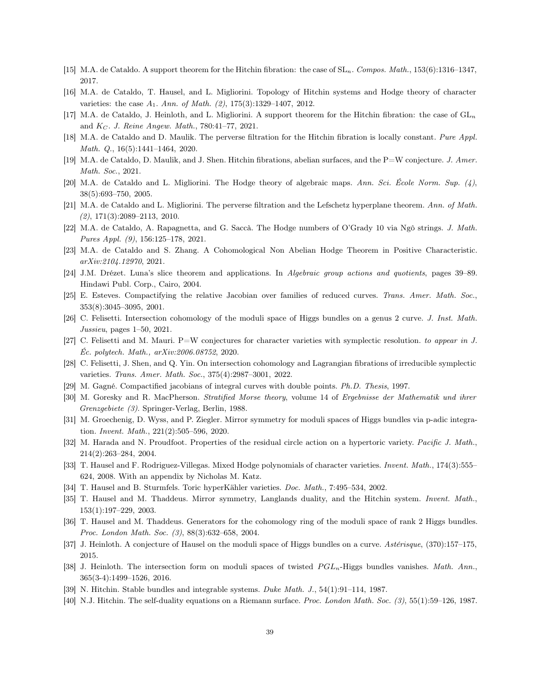- <span id="page-38-24"></span><span id="page-38-6"></span>[15] M.A. de Cataldo. A support theorem for the Hitchin fibration: the case of  $SL_n$ . Compos. Math., 153(6):1316–1347, 2017.
- <span id="page-38-10"></span>[16] M.A. de Cataldo, T. Hausel, and L. Migliorini. Topology of Hitchin systems and Hodge theory of character varieties: the case A1. Ann. of Math. (2), 175(3):1329–1407, 2012.
- <span id="page-38-11"></span>[17] M.A. de Cataldo, J. Heinloth, and L. Migliorini. A support theorem for the Hitchin fibration: the case of  $GL_n$ and  $K_C$ . J. Reine Angew. Math., 780:41-77, 2021.
- <span id="page-38-7"></span>[18] M.A. de Cataldo and D. Maulik. The perverse filtration for the Hitchin fibration is locally constant. Pure Appl. Math. Q., 16(5):1441–1464, 2020.
- <span id="page-38-17"></span>[19] M.A. de Cataldo, D. Maulik, and J. Shen. Hitchin fibrations, abelian surfaces, and the P=W conjecture. J. Amer. Math. Soc., 2021.
- <span id="page-38-25"></span>[20] M.A. de Cataldo and L. Migliorini. The Hodge theory of algebraic maps. Ann. Sci. École Norm. Sup. (4), 38(5):693–750, 2005.
- <span id="page-38-12"></span>[21] M.A. de Cataldo and L. Migliorini. The perverse filtration and the Lefschetz hyperplane theorem. Ann. of Math. (2), 171(3):2089–2113, 2010.
- <span id="page-38-13"></span>[22] M.A. de Cataldo, A. Rapagnetta, and G. Saccà. The Hodge numbers of O'Grady 10 via Ngô strings. J. Math. Pures Appl. (9), 156:125–178, 2021.
- <span id="page-38-23"></span>[23] M.A. de Cataldo and S. Zhang. A Cohomological Non Abelian Hodge Theorem in Positive Characteristic. arXiv:2104.12970, 2021.
- <span id="page-38-21"></span>[24] J.M. Drézet. Luna's slice theorem and applications. In Algebraic group actions and quotients, pages 39–89. Hindawi Publ. Corp., Cairo, 2004.
- <span id="page-38-8"></span>[25] E. Esteves. Compactifying the relative Jacobian over families of reduced curves. Trans. Amer. Math. Soc., 353(8):3045–3095, 2001.
- <span id="page-38-9"></span>[26] C. Felisetti. Intersection cohomology of the moduli space of Higgs bundles on a genus 2 curve. J. Inst. Math. Jussieu, pages 1–50, 2021.
- <span id="page-38-14"></span>[27] C. Felisetti and M. Mauri. P=W conjectures for character varieties with symplectic resolution. to appear in J. Éc. polytech. Math., arXiv:2006.08752, 2020.
- <span id="page-38-22"></span>[28] C. Felisetti, J. Shen, and Q. Yin. On intersection cohomology and Lagrangian fibrations of irreducible symplectic varieties. Trans. Amer. Math. Soc., 375(4):2987–3001, 2022.
- <span id="page-38-16"></span>[29] M. Gagné. Compactified jacobians of integral curves with double points. Ph.D. Thesis, 1997.
- <span id="page-38-5"></span>[30] M. Goresky and R. MacPherson. Stratified Morse theory, volume 14 of Ergebnisse der Mathematik und ihrer Grenzgebiete (3). Springer-Verlag, Berlin, 1988.
- <span id="page-38-20"></span>[31] M. Groechenig, D. Wyss, and P. Ziegler. Mirror symmetry for moduli spaces of Higgs bundles via p-adic integration. Invent. Math., 221(2):505–596, 2020.
- <span id="page-38-1"></span>[32] M. Harada and N. Proudfoot. Properties of the residual circle action on a hypertoric variety. Pacific J. Math., 214(2):263–284, 2004.
- <span id="page-38-19"></span>[33] T. Hausel and F. Rodriguez-Villegas. Mixed Hodge polynomials of character varieties. Invent. Math., 174(3):555– 624, 2008. With an appendix by Nicholas M. Katz.
- <span id="page-38-3"></span>[34] T. Hausel and B. Sturmfels. Toric hyperKähler varieties. Doc. Math., 7:495–534, 2002.
- <span id="page-38-2"></span>[35] T. Hausel and M. Thaddeus. Mirror symmetry, Langlands duality, and the Hitchin system. Invent. Math., 153(1):197–229, 2003.
- <span id="page-38-18"></span>[36] T. Hausel and M. Thaddeus. Generators for the cohomology ring of the moduli space of rank 2 Higgs bundles. Proc. London Math. Soc. (3), 88(3):632–658, 2004.
- <span id="page-38-4"></span>[37] J. Heinloth. A conjecture of Hausel on the moduli space of Higgs bundles on a curve. Astérisque, (370):157–175, 2015.
- [38] J. Heinloth. The intersection form on moduli spaces of twisted  $PGL_n$ -Higgs bundles vanishes. Math. Ann., 365(3-4):1499–1526, 2016.
- <span id="page-38-15"></span><span id="page-38-0"></span>[39] N. Hitchin. Stable bundles and integrable systems. Duke Math. J., 54(1):91–114, 1987.
- [40] N.J. Hitchin. The self-duality equations on a Riemann surface. Proc. London Math. Soc. (3), 55(1):59–126, 1987.